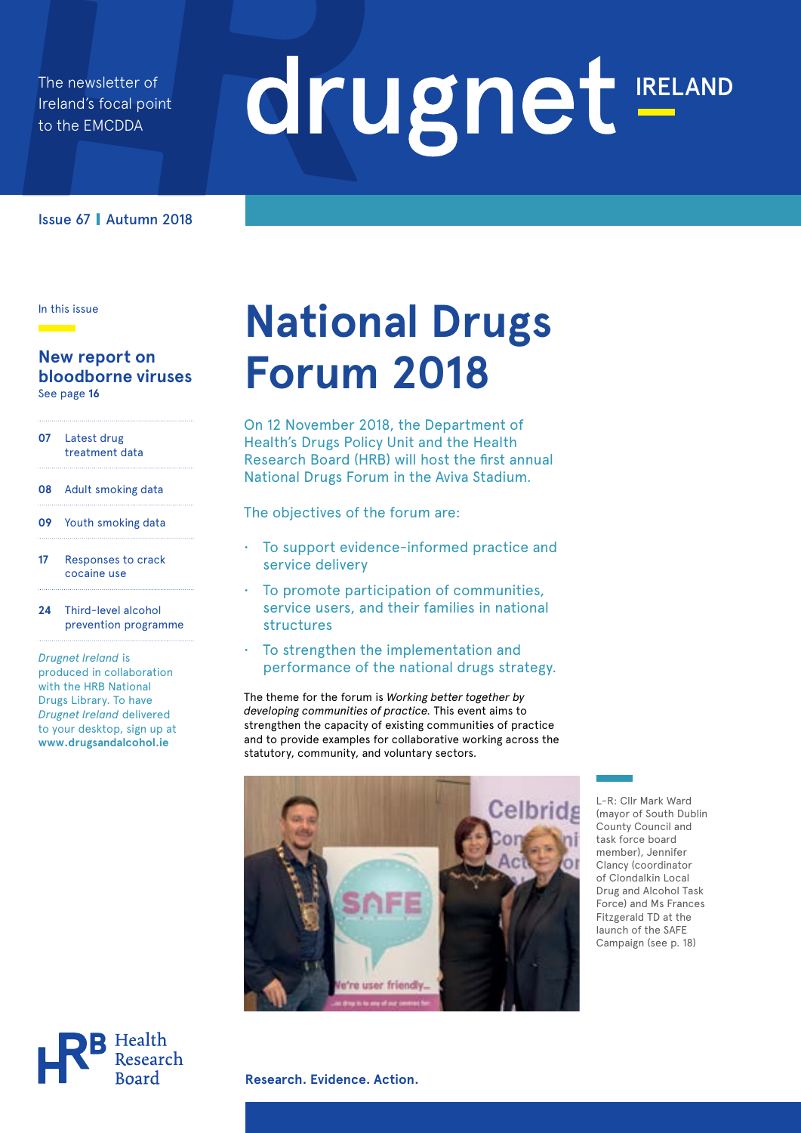The newsletter of Ireland's focal point to the EMCDDA

# drugnet IRELAND

### Issue 67 **|** Autumn 2018

In this issue

### **New report on bloodborne viruses**  See page **16**

- **07** Latest drug treatment data
- **08** Adult smoking data
- **09** Youth smoking data
- **17** Responses to crack cocaine use
- **24** Third-level alcohol prevention programme

*Drugnet Ireland* is produced in collaboration with the HRB National Drugs Library. To have *Drugnet Ireland* delivered to your desktop, sign up at **<www.drugsandalcohol.ie>**

# **National Drugs Forum 2018**

On 12 November 2018, the Department of Health's Drugs Policy Unit and the Health Research Board (HRB) will host the first annual National Drugs Forum in the Aviva Stadium.

The objectives of the forum are:

- To support evidence-informed practice and service delivery
- To promote participation of communities, service users, and their families in national structures
- To strengthen the implementation and performance of the national drugs strategy.

The theme for the forum is *Working better together by developing communities of practice.* This event aims to strengthen the capacity of existing communities of practice and to provide examples for collaborative working across the statutory, community, and voluntary sectors.



L-R: Cllr Mark Ward (mayor of South Dublin County Council and task force board member), Jennifer Clancy (coordinator of Clondalkin Local Drug and Alcohol Task Force) and Ms Frances Fitzgerald TD at the launch of the SAFE Campaign (see p. 18)



**Research. Evidence. Action.**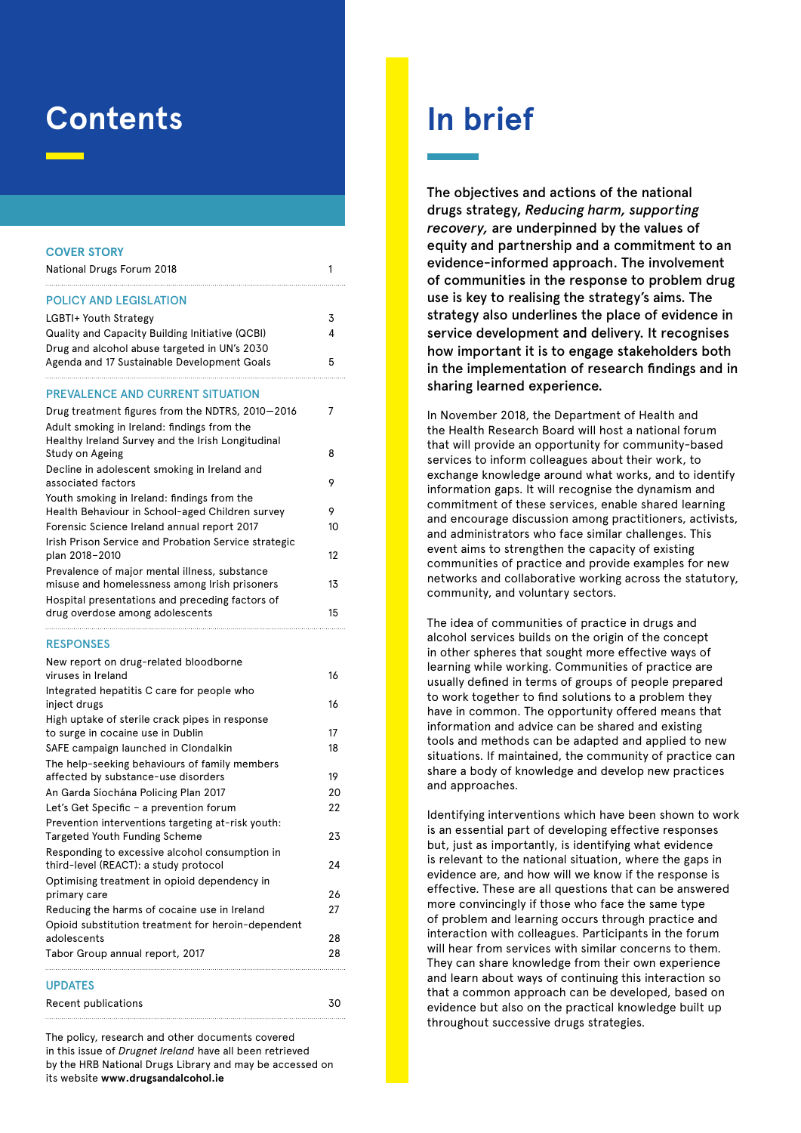### **Contents**

#### **COVER STORY**

| National Drugs Forum 2018                                                                      | 1  |
|------------------------------------------------------------------------------------------------|----|
| <b>POLICY AND LEGISLATION</b>                                                                  |    |
| LGBTI+ Youth Strategy                                                                          | 3  |
| Quality and Capacity Building Initiative (QCBI)                                                | 4  |
| Drug and alcohol abuse targeted in UN's 2030                                                   |    |
| Agenda and 17 Sustainable Development Goals                                                    | 5  |
| <b>PREVALENCE AND CURRENT SITUATION</b>                                                        |    |
| Drug treatment figures from the NDTRS, 2010-2016                                               | 7  |
| Adult smoking in Ireland: findings from the                                                    |    |
| Healthy Ireland Survey and the Irish Longitudinal                                              |    |
| Study on Ageing                                                                                | 8  |
| Decline in adolescent smoking in Ireland and                                                   |    |
| associated factors                                                                             | 9  |
| Youth smoking in Ireland: findings from the<br>Health Behaviour in School-aged Children survey | 9  |
| Forensic Science Ireland annual report 2017                                                    | 10 |
| Irish Prison Service and Probation Service strategic                                           |    |
| plan 2018–2010                                                                                 | 12 |
| Prevalence of major mental illness, substance                                                  |    |
| misuse and homelessness among Irish prisoners                                                  | 13 |
| Hospital presentations and preceding factors of                                                |    |
| drug overdose among adolescents                                                                | 15 |
| <b>RESPONSES</b>                                                                               |    |
| New report on drug-related bloodborne                                                          |    |
| viruses in Ireland                                                                             | 16 |
| Integrated hepatitis C care for people who<br>inject drugs                                     | 16 |
| High uptake of sterile crack pipes in response                                                 |    |
| to surge in cocaine use in Dublin                                                              | 17 |
| SAFE campaign launched in Clondalkin                                                           | 18 |
| The help-seeking behaviours of family members                                                  |    |
| affected by substance-use disorders                                                            | 19 |
| An Garda Síochána Policing Plan 2017                                                           | 20 |
| Let's Get Specific - a prevention forum                                                        | 22 |
| Prevention interventions targeting at-risk youth:                                              |    |
| <b>Targeted Youth Funding Scheme</b>                                                           | 23 |
| Responding to excessive alcohol consumption in<br>third-level (REACT): a study protocol        | 24 |
| Optimising treatment in opioid dependency in                                                   |    |
| primary care                                                                                   | 26 |
| Reducing the harms of cocaine use in Ireland                                                   | 27 |
| Opioid substitution treatment for heroin-dependent                                             |    |
| adolescents                                                                                    | 28 |
| Tabor Group annual report, 2017                                                                | 28 |
| <b>UPDATES</b>                                                                                 |    |
| Recent publications                                                                            | 30 |

The policy, research and other documents covered in this issue of *Drugnet Ireland* have all been retrieved by the HRB National Drugs Library and may be accessed on its website **<www.drugsandalcohol.ie>**

## **In brief**

The objectives and actions of the national drugs strategy, *Reducing harm, supporting recovery,* are underpinned by the values of equity and partnership and a commitment to an evidence-informed approach. The involvement of communities in the response to problem drug use is key to realising the strategy's aims. The strategy also underlines the place of evidence in service development and delivery. It recognises how important it is to engage stakeholders both in the implementation of research findings and in sharing learned experience.

In November 2018, the Department of Health and the Health Research Board will host a national forum that will provide an opportunity for community-based services to inform colleagues about their work, to exchange knowledge around what works, and to identify information gaps. It will recognise the dynamism and commitment of these services, enable shared learning and encourage discussion among practitioners, activists, and administrators who face similar challenges. This event aims to strengthen the capacity of existing communities of practice and provide examples for new networks and collaborative working across the statutory, community, and voluntary sectors.

The idea of communities of practice in drugs and alcohol services builds on the origin of the concept in other spheres that sought more effective ways of learning while working. Communities of practice are usually defined in terms of groups of people prepared to work together to find solutions to a problem they have in common. The opportunity offered means that information and advice can be shared and existing tools and methods can be adapted and applied to new situations. If maintained, the community of practice can share a body of knowledge and develop new practices and approaches.

Identifying interventions which have been shown to work is an essential part of developing effective responses but, just as importantly, is identifying what evidence is relevant to the national situation, where the gaps in evidence are, and how will we know if the response is effective. These are all questions that can be answered more convincingly if those who face the same type of problem and learning occurs through practice and interaction with colleagues. Participants in the forum will hear from services with similar concerns to them. They can share knowledge from their own experience and learn about ways of continuing this interaction so that a common approach can be developed, based on evidence but also on the practical knowledge built up throughout successive drugs strategies.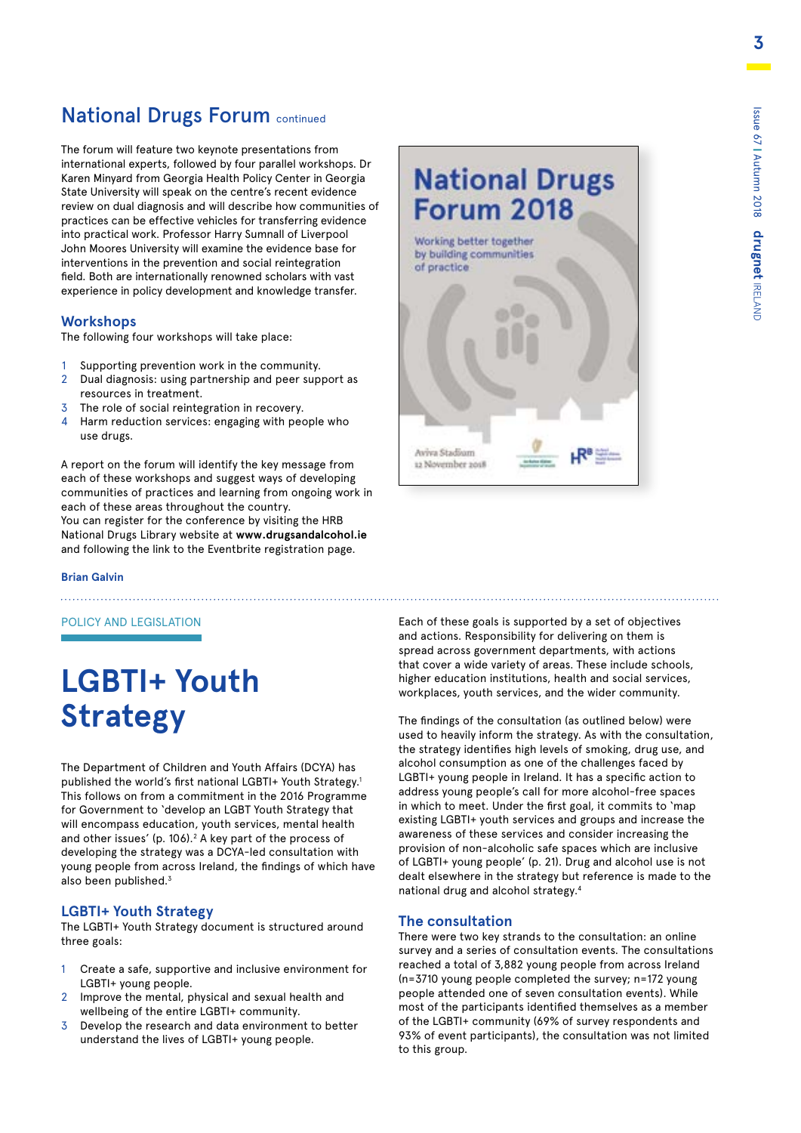### **National Drugs Forum continued**

The forum will feature two keynote presentations from international experts, followed by four parallel workshops. Dr Karen Minyard from Georgia Health Policy Center in Georgia State University will speak on the centre's recent evidence review on dual diagnosis and will describe how communities of practices can be effective vehicles for transferring evidence into practical work. Professor Harry Sumnall of Liverpool John Moores University will examine the evidence base for interventions in the prevention and social reintegration field. Both are internationally renowned scholars with vast experience in policy development and knowledge transfer.

### **Workshops**

The following four workshops will take place:

- 1 Supporting prevention work in the community.
- 2 Dual diagnosis: using partnership and peer support as resources in treatment.
- 3 The role of social reintegration in recovery.
- 4 Harm reduction services: engaging with people who use drugs.

A report on the forum will identify the key message from each of these workshops and suggest ways of developing communities of practices and learning from ongoing work in each of these areas throughout the country. You can register for the conference by visiting the HRB National Drugs Library website at **www.drugsandalcohol.ie** and following the link to the Eventbrite registration page.

**Brian Galvin**

POLICY AND LEGISLATION

# **LGBTI+ Youth Strategy**

The Department of Children and Youth Affairs (DCYA) has published the world's first national LGBTI+ Youth Strategy.1 This follows on from a commitment in the 2016 Programme for Government to 'develop an LGBT Youth Strategy that will encompass education, youth services, mental health and other issues' (p. 106). $2$  A key part of the process of developing the strategy was a DCYA-led consultation with young people from across Ireland, the findings of which have also been published.<sup>3</sup>

### **LGBTI+ Youth Strategy**

The LGBTI+ Youth Strategy document is structured around three goals:

- 1 Create a safe, supportive and inclusive environment for LGBTI+ young people.
- 2 Improve the mental, physical and sexual health and wellbeing of the entire LGBTI+ community.
- 3 Develop the research and data environment to better understand the lives of LGBTI+ young people.

Each of these goals is supported by a set of objectives and actions. Responsibility for delivering on them is spread across government departments, with actions that cover a wide variety of areas. These include schools, higher education institutions, health and social services, workplaces, youth services, and the wider community.

The findings of the consultation (as outlined below) were used to heavily inform the strategy. As with the consultation, the strategy identifies high levels of smoking, drug use, and alcohol consumption as one of the challenges faced by LGBTI+ young people in Ireland. It has a specific action to address young people's call for more alcohol-free spaces in which to meet. Under the first goal, it commits to 'map existing LGBTI+ youth services and groups and increase the awareness of these services and consider increasing the provision of non-alcoholic safe spaces which are inclusive of LGBTI+ young people' (p. 21). Drug and alcohol use is not dealt elsewhere in the strategy but reference is made to the national drug and alcohol strategy.4

### **The consultation**

There were two key strands to the consultation: an online survey and a series of consultation events. The consultations reached a total of 3,882 young people from across Ireland (n=3710 young people completed the survey; n=172 young people attended one of seven consultation events). While most of the participants identified themselves as a member of the LGBTI+ community (69% of survey respondents and 93% of event participants), the consultation was not limited to this group.



![](_page_2_Picture_24.jpeg)

Aviva Stadium 12 November 2018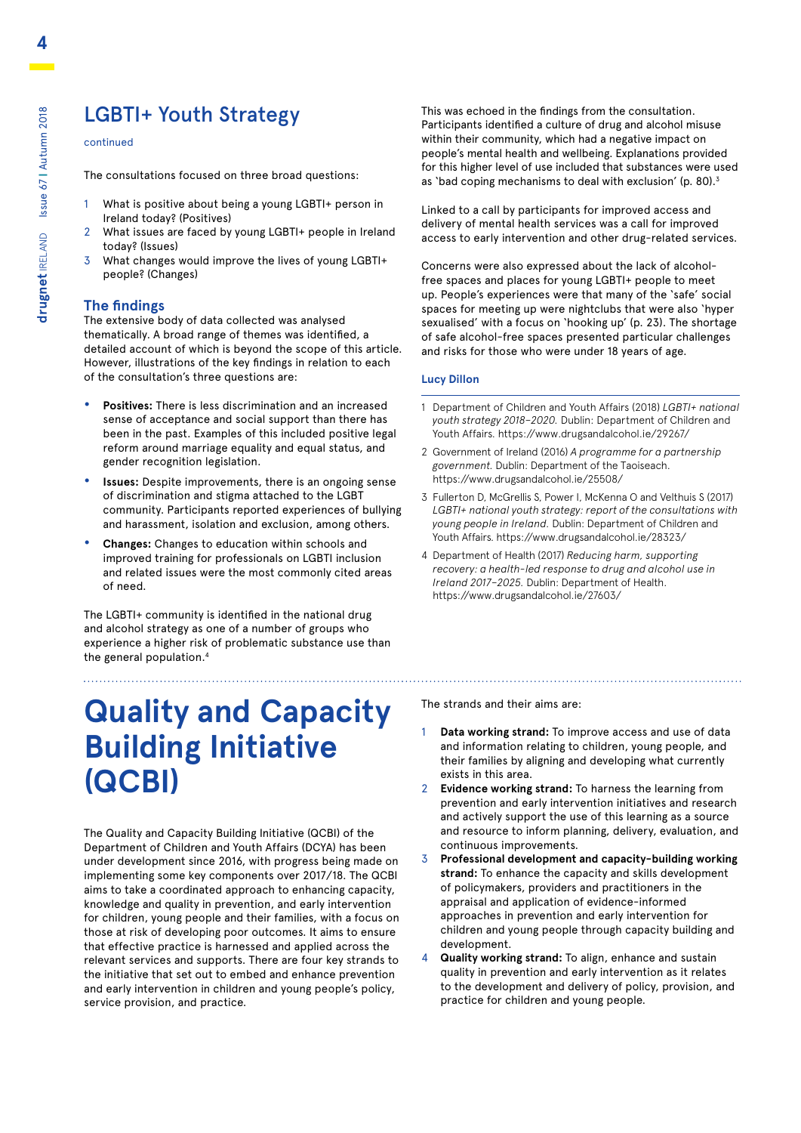### LGBTI+ Youth Strategy

### continued

The consultations focused on three broad questions:

- What is positive about being a young LGBTI+ person in Ireland today? (Positives)
- 2 What issues are faced by young LGBTI+ people in Ireland today? (Issues)
- 3 What changes would improve the lives of young LGBTI+ people? (Changes)

### **The findings**

The extensive body of data collected was analysed thematically. A broad range of themes was identified, a detailed account of which is beyond the scope of this article. However, illustrations of the key findings in relation to each of the consultation's three questions are:

- **• Positives:** There is less discrimination and an increased sense of acceptance and social support than there has been in the past. Examples of this included positive legal reform around marriage equality and equal status, and gender recognition legislation.
- **• Issues:** Despite improvements, there is an ongoing sense of discrimination and stigma attached to the LGBT community. Participants reported experiences of bullying and harassment, isolation and exclusion, among others.
- **• Changes:** Changes to education within schools and improved training for professionals on LGBTI inclusion and related issues were the most commonly cited areas of need.

The LGBTI+ community is identified in the national drug and alcohol strategy as one of a number of groups who experience a higher risk of problematic substance use than the general population.4

## **Quality and Capacity Building Initiative (QCBI)**

The Quality and Capacity Building Initiative (QCBI) of the Department of Children and Youth Affairs (DCYA) has been under development since 2016, with progress being made on implementing some key components over 2017/18. The QCBI aims to take a coordinated approach to enhancing capacity, knowledge and quality in prevention, and early intervention for children, young people and their families, with a focus on those at risk of developing poor outcomes. It aims to ensure that effective practice is harnessed and applied across the relevant services and supports. There are four key strands to the initiative that set out to embed and enhance prevention and early intervention in children and young people's policy, service provision, and practice.

This was echoed in the findings from the consultation. Participants identified a culture of drug and alcohol misuse within their community, which had a negative impact on people's mental health and wellbeing. Explanations provided for this higher level of use included that substances were used as 'bad coping mechanisms to deal with exclusion' (p. 80).3

Linked to a call by participants for improved access and delivery of mental health services was a call for improved access to early intervention and other drug-related services.

Concerns were also expressed about the lack of alcoholfree spaces and places for young LGBTI+ people to meet up. People's experiences were that many of the 'safe' social spaces for meeting up were nightclubs that were also 'hyper sexualised' with a focus on 'hooking up' (p. 23). The shortage of safe alcohol-free spaces presented particular challenges and risks for those who were under 18 years of age.

### **Lucy Dillon**

- 1 Department of Children and Youth Affairs (2018) *LGBTI+ national youth strategy 2018–2020.* Dublin: Department of Children and Youth Affairs. https://www.drugsandalcohol.ie/29267/
- 2 Government of Ireland (2016) *A programme for a partnership government.* Dublin: Department of the Taoiseach. https://www.drugsandalcohol.ie/25508/
- 3 Fullerton D, McGrellis S, Power I, McKenna O and Velthuis S (2017) *LGBTI+ national youth strategy: report of the consultations with young people in Ireland.* Dublin: Department of Children and Youth Affairs. https://www.drugsandalcohol.ie/28323/
- 4 Department of Health (2017) *Reducing harm, supporting recovery: a health-led response to drug and alcohol use in Ireland 2017–2025.* Dublin: Department of Health. https://www.drugsandalcohol.ie/27603/

The strands and their aims are:

- 1 **Data working strand:** To improve access and use of data and information relating to children, young people, and their families by aligning and developing what currently exists in this area.
- 2 **Evidence working strand:** To harness the learning from prevention and early intervention initiatives and research and actively support the use of this learning as a source and resource to inform planning, delivery, evaluation, and continuous improvements.
- 3 **Professional development and capacity-building working strand:** To enhance the capacity and skills development of policymakers, providers and practitioners in the appraisal and application of evidence-informed approaches in prevention and early intervention for children and young people through capacity building and development.
- 4 **Quality working strand:** To align, enhance and sustain quality in prevention and early intervention as it relates to the development and delivery of policy, provision, and practice for children and young people.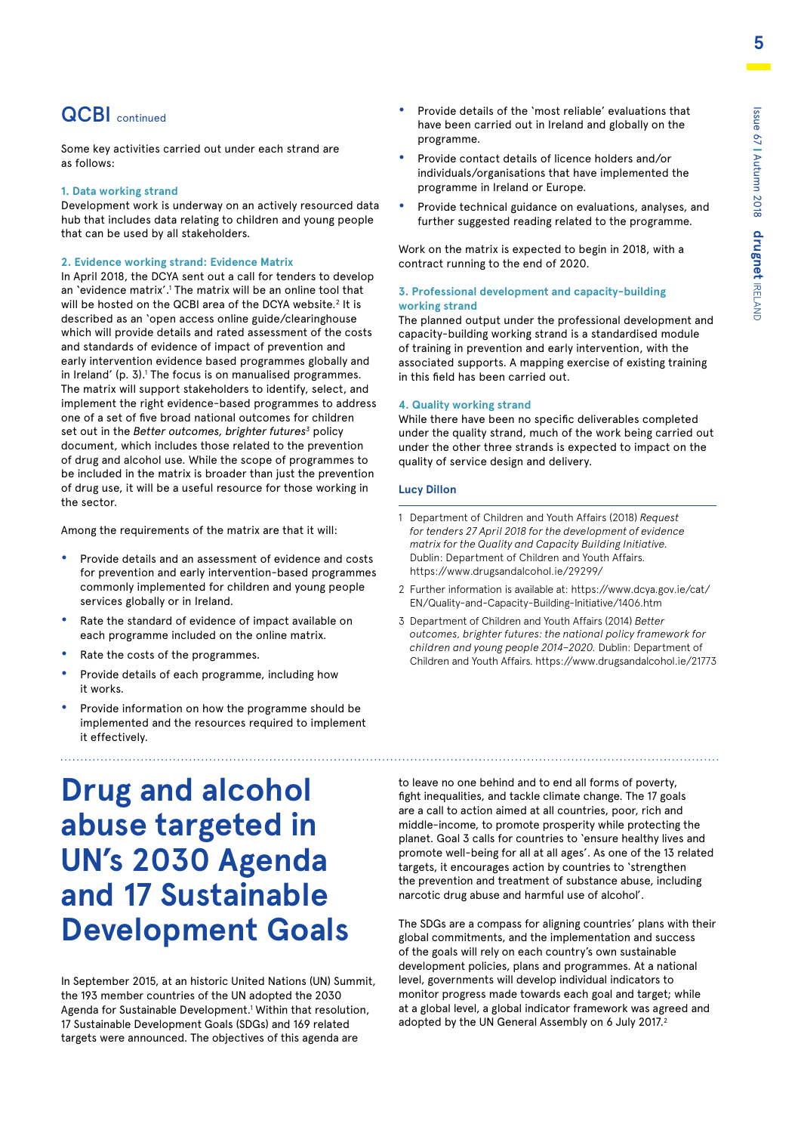Some key activities carried out under each strand are as follows:

### **1. Data working strand**

Development work is underway on an actively resourced data hub that includes data relating to children and young people that can be used by all stakeholders.

### **2. Evidence working strand: Evidence Matrix**

In April 2018, the DCYA sent out a call for tenders to develop an 'evidence matrix'.<sup>1</sup> The matrix will be an online tool that will be hosted on the QCBI area of the DCYA website.<sup>2</sup> It is described as an 'open access online guide/clearinghouse which will provide details and rated assessment of the costs and standards of evidence of impact of prevention and early intervention evidence based programmes globally and in Ireland' (p. 3).<sup>1</sup> The focus is on manualised programmes. The matrix will support stakeholders to identify, select, and implement the right evidence-based programmes to address one of a set of five broad national outcomes for children set out in the *Better outcomes, brighter futures<sup>3</sup>* policy document, which includes those related to the prevention of drug and alcohol use. While the scope of programmes to be included in the matrix is broader than just the prevention of drug use, it will be a useful resource for those working in the sector.

Among the requirements of the matrix are that it will:

- **•** Provide details and an assessment of evidence and costs for prevention and early intervention-based programmes commonly implemented for children and young people services globally or in Ireland.
- **•** Rate the standard of evidence of impact available on each programme included on the online matrix.
- **•** Rate the costs of the programmes.
- **•** Provide details of each programme, including how it works.
- **•** Provide information on how the programme should be implemented and the resources required to implement it effectively.

# **Drug and alcohol abuse targeted in UN's 2030 Agenda and 17 Sustainable Development Goals**

In September 2015, at an historic United Nations (UN) Summit, the 193 member countries of the UN adopted the 2030 Agenda for Sustainable Development.<sup>1</sup> Within that resolution, 17 Sustainable Development Goals (SDGs) and 169 related targets were announced. The objectives of this agenda are

- **QCBI** continued **•** Provide details of the 'most reliable' evaluations that have been carried out in Ireland and globally on the programme.
	- **•** Provide contact details of licence holders and/or individuals/organisations that have implemented the programme in Ireland or Europe.
	- **•** Provide technical guidance on evaluations, analyses, and further suggested reading related to the programme.

Work on the matrix is expected to begin in 2018, with a contract running to the end of 2020.

### **3. Professional development and capacity-building working strand**

The planned output under the professional development and capacity-building working strand is a standardised module of training in prevention and early intervention, with the associated supports. A mapping exercise of existing training in this field has been carried out.

### **4. Quality working strand**

While there have been no specific deliverables completed under the quality strand, much of the work being carried out under the other three strands is expected to impact on the quality of service design and delivery.

### **Lucy Dillon**

- 1 Department of Children and Youth Affairs (2018) *Request for tenders 27 April 2018 for the development of evidence matrix for the Quality and Capacity Building Initiative.*  Dublin: Department of Children and Youth Affairs. https://www.drugsandalcohol.ie/29299/
- 2 [Further information is available at: https://www.dcya.gov.ie/cat/](https://www.dcya.gov.ie/cat/EN/Quality-and-Capacity-Building-Initiative/1406.htm) EN/Quality-and-Capacity-Building-Initiative/1406.htm
- 3 Department of Children and Youth Affairs (2014) *Better outcomes, brighter futures: the national policy framework for children and young people 2014–2020.* Dublin: Department of Children and Youth Affairs. https://www.drugsandalcohol.ie/21773

to leave no one behind and to end all forms of poverty, fight inequalities, and tackle climate change. The 17 goals are a call to action aimed at all countries, poor, rich and middle-income, to promote prosperity while protecting the planet. Goal 3 calls for countries to 'ensure healthy lives and promote well-being for all at all ages'. As one of the 13 related targets, it encourages action by countries to 'strengthen the prevention and treatment of substance abuse, including narcotic drug abuse and harmful use of alcohol'.

The SDGs are a compass for aligning countries' plans with their global commitments, and the implementation and success of the goals will rely on each country's own sustainable development policies, plans and programmes. At a national level, governments will develop individual indicators to monitor progress made towards each goal and target; while at a global level, a global indicator framework was agreed and adopted by the UN General Assembly on 6 July 2017.<sup>2</sup>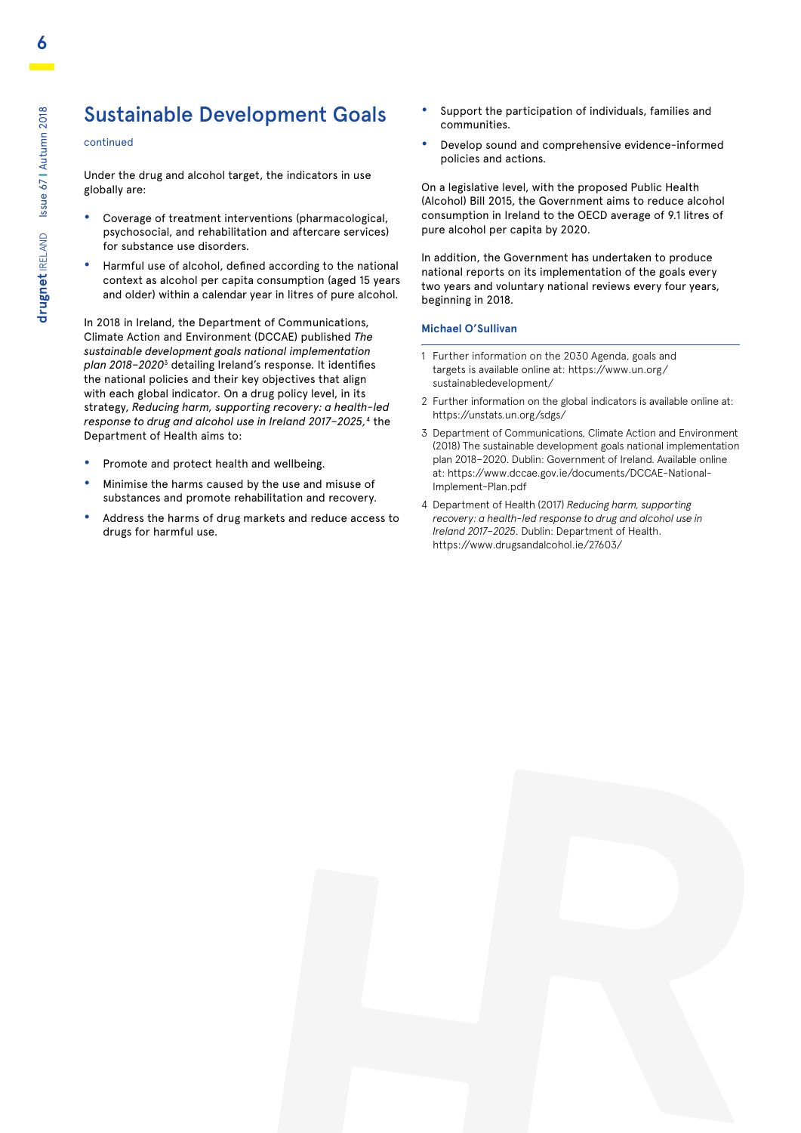### Sustainable Development Goals

### continued

Under the drug and alcohol target, the indicators in use globally are:

- **•** Coverage of treatment interventions (pharmacological, psychosocial, and rehabilitation and aftercare services) for substance use disorders.
- **•** Harmful use of alcohol, defined according to the national context as alcohol per capita consumption (aged 15 years and older) within a calendar year in litres of pure alcohol.

In 2018 in Ireland, the Department of Communications, Climate Action and Environment (DCCAE) published *The sustainable development goals national implementation plan 2018–2020*3 detailing Ireland's response. It identifies the national policies and their key objectives that align with each global indicator. On a drug policy level, in its strategy, *Reducing harm, supporting recovery: a health-led response to drug and alcohol use in Ireland 2017–2025,*4 the Department of Health aims to:

- **•** Promote and protect health and wellbeing.
- **•** Minimise the harms caused by the use and misuse of substances and promote rehabilitation and recovery.
- **•** Address the harms of drug markets and reduce access to drugs for harmful use.
- **•** Support the participation of individuals, families and communities.
- **•** Develop sound and comprehensive evidence-informed policies and actions.

On a legislative level, with the proposed Public Health (Alcohol) Bill 2015, the Government aims to reduce alcohol consumption in Ireland to the OECD average of 9.1 litres of pure alcohol per capita by 2020.

In addition, the Government has undertaken to produce national reports on its implementation of the goals every two years and voluntary national reviews every four years, beginning in 2018.

#### **Michael O'Sullivan**

- 1 Further information on the 2030 Agenda, goals and [targets is available online at: https://www.un.org/](https://www.un.org/sustainabledevelopment/) sustainabledevelopment/
- 2 Further information on the global indicators is available online at: https://unstats.un.org/sdgs/
- 3 Department of Communications, Climate Action and Environment (2018) The sustainable development goals national implementation plan 2018–2020. Dublin: Government of Ireland. Available online [at: https://www.dccae.gov.ie/documents/DCCAE-National-](https://www.dccae.gov.ie/documents/DCCAE-National-Implement-Plan.pdf)Implement-Plan.pdf
- 4 Department of Health (2017) *Reducing harm, supporting recovery: a health-led response to drug and alcohol use in Ireland 2017–2025*. Dublin: Department of Health. https://www.drugsandalcohol.ie/27603/

![](_page_5_Picture_19.jpeg)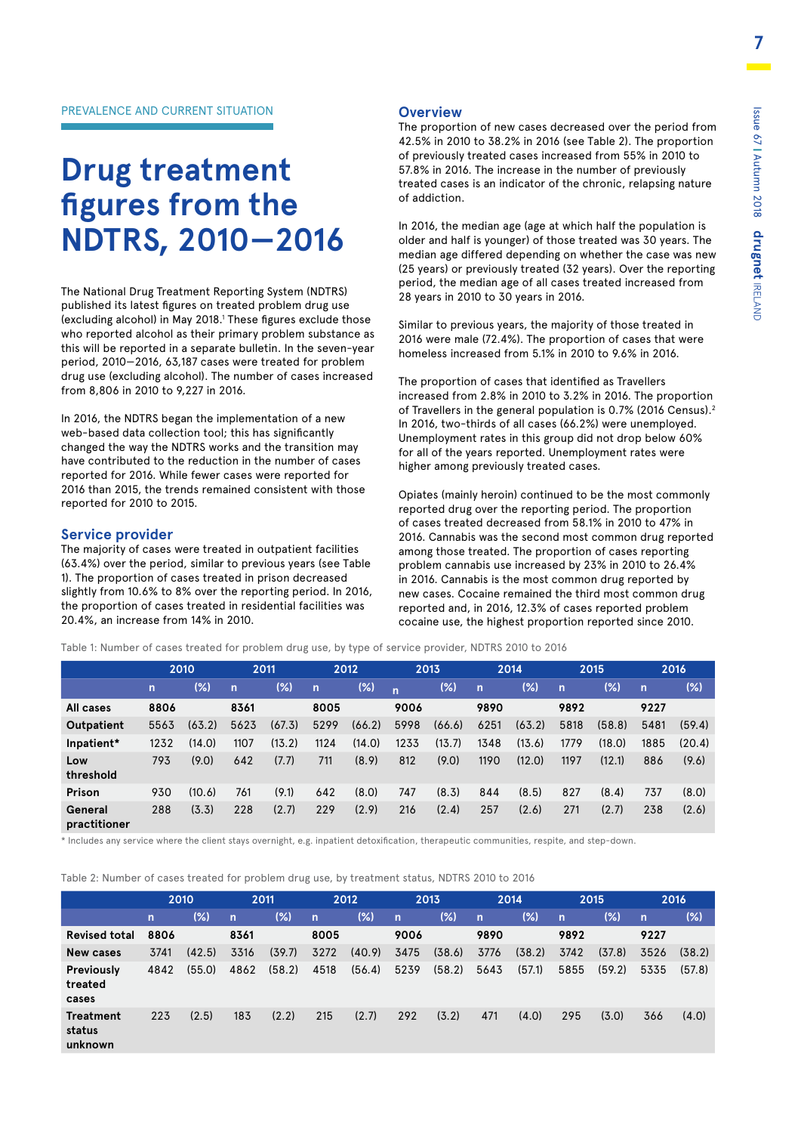# **Drug treatment figures from the NDTRS, 2010—2016**

The National Drug Treatment Reporting System (NDTRS) published its latest figures on treated problem drug use (excluding alcohol) in May 2018.<sup>1</sup> These figures exclude those who reported alcohol as their primary problem substance as this will be reported in a separate bulletin. In the seven-year period, 2010—2016, 63,187 cases were treated for problem drug use (excluding alcohol). The number of cases increased from 8,806 in 2010 to 9,227 in 2016.

In 2016, the NDTRS began the implementation of a new web-based data collection tool; this has significantly changed the way the NDTRS works and the transition may have contributed to the reduction in the number of cases reported for 2016. While fewer cases were reported for 2016 than 2015, the trends remained consistent with those reported for 2010 to 2015.

### **Service provider**

The majority of cases were treated in outpatient facilities (63.4%) over the period, similar to previous years (see Table 1). The proportion of cases treated in prison decreased slightly from 10.6% to 8% over the reporting period. In 2016, the proportion of cases treated in residential facilities was 20.4%, an increase from 14% in 2010.

### **Overview**

The proportion of new cases decreased over the period from 42.5% in 2010 to 38.2% in 2016 (see Table 2). The proportion of previously treated cases increased from 55% in 2010 to 57.8% in 2016. The increase in the number of previously treated cases is an indicator of the chronic, relapsing nature of addiction.

In 2016, the median age (age at which half the population is older and half is younger) of those treated was 30 years. The median age differed depending on whether the case was new (25 years) or previously treated (32 years). Over the reporting period, the median age of all cases treated increased from 28 years in 2010 to 30 years in 2016.

Similar to previous years, the majority of those treated in 2016 were male (72.4%). The proportion of cases that were homeless increased from 5.1% in 2010 to 9.6% in 2016.

The proportion of cases that identified as Travellers increased from 2.8% in 2010 to 3.2% in 2016. The proportion of Travellers in the general population is 0.7% (2016 Census).<sup>2</sup> In 2016, two-thirds of all cases (66.2%) were unemployed. Unemployment rates in this group did not drop below 60% for all of the years reported. Unemployment rates were higher among previously treated cases.

Opiates (mainly heroin) continued to be the most commonly reported drug over the reporting period. The proportion of cases treated decreased from 58.1% in 2010 to 47% in 2016. Cannabis was the second most common drug reported among those treated. The proportion of cases reporting problem cannabis use increased by 23% in 2010 to 26.4% in 2016. Cannabis is the most common drug reported by new cases. Cocaine remained the third most common drug reported and, in 2016, 12.3% of cases reported problem cocaine use, the highest proportion reported since 2010.

Table 1: Number of cases treated for problem drug use, by type of service provider, NDTRS 2010 to 2016

|                         |              | 2010   |              | 2011   |                | 2012   |              | 2013   |              | 2014   |              | 2015   |              | 2016   |
|-------------------------|--------------|--------|--------------|--------|----------------|--------|--------------|--------|--------------|--------|--------------|--------|--------------|--------|
|                         | $\mathsf{n}$ | (% )   | $\mathsf{n}$ | $(\%)$ | $\overline{ }$ | (%)    | $\mathsf{n}$ | $(\%)$ | $\mathsf{n}$ | (%)    | $\mathsf{n}$ | $(\%)$ | $\mathsf{n}$ | (%)    |
| All cases               | 8806         |        | 8361         |        | 8005           |        | 9006         |        | 9890         |        | 9892         |        | 9227         |        |
| Outpatient              | 5563         | (63.2) | 5623         | (67.3) | 5299           | (66.2) | 5998         | (66.6) | 6251         | (63.2) | 5818         | (58.8) | 5481         | (59.4) |
| Inpatient*              | 1232         | (14.0) | 1107         | (13.2) | 1124           | (14.0) | 1233         | (13.7) | 1348         | (13.6) | 1779         | (18.0) | 1885         | (20.4) |
| Low<br>threshold        | 793          | (9.0)  | 642          | (7.7)  | 711            | (8.9)  | 812          | (9.0)  | 1190         | (12.0) | 1197         | (12.1) | 886          | (9.6)  |
| Prison                  | 930          | (10.6) | 761          | (9.1)  | 642            | (8.0)  | 747          | (8.3)  | 844          | (8.5)  | 827          | (8.4)  | 737          | (8.0)  |
| General<br>practitioner | 288          | (3.3)  | 228          | (2.7)  | 229            | (2.9)  | 216          | (2.4)  | 257          | (2.6)  | 271          | (2.7)  | 238          | (2.6)  |

\* Includes any service where the client stays overnight, e.g. inpatient detoxification, therapeutic communities, respite, and step-down.

Table 2: Number of cases treated for problem drug use, by treatment status, NDTRS 2010 to 2016

|                                       |                | 2010   |              | 2011   |              | 2012   |      | 2013   |              | 2014   |             | 2015   |                | 2016   |
|---------------------------------------|----------------|--------|--------------|--------|--------------|--------|------|--------|--------------|--------|-------------|--------|----------------|--------|
|                                       | $\overline{n}$ | $(\%)$ | $\mathsf{n}$ | (%)    | $\mathsf{n}$ | (%)    | /n/  | $(\%)$ | $\mathsf{n}$ | $(\%)$ | $\mathbf n$ | (%)    | $\overline{n}$ | (%)    |
| <b>Revised total</b>                  | 8806           |        | 8361         |        | 8005         |        | 9006 |        | 9890         |        | 9892        |        | 9227           |        |
| <b>New cases</b>                      | 3741           | (42.5) | 3316         | (39.7) | 3272         | (40.9) | 3475 | (38.6) | 3776         | (38.2) | 3742        | (37.8) | 3526           | (38.2) |
| <b>Previously</b><br>treated<br>cases | 4842           | (55.0) | 4862         | (58.2) | 4518         | (56.4) | 5239 | (58.2) | 5643         | (57.1) | 5855        | (59.2) | 5335           | (57.8) |
| <b>Treatment</b><br>status<br>unknown | 223            | (2.5)  | 183          | (2.2)  | 215          | (2.7)  | 292  | (3.2)  | 471          | (4.0)  | 295         | (3.0)  | 366            | (4.0)  |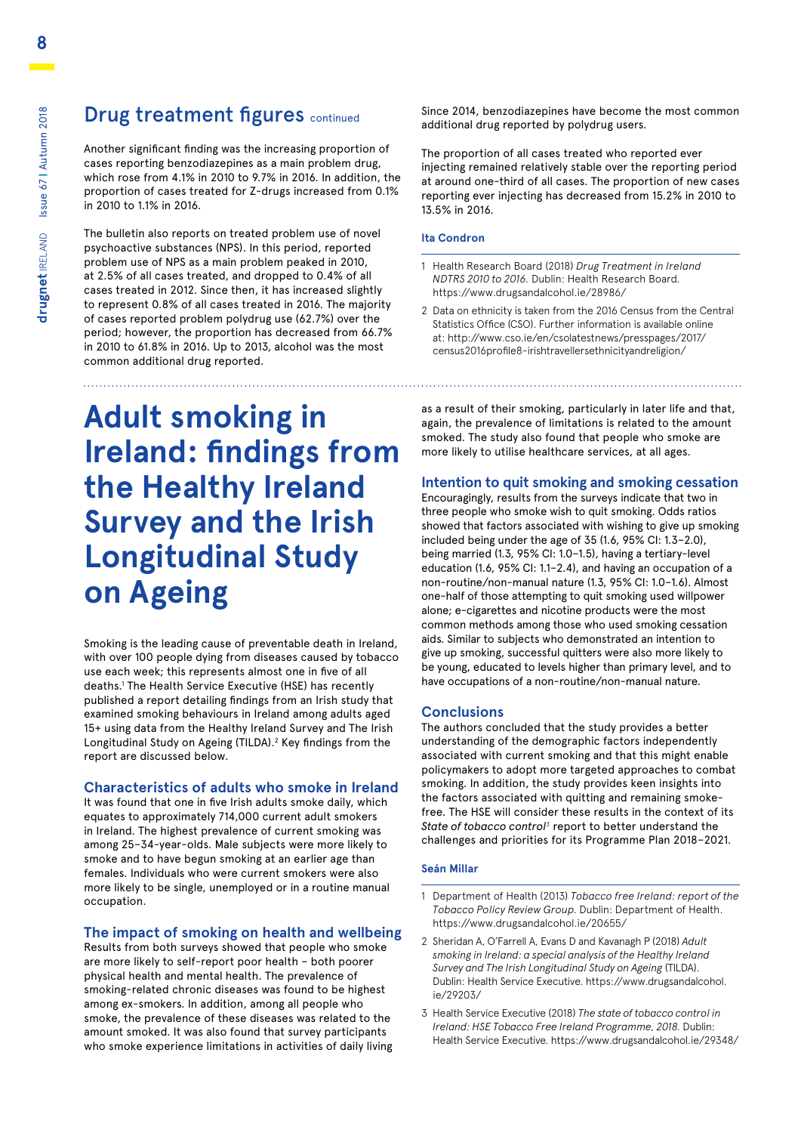### Drug treatment figures continued

Another significant finding was the increasing proportion of cases reporting benzodiazepines as a main problem drug, which rose from 4.1% in 2010 to 9.7% in 2016. In addition, the proportion of cases treated for Z-drugs increased from 0.1% in 2010 to 1.1% in 2016.

The bulletin also reports on treated problem use of novel psychoactive substances (NPS). In this period, reported problem use of NPS as a main problem peaked in 2010, at 2.5% of all cases treated, and dropped to 0.4% of all cases treated in 2012. Since then, it has increased slightly to represent 0.8% of all cases treated in 2016. The majority of cases reported problem polydrug use (62.7%) over the period; however, the proportion has decreased from 66.7% in 2010 to 61.8% in 2016. Up to 2013, alcohol was the most common additional drug reported.

# **Adult smoking in Ireland: findings from the Healthy Ireland Survey and the Irish Longitudinal Study on Ageing**

Smoking is the leading cause of preventable death in Ireland, with over 100 people dying from diseases caused by tobacco use each week; this represents almost one in five of all deaths.1 The Health Service Executive (HSE) has recently published a report detailing findings from an Irish study that examined smoking behaviours in Ireland among adults aged 15+ using data from the Healthy Ireland Survey and The Irish Longitudinal Study on Ageing (TILDA).<sup>2</sup> Key findings from the report are discussed below.

### **Characteristics of adults who smoke in Ireland**

It was found that one in five Irish adults smoke daily, which equates to approximately 714,000 current adult smokers in Ireland. The highest prevalence of current smoking was among 25–34-year-olds. Male subjects were more likely to smoke and to have begun smoking at an earlier age than females. Individuals who were current smokers were also more likely to be single, unemployed or in a routine manual occupation.

### **The impact of smoking on health and wellbeing**

Results from both surveys showed that people who smoke are more likely to self-report poor health – both poorer physical health and mental health. The prevalence of smoking-related chronic diseases was found to be highest among ex-smokers. In addition, among all people who smoke, the prevalence of these diseases was related to the amount smoked. It was also found that survey participants who smoke experience limitations in activities of daily living Since 2014, benzodiazepines have become the most common additional drug reported by polydrug users.

The proportion of all cases treated who reported ever injecting remained relatively stable over the reporting period at around one-third of all cases. The proportion of new cases reporting ever injecting has decreased from 15.2% in 2010 to 13.5% in 2016.

### **Ita Condron**

- 1 Health Research Board (2018) *Drug Treatment in Ireland NDTRS 2010 to 2016.* Dublin: Health Research Board. https://www.drugsandalcohol.ie/28986/
- 2 Data on ethnicity is taken from the 2016 Census from the Central Statistics Office (CSO). Further information is available online [at: http://www.cso.ie/en/csolatestnews/presspages/2017/](http://www.cso.ie/en/csolatestnews/presspages/2017/census2016profile8-irishtravellersethnicityandreligion/) census2016profile8-irishtravellersethnicityandreligion/

as a result of their smoking, particularly in later life and that, again, the prevalence of limitations is related to the amount smoked. The study also found that people who smoke are more likely to utilise healthcare services, at all ages.

### **Intention to quit smoking and smoking cessation**

Encouragingly, results from the surveys indicate that two in three people who smoke wish to quit smoking. Odds ratios showed that factors associated with wishing to give up smoking included being under the age of 35 (1.6, 95% CI: 1.3–2.0), being married (1.3, 95% CI: 1.0–1.5), having a tertiary-level education (1.6, 95% CI: 1.1–2.4), and having an occupation of a non-routine/non-manual nature (1.3, 95% CI: 1.0–1.6). Almost one-half of those attempting to quit smoking used willpower alone; e-cigarettes and nicotine products were the most common methods among those who used smoking cessation aids. Similar to subjects who demonstrated an intention to give up smoking, successful quitters were also more likely to be young, educated to levels higher than primary level, and to have occupations of a non-routine/non-manual nature.

### **Conclusions**

The authors concluded that the study provides a better understanding of the demographic factors independently associated with current smoking and that this might enable policymakers to adopt more targeted approaches to combat smoking. In addition, the study provides keen insights into the factors associated with quitting and remaining smokefree. The HSE will consider these results in the context of its State of tobacco control<sup>3</sup> report to better understand the challenges and priorities for its Programme Plan 2018–2021.

### **Seán Millar**

- 1 Department of Health (2013) *Tobacco free Ireland: report of the Tobacco Policy Review Group.* Dublin: Department of Health. https://www.drugsandalcohol.ie/20655/
- 2 Sheridan A, O'Farrell A, Evans D and Kavanagh P (2018) *Adult smoking in Ireland: a special analysis of the Healthy Ireland Survey and The Irish Longitudinal Study on Ageing* (TILDA). [Dublin: Health Service Executive. https://www.drugsandalcohol.](https://www.drugsandalcohol.ie/29203/) ie/29203/
- 3 Health Service Executive (2018) *The state of tobacco control in Ireland: HSE Tobacco Free Ireland Programme, 2018.* Dublin: Health Service Executive. https://www.drugsandalcohol.ie/29348/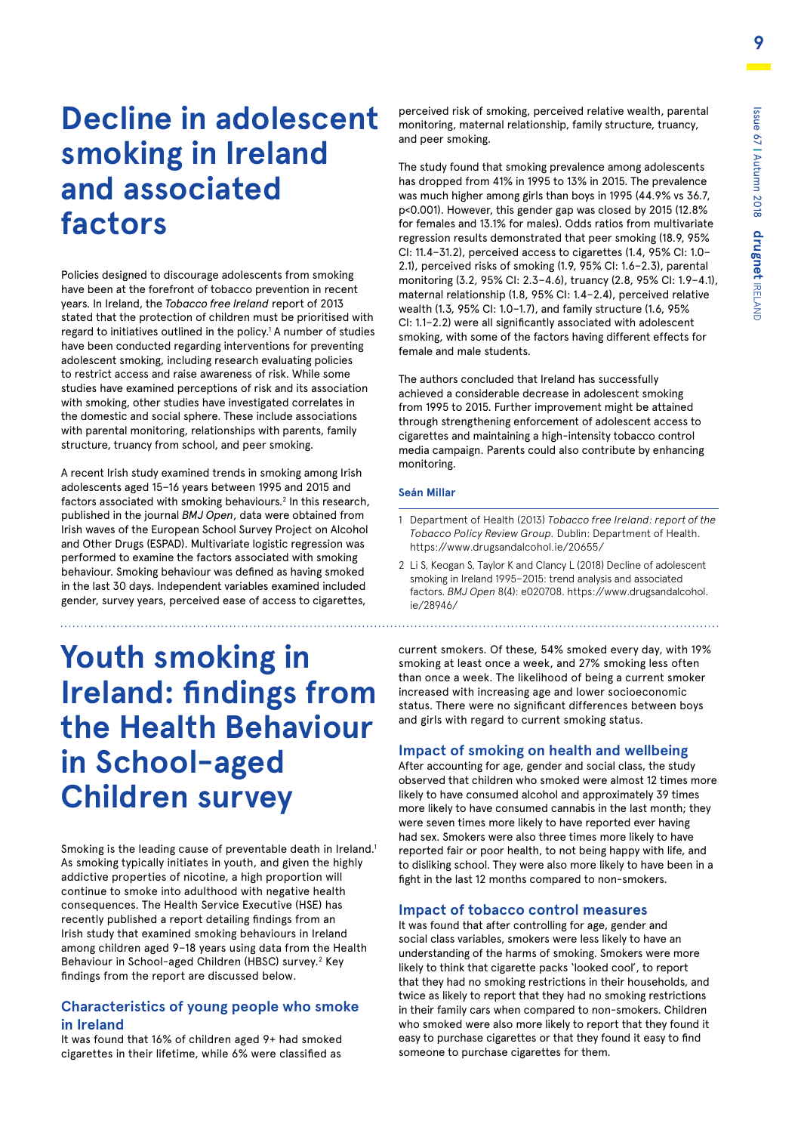## **Decline in adolescent smoking in Ireland and associated factors**

Policies designed to discourage adolescents from smoking have been at the forefront of tobacco prevention in recent years. In Ireland, the *Tobacco free Ireland* report of 2013 stated that the protection of children must be prioritised with regard to initiatives outlined in the policy.<sup>1</sup> A number of studies have been conducted regarding interventions for preventing adolescent smoking, including research evaluating policies to restrict access and raise awareness of risk. While some studies have examined perceptions of risk and its association with smoking, other studies have investigated correlates in the domestic and social sphere. These include associations with parental monitoring, relationships with parents, family structure, truancy from school, and peer smoking.

A recent Irish study examined trends in smoking among Irish adolescents aged 15–16 years between 1995 and 2015 and factors associated with smoking behaviours.<sup>2</sup> In this research, published in the journal *BMJ Open*, data were obtained from Irish waves of the European School Survey Project on Alcohol and Other Drugs (ESPAD). Multivariate logistic regression was performed to examine the factors associated with smoking behaviour. Smoking behaviour was defined as having smoked in the last 30 days. Independent variables examined included gender, survey years, perceived ease of access to cigarettes,

# **Youth smoking in Ireland: findings from the Health Behaviour in School-aged Children survey**

Smoking is the leading cause of preventable death in Ireland.<sup>1</sup> As smoking typically initiates in youth, and given the highly addictive properties of nicotine, a high proportion will continue to smoke into adulthood with negative health consequences. The Health Service Executive (HSE) has recently published a report detailing findings from an Irish study that examined smoking behaviours in Ireland among children aged 9–18 years using data from the Health Behaviour in School-aged Children (HBSC) survey.<sup>2</sup> Key findings from the report are discussed below.

### **Characteristics of young people who smoke in Ireland**

It was found that 16% of children aged 9+ had smoked cigarettes in their lifetime, while 6% were classified as

perceived risk of smoking, perceived relative wealth, parental monitoring, maternal relationship, family structure, truancy, and peer smoking.

The study found that smoking prevalence among adolescents has dropped from 41% in 1995 to 13% in 2015. The prevalence was much higher among girls than boys in 1995 (44.9% vs 36.7, p<0.001). However, this gender gap was closed by 2015 (12.8% for females and 13.1% for males). Odds ratios from multivariate regression results demonstrated that peer smoking (18.9, 95% CI: 11.4–31.2), perceived access to cigarettes (1.4, 95% CI: 1.0– 2.1), perceived risks of smoking (1.9, 95% CI: 1.6–2.3), parental monitoring (3.2, 95% CI: 2.3–4.6), truancy (2.8, 95% CI: 1.9–4.1), maternal relationship (1.8, 95% CI: 1.4–2.4), perceived relative wealth (1.3, 95% CI: 1.0–1.7), and family structure (1.6, 95% CI: 1.1–2.2) were all significantly associated with adolescent smoking, with some of the factors having different effects for female and male students.

The authors concluded that Ireland has successfully achieved a considerable decrease in adolescent smoking from 1995 to 2015. Further improvement might be attained through strengthening enforcement of adolescent access to cigarettes and maintaining a high-intensity tobacco control media campaign. Parents could also contribute by enhancing monitoring.

### **Seán Millar**

- 1 Department of Health (2013) *Tobacco free Ireland: report of the Tobacco Policy Review Group.* Dublin: Department of Health. https://www.drugsandalcohol.ie/20655/
- 2 Li S, Keogan S, Taylor K and Clancy L (2018) Decline of adolescent smoking in Ireland 1995–2015: trend analysis and associated factors. *BMJ Open* [8\(4\): e020708. https://www.drugsandalcohol.](https://www.drugsandalcohol.ie/28946/) ie/28946/

current smokers. Of these, 54% smoked every day, with 19% smoking at least once a week, and 27% smoking less often than once a week. The likelihood of being a current smoker increased with increasing age and lower socioeconomic status. There were no significant differences between boys and girls with regard to current smoking status.

### **Impact of smoking on health and wellbeing**

After accounting for age, gender and social class, the study observed that children who smoked were almost 12 times more likely to have consumed alcohol and approximately 39 times more likely to have consumed cannabis in the last month; they were seven times more likely to have reported ever having had sex. Smokers were also three times more likely to have reported fair or poor health, to not being happy with life, and to disliking school. They were also more likely to have been in a fight in the last 12 months compared to non-smokers.

### **Impact of tobacco control measures**

It was found that after controlling for age, gender and social class variables, smokers were less likely to have an understanding of the harms of smoking. Smokers were more likely to think that cigarette packs 'looked cool', to report that they had no smoking restrictions in their households, and twice as likely to report that they had no smoking restrictions in their family cars when compared to non-smokers. Children who smoked were also more likely to report that they found it easy to purchase cigarettes or that they found it easy to find someone to purchase cigarettes for them.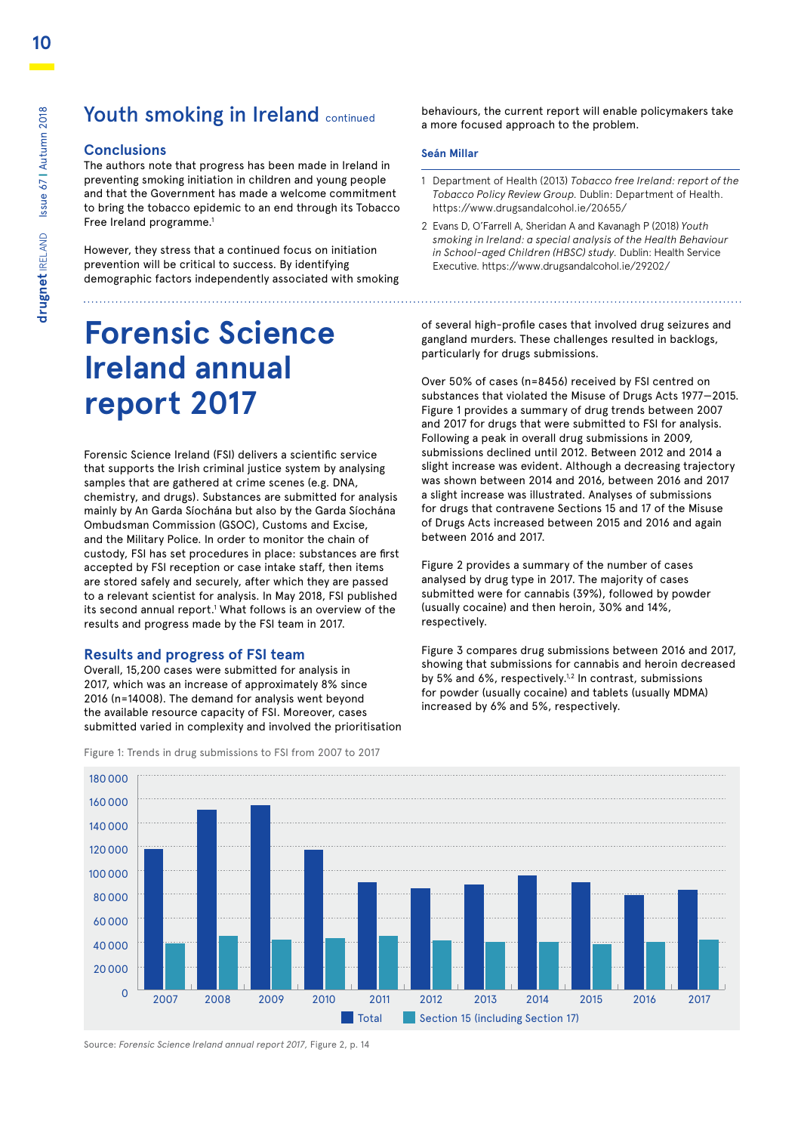### Youth smoking in Ireland continued

### **Conclusions**

The authors note that progress has been made in Ireland in preventing smoking initiation in children and young people and that the Government has made a welcome commitment to bring the tobacco epidemic to an end through its Tobacco Free Ireland programme.<sup>1</sup>

However, they stress that a continued focus on initiation prevention will be critical to success. By identifying demographic factors independently associated with smoking

# **Forensic Science Ireland annual report 2017**

Forensic Science Ireland (FSI) delivers a scientific service that supports the Irish criminal justice system by analysing<br>samples that are gathered at crime scenes (e.g. DNA samples that are gathered at crime scenes (e.g. DNA, chemistry, and drugs). Substances are submitted for analysis mainly by An Garda Síochána but also by the Garda Síochána manny by An Garda Slochana but also by the Garda Sloc<br>Ombudsman Commission (GSOC), Customs and Excise, and the Military Police. In order to monitor the chain of 60 custody, FSI has set procedures in place: substances are first accepted by FSI reception or case intake staff, then items are stored safely and securely, after which they are passed are stored safely and securely, after which they are passed<br>to a relevant scientist for analysis. In May 2018, FSI published its second annual report.<sup>1</sup> What follows is an overview of the<br>results and progress made by the FSI team in 2017 results and progress made by the FSI team in 2017.

### **Results and progress of FSI team**

Overall, 15,200 cases were submitted for analysis in 2017, which was an increase of approximately 8% since 2016 (n=14008). The demand for analysis went beyond the available resource capacity of FSI. Moreover, cases submitted varied in complexity and involved the prioritisation behaviours, the current report will enable policymakers take a more focused approach to the problem.

#### **Seán Millar**

- 1 Department of Health (2013) *Tobacco free Ireland: report of the Tobacco Policy Review Group.* Dublin: Department of Health. https://www.drugsandalcohol.ie/20655/
- 2 Evans D, O'Farrell A, Sheridan A and Kavanagh P (2018) *Youth smoking in Ireland: a special analysis of the Health Behaviour in School-aged Children (HBSC) study.* Dublin: Health Service Executive. https://www.drugsandalcohol.ie/29202/

of several high-profile cases that involved drug seizures and gangland murders. These challenges resulted in backlogs, particularly for drugs submissions.

Over 50% of cases (n=8456) received by FSI centred on substances that violated the Misuse of Drugs Acts 1977—2015. Figure 1 provides a summary of drug trends between 2007 and 2017 for drugs that were submitted to FSI for analysis. Following a peak in overall drug submissions in 2009, submissions declined until 2012. Between 2012 and 2014 a slight increase was evident. Although a decreasing trajectory was shown between 2014 and 2016, between 2016 and 2017 a slight increase was illustrated. Analyses of submissions for drugs that contravene Sections 15 and 17 of the Misuse of Drugs Acts increased between 2015 and 2016 and again between 2016 and 2017.

Figure 2 provides a summary of the number of cases analysed by drug type in 2017. The majority of cases submitted were for cannabis (39%), followed by powder (usually cocaine) and then heroin, 30% and 14%, respectively.

Figure 3 compares drug submissions between 2016 and 2017, showing that submissions for cannabis and heroin decreased by 5% and 6%, respectively.<sup>1,2</sup> In contrast, submissions for powder (usually cocaine) and tablets (usually MDMA) increased by 6% and 5%, respectively.

![](_page_9_Figure_16.jpeg)

### Figure 1: Trends in drug submissions to FSI from 2007 to 2017

Source: *Forensic Science Ireland annual report 2017,* Figure 2, p. 14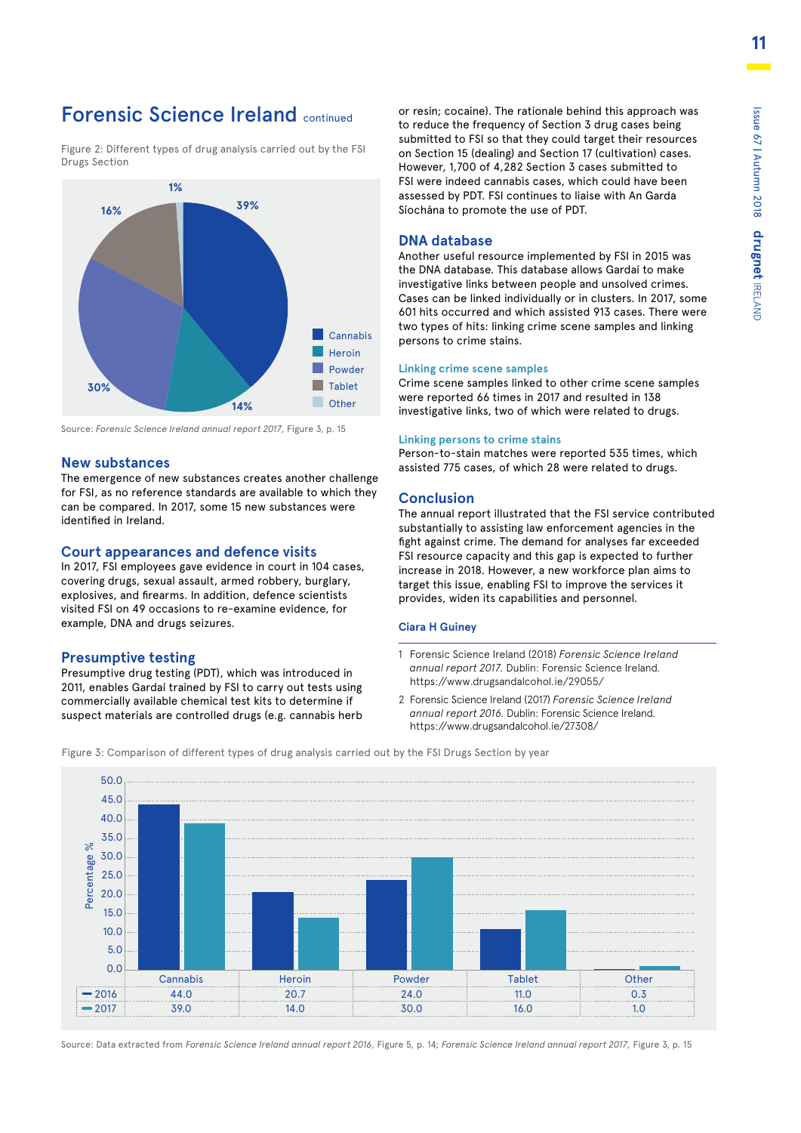### Forensic Science Ireland continued

Figure 2: Different types of drug analysis carried out by the FSI Drugs Section

![](_page_10_Figure_3.jpeg)

Source: *Forensic Science Ireland annual report 2017,* Figure 3, p. 15

### **New substances** 50

The emergence of new substances creates another challenge<br>for ESL as no reference standards are available to which thou for FSI, as no reference standards are available to which they for For, as no reference standards are available to which the compared. In 2017, some 15 new substances were identified in Ireland.

### **Court appearances and defence visits** 30

**COUrt appearances and defence visits<br>In 2017, FSI employees gave evidence in court in 104 cases,** covering drugs, sexual assault, armed robbery, burglary, 20 explosives, and firearms. In addition, defence scientists visited FSI on 49 occasions to re-examine evidence, for example, DNA and drugs seizures.<br>. ited<br>nm

### **Presumptive testing** 0

Presumptive drug testing (PDT), which was introduced in 2011, enables Gardaí trained by FSI to carry out tests using commercially available chemical test kits to determine if suspect materials are controlled drugs (e.g. cannabis herb or resin; cocaine). The rationale behind this approach was to reduce the frequency of Section 3 drug cases being submitted to FSI so that they could target their resources on Section 15 (dealing) and Section 17 (cultivation) cases. However, 1,700 of 4,282 Section 3 cases submitted to FSI were indeed cannabis cases, which could have been assessed by PDT. FSI continues to liaise with An Garda Síochána to promote the use of PDT.

### **DNA database**

Another useful resource implemented by FSI in 2015 was the DNA database. This database allows Gardaí to make investigative links between people and unsolved crimes. Cases can be linked individually or in clusters. In 2017, some 601 hits occurred and which assisted 913 cases. There were two types of hits: linking crime scene samples and linking persons to crime stains.

#### **Linking crime scene samples**

Crime scene samples linked to other crime scene samples were reported 66 times in 2017 and resulted in 138 investigative links, two of which were related to drugs.

#### **Linking persons to crime stains**

Person-to-stain matches were reported 535 times, which assisted 775 cases, of which 28 were related to drugs.

### **Conclusion**

The annual report illustrated that the FSI service contributed substantially to assisting law enforcement agencies in the fight against crime. The demand for analyses far exceeded FSI resource capacity and this gap is expected to further increase in 2018. However, a new workforce plan aims to target this issue, enabling FSI to improve the services it provides, widen its capabilities and personnel.

### **Ciara H Guiney**

- 1 Forensic Science Ireland (2018) *Forensic Science Ireland annual report 2017.* Dublin: Forensic Science Ireland. https://www.drugsandalcohol.ie/29055/
- 2 Forensic Science Ireland (2017) *Forensic Science Ireland annual report 2016.* Dublin: Forensic Science Ireland. https://www.drugsandalcohol.ie/27308/

Figure 3: Comparison of different types of drug analysis carried out by the FSI Drugs Section by year

![](_page_10_Figure_24.jpeg)

Source: Data extracted from *Forensic Science Ireland annual report 2016*, Figure 5, p. 14; *Forensic Science Ireland annual report 2017*, Figure 3, p. 15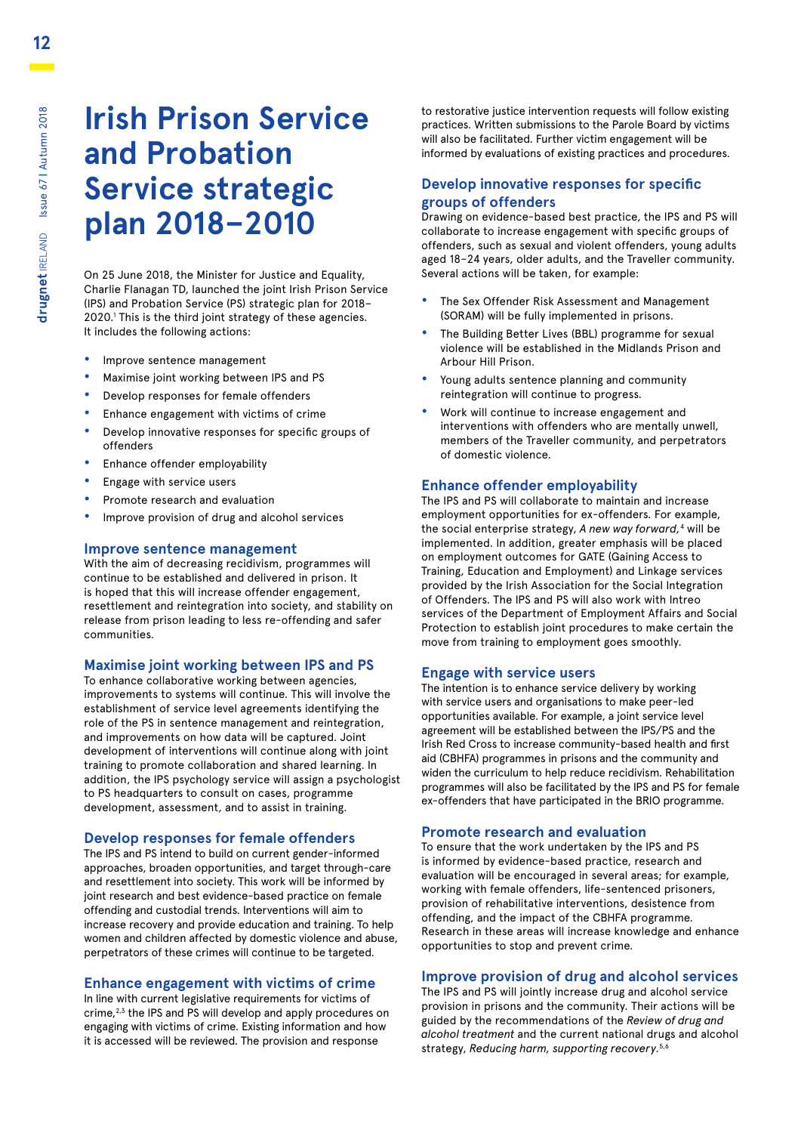# **Irish Prison Service and Probation Service strategic plan 2018–2010**

On 25 June 2018, the Minister for Justice and Equality, Charlie Flanagan TD, launched the joint Irish Prison Service (IPS) and Probation Service (PS) strategic plan for 2018– 2020.1 This is the third joint strategy of these agencies. It includes the following actions:

- **•** Improve sentence management
- **•** Maximise joint working between IPS and PS
- **•** Develop responses for female offenders
- **•** Enhance engagement with victims of crime
- **•** Develop innovative responses for specific groups of offenders
- **•** Enhance offender employability
- **•** Engage with service users
- **•** Promote research and evaluation
- **•** Improve provision of drug and alcohol services

#### **Improve sentence management**

With the aim of decreasing recidivism, programmes will continue to be established and delivered in prison. It is hoped that this will increase offender engagement, resettlement and reintegration into society, and stability on release from prison leading to less re-offending and safer communities.

### **Maximise joint working between IPS and PS**

To enhance collaborative working between agencies, improvements to systems will continue. This will involve the establishment of service level agreements identifying the role of the PS in sentence management and reintegration, and improvements on how data will be captured. Joint development of interventions will continue along with joint training to promote collaboration and shared learning. In addition, the IPS psychology service will assign a psychologist to PS headquarters to consult on cases, programme development, assessment, and to assist in training.

#### **Develop responses for female offenders**

The IPS and PS intend to build on current gender-informed approaches, broaden opportunities, and target through-care and resettlement into society. This work will be informed by joint research and best evidence-based practice on female offending and custodial trends. Interventions will aim to increase recovery and provide education and training. To help women and children affected by domestic violence and abuse, perpetrators of these crimes will continue to be targeted.

#### **Enhance engagement with victims of crime**

In line with current legislative requirements for victims of crime,<sup>2,3</sup> the IPS and PS will develop and apply procedures on engaging with victims of crime. Existing information and how it is accessed will be reviewed. The provision and response

to restorative justice intervention requests will follow existing practices. Written submissions to the Parole Board by victims will also be facilitated. Further victim engagement will be informed by evaluations of existing practices and procedures.

### **Develop innovative responses for specific groups of offenders**

Drawing on evidence-based best practice, the IPS and PS will collaborate to increase engagement with specific groups of offenders, such as sexual and violent offenders, young adults aged 18–24 years, older adults, and the Traveller community. Several actions will be taken, for example:

- **•** The Sex Offender Risk Assessment and Management (SORAM) will be fully implemented in prisons.
- **•** The Building Better Lives (BBL) programme for sexual violence will be established in the Midlands Prison and Arbour Hill Prison.
- **•** Young adults sentence planning and community reintegration will continue to progress.
- **•** Work will continue to increase engagement and interventions with offenders who are mentally unwell, members of the Traveller community, and perpetrators of domestic violence.

#### **Enhance offender employability**

The IPS and PS will collaborate to maintain and increase employment opportunities for ex-offenders. For example, the social enterprise strategy, *A new way forward,*<sup>4</sup> will be implemented. In addition, greater emphasis will be placed on employment outcomes for GATE (Gaining Access to Training, Education and Employment) and Linkage services provided by the Irish Association for the Social Integration of Offenders. The IPS and PS will also work with Intreo services of the Department of Employment Affairs and Social Protection to establish joint procedures to make certain the move from training to employment goes smoothly.

#### **Engage with service users**

The intention is to enhance service delivery by working with service users and organisations to make peer-led opportunities available. For example, a joint service level agreement will be established between the IPS/PS and the Irish Red Cross to increase community-based health and first aid (CBHFA) programmes in prisons and the community and widen the curriculum to help reduce recidivism. Rehabilitation programmes will also be facilitated by the IPS and PS for female ex-offenders that have participated in the BRIO programme.

### **Promote research and evaluation**

To ensure that the work undertaken by the IPS and PS is informed by evidence-based practice, research and evaluation will be encouraged in several areas; for example, working with female offenders, life-sentenced prisoners, provision of rehabilitative interventions, desistence from offending, and the impact of the CBHFA programme. Research in these areas will increase knowledge and enhance opportunities to stop and prevent crime.

### **Improve provision of drug and alcohol services**

The IPS and PS will jointly increase drug and alcohol service provision in prisons and the community. Their actions will be guided by the recommendations of the *Review of drug and alcohol treatment* and the current national drugs and alcohol strategy, *Reducing harm, supporting recovery.*5,6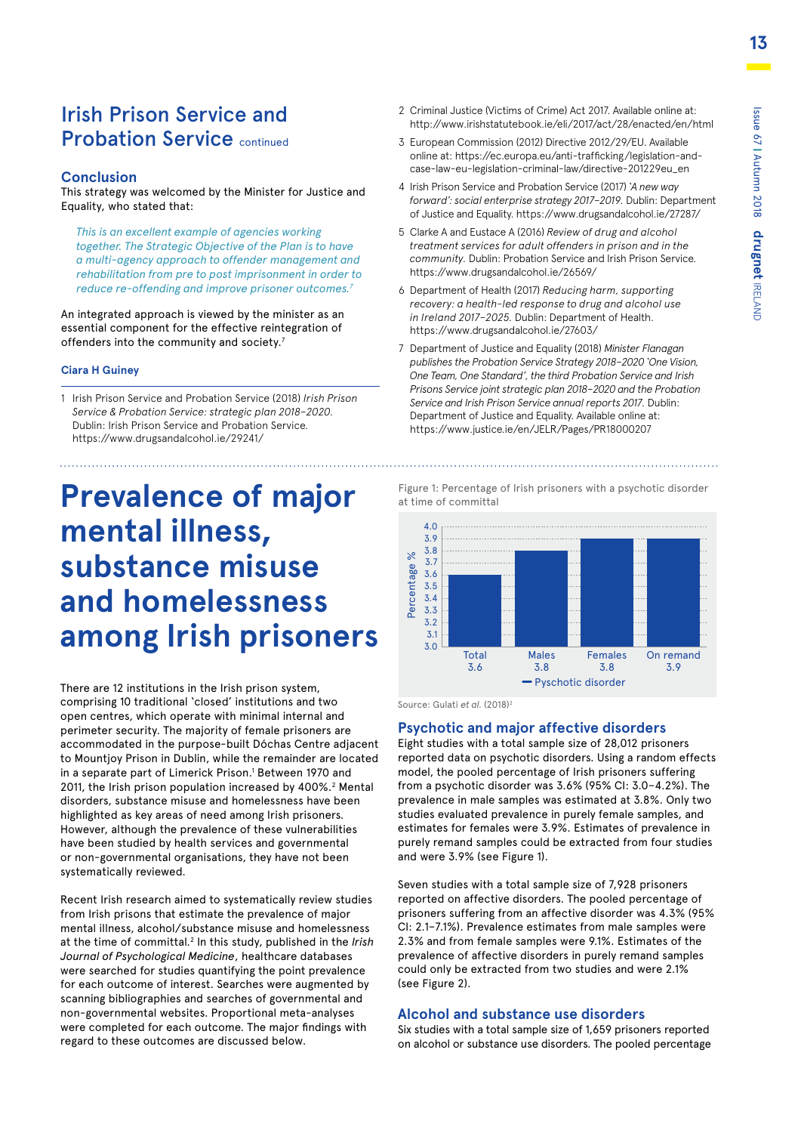### Irish Prison Service and **Probation Service continued**

### **Conclusion**

This strategy was welcomed by the Minister for Justice and Equality, who stated that:

*This is an excellent example of agencies working together. The Strategic Objective of the Plan is to have a multi-agency approach to offender management and rehabilitation from pre to post imprisonment in order to reduce re-offending and improve prisoner outcomes.7*

An integrated approach is viewed by the minister as an essential component for the effective reintegration of offenders into the community and society.<sup>7</sup>

### **Ciara H Guiney**

1 Irish Prison Service and Probation Service (2018) *Irish Prison Service & Probation Service: strategic plan 2018–2020.* Dublin: Irish Prison Service and Probation Service. https://www.drugsandalcohol.ie/29241/

# **Prevalence of major mental illness, substance misuse and homelessness among Irish prisoners**

There are 12 institutions in the Irish prison system, comprising 10 traditional 'closed' institutions and two open centres, which operate with minimal internal and perimeter security. The majority of female prisoners are accommodated in the purpose-built Dóchas Centre adjacent to Mountjoy Prison in Dublin, while the remainder are located in a separate part of Limerick Prison.<sup>1</sup> Between 1970 and 2011, the Irish prison population increased by 400%.<sup>2</sup> Mental disorders, substance misuse and homelessness have been highlighted as key areas of need among Irish prisoners. However, although the prevalence of these vulnerabilities have been studied by health services and governmental or non-governmental organisations, they have not been systematically reviewed.

Recent Irish research aimed to systematically review studies from Irish prisons that estimate the prevalence of major mental illness, alcohol/substance misuse and homelessness at the time of committal.<sup>2</sup> In this study, published in the Irish *Journal of Psychological Medicine*, healthcare databases were searched for studies quantifying the point prevalence for each outcome of interest. Searches were augmented by scanning bibliographies and searches of governmental and non-governmental websites. Proportional meta-analyses were completed for each outcome. The major findings with regard to these outcomes are discussed below.

- 2 Criminal Justice (Victims of Crime) Act 2017. Available online at: http://www.irishstatutebook.ie/eli/2017/act/28/enacted/en/html
- 3 European Commission (2012) Directive 2012/29/EU. Available [online at: https://ec.europa.eu/anti-trafficking/legislation-and](https://ec.europa.eu/anti-trafficking/legislation-and-case-law-eu-legislation-criminal-law/directive-201229eu_en)case-law-eu-legislation-criminal-law/directive-201229eu\_en
- 4 Irish Prison Service and Probation Service (2017) *'A new way forward': social enterprise strategy 2017–2019.* Dublin: Department of Justice and Equality. https://www.drugsandalcohol.ie/27287/
- 5 Clarke A and Eustace A (2016) *Review of drug and alcohol treatment services for adult offenders in prison and in the community.* Dublin: Probation Service and Irish Prison Service. https://www.drugsandalcohol.ie/26569/
- 6 Department of Health (2017) *Reducing harm, supporting*  3.9 *recovery: a health-led response to drug and alcohol use*  3.8 *in Ireland 2017–2025.* Dublin: Department of Health. 3.6 https://www.drugsandalcohol.ie/27603/ 3.5 er y.
- 7 Department of Justice and Equality (2018) *Minister Flanagan*  3.4 *publishes the Probation Service Strategy 2018–2020 'One Vision,*  3.3 *One Team, One Standard', the third Probation Service and Irish*  3.1 *Prisons Service joint strategic plan 2018–2020 and the Probation*  3.0 *Service and Irish Prison Service annual reports 2017.* Dublin: Department of Justice and Equality. Available online at: https://www.justice.ie/en/JELR/Pages/PR18000207 । । <del>८</del>.১<br>२.२

Figure 1: Percentage of Irish prisoners with a psychotic disorder at time of committal

![](_page_12_Figure_18.jpeg)

Source: Gulati et al. (2018)<sup>2</sup>

### **Psychotic and major affective disorders**

Eight studies with a total sample size of 28,012 prisoners reported data on psychotic disorders. Using a random effects model, the pooled percentage of Irish prisoners suffering from a psychotic disorder was 3.6% (95% CI: 3.0–4.2%). The prevalence in male samples was estimated at 3.8%. Only two studies evaluated prevalence in purely female samples, and estimates for females were 3.9%. Estimates of prevalence in purely remand samples could be extracted from four studies and were 3.9% (see Figure 1).

Seven studies with a total sample size of 7,928 prisoners reported on affective disorders. The pooled percentage of prisoners suffering from an affective disorder was 4.3% (95% CI: 2.1-7.1%). Prevalence estimates from male samples were 2.3% and from female samples were 9.1%. Estimates of the prevalence of affective disorders in purely remand samples could only be extracted from two studies and were 2.1% (see Figure 2).

### **Alcohol and substance use disorders** 10.0

Six studies with a total sample size of 1,659 prisoners reported on alcohol or substance use disorders. The pooled percentage Powder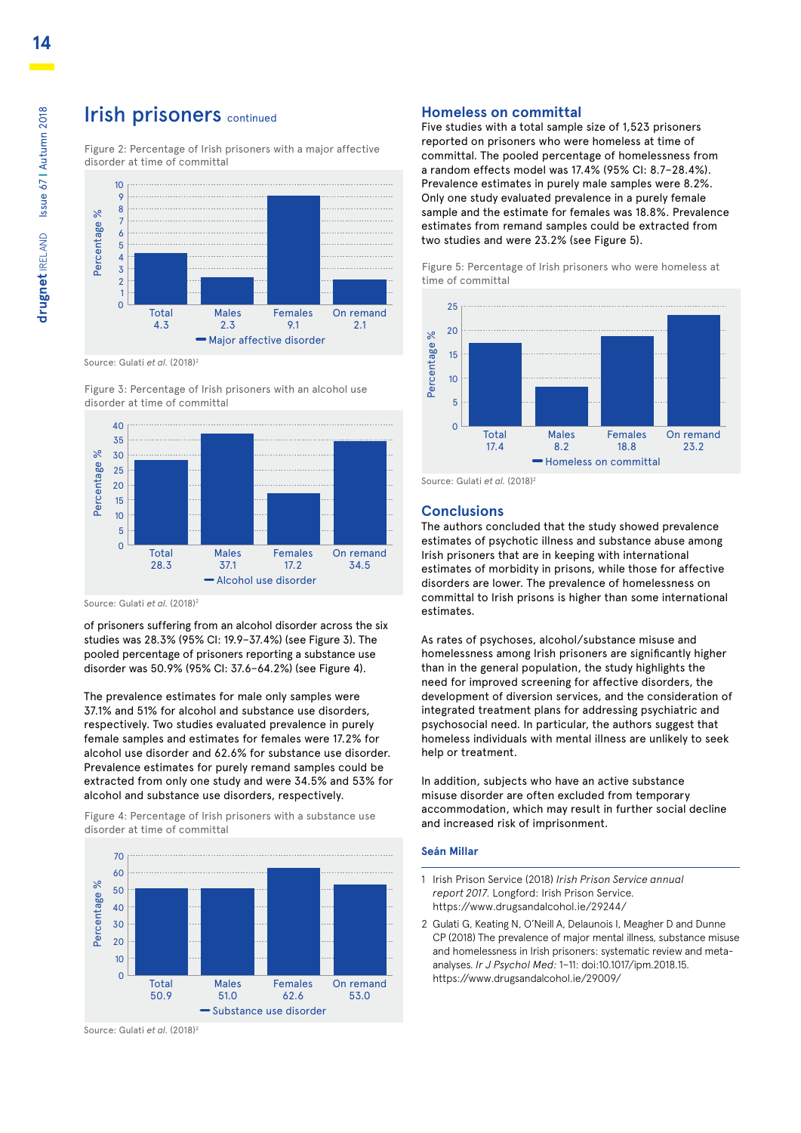### **Irish prisoners continued**

Figure 2: Percentage of Irish prisoners with a major affective disorder at time of committal 40

![](_page_13_Figure_2.jpeg)

Source: Gulati et al. (2018)<sup>2</sup>

Figure 3: Percentage of Irish prisoners with an alcohol use disorder at time of committal

![](_page_13_Figure_5.jpeg)

Source: Gulati *et al.* (2018)<sup>2</sup>

of prisoners suffering from an alcohol disorder across the six 0 studies was 28.3% (95% CI: 19.9–37.4%) (see Figure 3). The pooled percentage of prisoners reporting a substance use disorder was 50.9% (95% CI: 37.6–64.2%) (see Figure 4).

The prevalence estimates for male only samples were 37.1% and 51% for alcohol and substance use disorders, respectively. Two studies evaluated prevalence in purely female samples and estimates for females were 17.2% for alcohol use disorder and 62.6% for substance use disorder. Prevalence estimates for purely remand samples could be extracted from only one study and were 34.5% and 53% for

Figure 4: Percentage of Irish prisoners with a substance use disorder at time of committal

![](_page_13_Figure_10.jpeg)

Source: Gulati et al. (2018)<sup>2</sup>

### **Homeless on committal**

Five studies with a total sample size of 1,523 prisoners reported on prisoners who were homeless at time of committal. The pooled percentage of homelessness from a random effects model was 17.4% (95% CI: 8.7–28.4%). Prevalence estimates in purely male samples were 8.2%. Only one study evaluated prevalence in a purely female sample and the estimate for females was 18.8%. Prevalence estimates from remand samples could be extracted from two studies and were 23.2% (see Figure 5).

![](_page_13_Figure_14.jpeg)

![](_page_13_Figure_15.jpeg)

Source: Gulati et al. (2018)<sup>2</sup>

#### **Conclusions**

The authors concluded that the study showed prevalence estimates of psychotic illness and substance abuse among Irish prisoners that are in keeping with international estimates of morbidity in prisons, while those for affective disorders are lower. The prevalence of homelessness on committal to Irish prisons is higher than some international estimates.

As rates of psychoses, alcohol/substance misuse and homelessness among Irish prisoners are significantly higher than in the general population, the study highlights the need for improved screening for affective disorders, the development of diversion services, and the consideration of integrated treatment plans for addressing psychiatric and psychosocial need. In particular, the authors suggest that homeless individuals with mental illness are unlikely to seek help or treatment.

In addition, subjects who have an active substance misuse disorder are often excluded from temporary accommodation, which may result in further social decline and increased risk of imprisonment.

#### **Seán Millar**

- 1 Irish Prison Service (2018) *Irish Prison Service annual report 2017.* Longford: Irish Prison Service. https://www.drugsandalcohol.ie/29244/
- 2 Gulati G, Keating N, O'Neill A, Delaunois I, Meagher D and Dunne CP (2018) The prevalence of major mental illness, substance misuse and homelessness in Irish prisoners: systematic review and metaanalyses. *Ir J Psychol Med:* 1–11: doi:10.1017/ipm.2018.15. https://www.drugsandalcohol.ie/29009/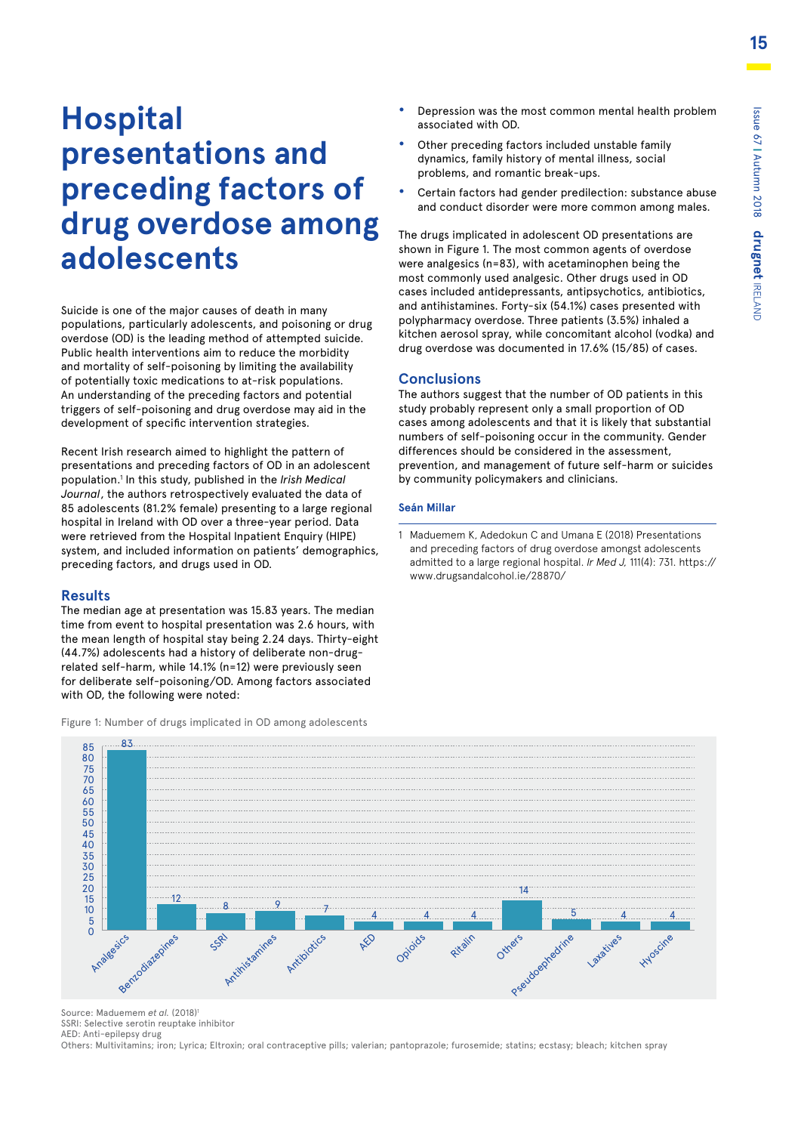# **Hospital presentations and preceding factors of drug overdose among adolescents**

Suicide is one of the major causes of death in many populations, particularly adolescents, and poisoning or drug overdose (OD) is the leading method of attempted suicide. Public health interventions aim to reduce the morbidity and mortality of self-poisoning by limiting the availability of potentially toxic medications to at-risk populations. An understanding of the preceding factors and potential triggers of self-poisoning and drug overdose may aid in the development of specific intervention strategies.

Recent Irish research aimed to highlight the pattern of presentations and preceding factors of OD in an adolescent population.1 In this study, published in the *Irish Medical Journal*, the authors retrospectively evaluated the data of 85 adolescents (81.2% female) presenting to a large regional hospital in Ireland with OD over a three-year period. Data were retrieved from the Hospital Inpatient Enquiry (HIPE) system, and included information on patients' demographics, preceding factors, and drugs used in OD. 3163<br>300<br>35 anos<br>395 anos<br>395 anos<br>395 anos<br>395 anos<br>395 anos

### **Results**

The median age at presentation was 15.83 years. The median time from event to hospital presentation was 2.6 hours, with the mean length of hospital stay being 2.24 days. Thirty-eight (44.7%) adolescents had a history of deliberate non-drug-0 related self-harm, while 14.1% (n=12) were previously seen for deliberate self-poisoning/OD. Among factors associated with OD, the following were noted: ਰ<br>4.

- **•** Depression was the most common mental health problem associated with OD.
- **•** Other preceding factors included unstable family dynamics, family history of mental illness, social problems, and romantic break-ups.
- **•** Certain factors had gender predilection: substance abuse and conduct disorder were more common among males.

The drugs implicated in adolescent OD presentations are shown in Figure 1. The most common agents of overdose were analgesics (n=83), with acetaminophen being the most commonly used analgesic. Other drugs used in OD cases included antidepressants, antipsychotics, antibiotics, and antihistamines. Forty-six (54.1%) cases presented with polypharmacy overdose. Three patients (3.5%) inhaled a kitchen aerosol spray, while concomitant alcohol (vodka) and drug overdose was documented in 17.6% (15/85) of cases.

### **Conclusions**

The authors suggest that the number of OD patients in this study probably represent only a small proportion of OD cases among adolescents and that it is likely that substantial numbers of self-poisoning occur in the community. Gender differences should be considered in the assessment, prevention, and management of future self-harm or suicides by community policymakers and clinicians.

### **Seán Millar**

1 Maduemem K, Adedokun C and Umana E (2018) Presentations and preceding factors of drug overdose amongst adolescents [admitted to a large regional hospital.](https://www.drugsandalcohol.ie/28870/) *Ir Med J,* 111(4): 731. https:// www.drugsandalcohol.ie/28870/

![](_page_14_Figure_14.jpeg)

Figure 1: Number of drugs implicated in OD among adolescents

Source: Maduemem et al. (2018)<sup>1</sup>

SSRI: Selective serotin reuptake inhibitor AED: Anti-epilepsy drug

Others: Multivitamins; iron; Lyrica; Eltroxin; oral contraceptive pills; valerian; pantoprazole; furosemide; statins; ecstasy; bleach; kitchen spray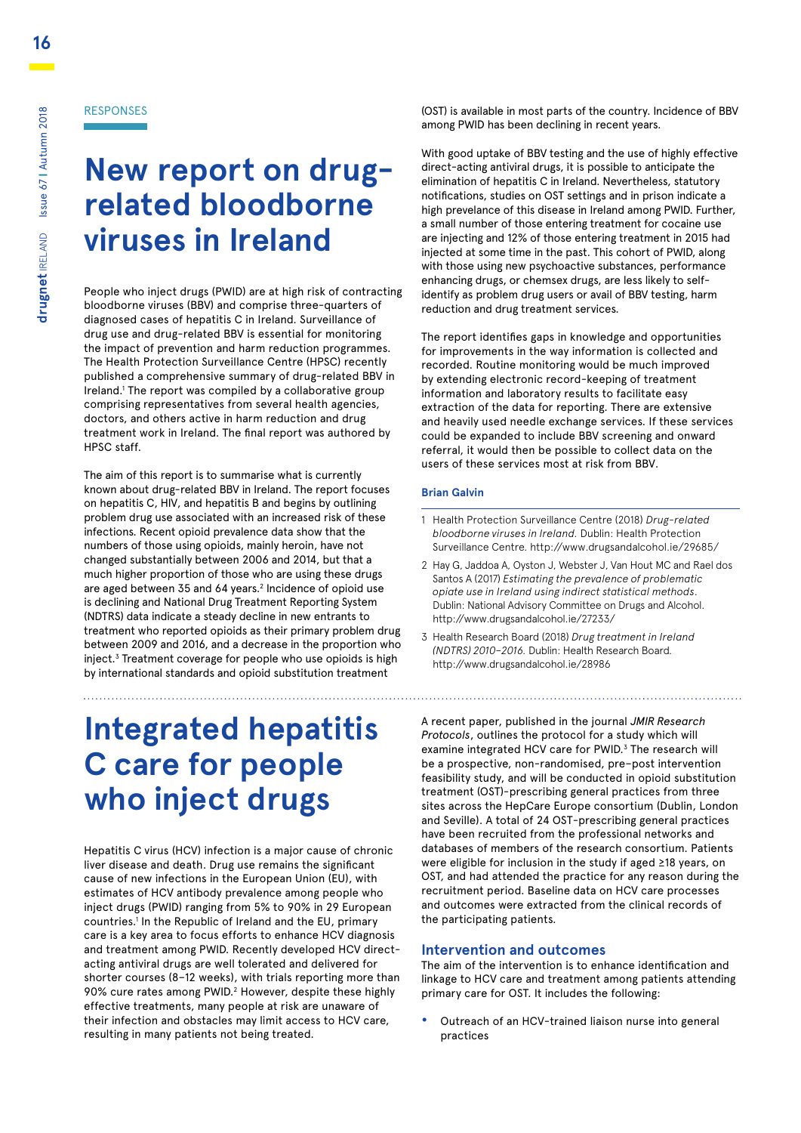RESPONSES

**New report on drugrelated bloodborne viruses in Ireland**

People who inject drugs (PWID) are at high risk of contracting bloodborne viruses (BBV) and comprise three-quarters of diagnosed cases of hepatitis C in Ireland. Surveillance of drug use and drug-related BBV is essential for monitoring the impact of prevention and harm reduction programmes. The Health Protection Surveillance Centre (HPSC) recently published a comprehensive summary of drug-related BBV in Ireland.<sup>1</sup> The report was compiled by a collaborative group comprising representatives from several health agencies, doctors, and others active in harm reduction and drug treatment work in Ireland. The final report was authored by HPSC staff.

The aim of this report is to summarise what is currently known about drug-related BBV in Ireland. The report focuses on hepatitis C, HIV, and hepatitis B and begins by outlining problem drug use associated with an increased risk of these infections. Recent opioid prevalence data show that the numbers of those using opioids, mainly heroin, have not changed substantially between 2006 and 2014, but that a much higher proportion of those who are using these drugs are aged between 35 and 64 years.<sup>2</sup> Incidence of opioid use is declining and National Drug Treatment Reporting System (NDTRS) data indicate a steady decline in new entrants to treatment who reported opioids as their primary problem drug between 2009 and 2016, and a decrease in the proportion who inject.3 Treatment coverage for people who use opioids is high by international standards and opioid substitution treatment

# **Integrated hepatitis C care for people who inject drugs**

Hepatitis C virus (HCV) infection is a major cause of chronic liver disease and death. Drug use remains the significant cause of new infections in the European Union (EU), with estimates of HCV antibody prevalence among people who inject drugs (PWID) ranging from 5% to 90% in 29 European countries.1 In the Republic of Ireland and the EU, primary care is a key area to focus efforts to enhance HCV diagnosis and treatment among PWID. Recently developed HCV directacting antiviral drugs are well tolerated and delivered for shorter courses (8–12 weeks), with trials reporting more than 90% cure rates among PWID.<sup>2</sup> However, despite these highly effective treatments, many people at risk are unaware of their infection and obstacles may limit access to HCV care, resulting in many patients not being treated.

(OST) is available in most parts of the country. Incidence of BBV among PWID has been declining in recent years.

With good uptake of BBV testing and the use of highly effective direct-acting antiviral drugs, it is possible to anticipate the elimination of hepatitis C in Ireland. Nevertheless, statutory notifications, studies on OST settings and in prison indicate a high prevelance of this disease in Ireland among PWID. Further, a small number of those entering treatment for cocaine use are injecting and 12% of those entering treatment in 2015 had injected at some time in the past. This cohort of PWID, along with those using new psychoactive substances, performance enhancing drugs, or chemsex drugs, are less likely to selfidentify as problem drug users or avail of BBV testing, harm reduction and drug treatment services.

The report identifies gaps in knowledge and opportunities for improvements in the way information is collected and recorded. Routine monitoring would be much improved by extending electronic record-keeping of treatment information and laboratory results to facilitate easy extraction of the data for reporting. There are extensive and heavily used needle exchange services. If these services could be expanded to include BBV screening and onward referral, it would then be possible to collect data on the users of these services most at risk from BBV.

### **Brian Galvin**

- 1 Health Protection Surveillance Centre (2018) *Drug-related bloodborne viruses in Ireland.* Dublin: Health Protection Surveillance Centre. http://www.drugsandalcohol.ie/29685/
- 2 Hay G, Jaddoa A, Oyston J, Webster J, Van Hout MC and Rael dos Santos A (2017) *Estimating the prevalence of problematic opiate use in Ireland using indirect statistical methods*. Dublin: National Advisory Committee on Drugs and Alcohol. http://www.drugsandalcohol.ie/27233/

3 Health Research Board (2018) *Drug treatment in Ireland (NDTRS) 2010–2016.* Dublin: Health Research Board. http://www.drugsandalcohol.ie/28986

A recent paper, published in the journal *JMIR Research Protocols*, outlines the protocol for a study which will examine integrated HCV care for PWID.<sup>3</sup> The research will be a prospective, non-randomised, pre–post intervention feasibility study, and will be conducted in opioid substitution treatment (OST)-prescribing general practices from three sites across the HepCare Europe consortium (Dublin, London and Seville). A total of 24 OST-prescribing general practices have been recruited from the professional networks and databases of members of the research consortium. Patients were eligible for inclusion in the study if aged ≥18 years, on OST, and had attended the practice for any reason during the recruitment period. Baseline data on HCV care processes and outcomes were extracted from the clinical records of the participating patients.

### **Intervention and outcomes**

The aim of the intervention is to enhance identification and linkage to HCV care and treatment among patients attending primary care for OST. It includes the following:

**•** Outreach of an HCV-trained liaison nurse into general practices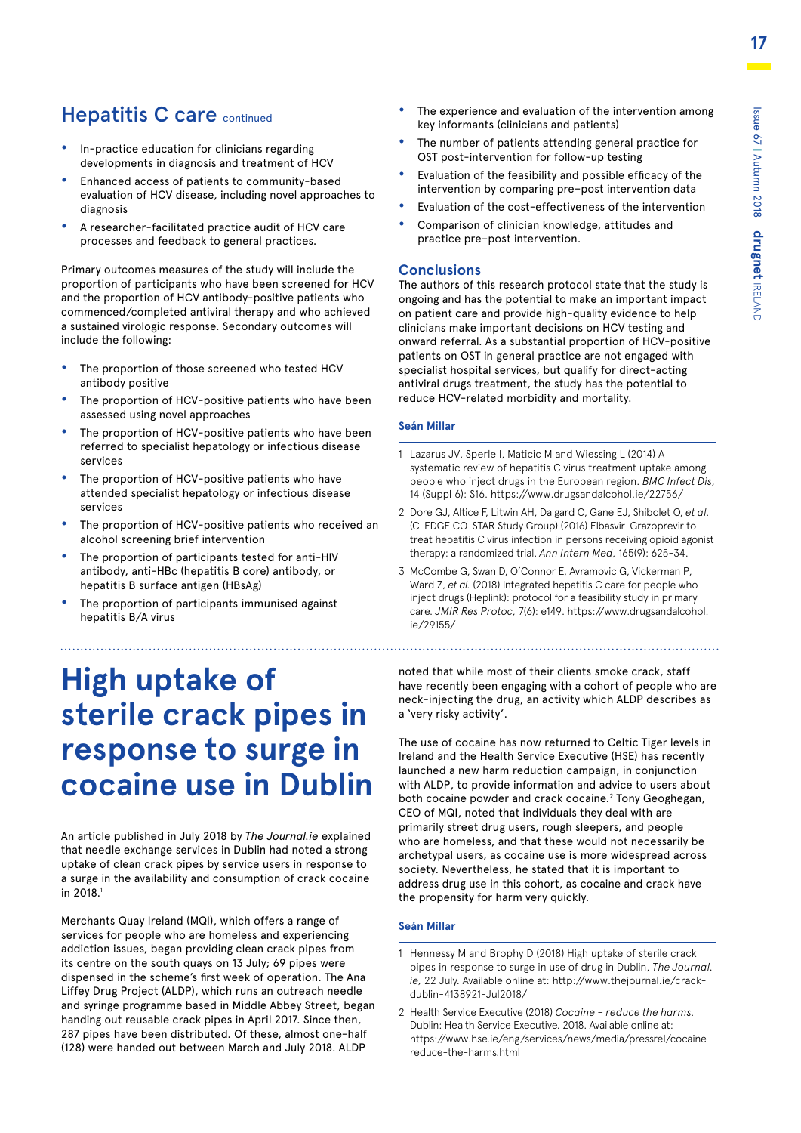### **Hepatitis C care continued**

- **•** In-practice education for clinicians regarding developments in diagnosis and treatment of HCV
- **•** Enhanced access of patients to community-based evaluation of HCV disease, including novel approaches to diagnosis
- **•** A researcher-facilitated practice audit of HCV care processes and feedback to general practices.

Primary outcomes measures of the study will include the proportion of participants who have been screened for HCV and the proportion of HCV antibody-positive patients who commenced/completed antiviral therapy and who achieved a sustained virologic response. Secondary outcomes will include the following:

- **•** The proportion of those screened who tested HCV antibody positive
- **•** The proportion of HCV-positive patients who have been assessed using novel approaches
- **•** The proportion of HCV-positive patients who have been referred to specialist hepatology or infectious disease services
- **•** The proportion of HCV-positive patients who have attended specialist hepatology or infectious disease services
- **•** The proportion of HCV-positive patients who received an alcohol screening brief intervention
- **•** The proportion of participants tested for anti-HIV antibody, anti-HBc (hepatitis B core) antibody, or hepatitis B surface antigen (HBsAg)
- **•** The proportion of participants immunised against hepatitis B/A virus

### **High uptake of sterile crack pipes in response to surge in cocaine use in Dublin**

An article published in July 2018 by *The Journal.ie* explained that needle exchange services in Dublin had noted a strong uptake of clean crack pipes by service users in response to a surge in the availability and consumption of crack cocaine in 2018.<sup>1</sup>

Merchants Quay Ireland (MQI), which offers a range of services for people who are homeless and experiencing addiction issues, began providing clean crack pipes from its centre on the south quays on 13 July; 69 pipes were dispensed in the scheme's first week of operation. The Ana Liffey Drug Project (ALDP), which runs an outreach needle and syringe programme based in Middle Abbey Street, began handing out reusable crack pipes in April 2017. Since then, 287 pipes have been distributed. Of these, almost one-half (128) were handed out between March and July 2018. ALDP

- **•** The experience and evaluation of the intervention among key informants (clinicians and patients)
- **•** The number of patients attending general practice for OST post-intervention for follow-up testing
- **•** Evaluation of the feasibility and possible efficacy of the intervention by comparing pre–post intervention data
- **•** Evaluation of the cost-effectiveness of the intervention
- **•** Comparison of clinician knowledge, attitudes and practice pre–post intervention.

### **Conclusions**

The authors of this research protocol state that the study is ongoing and has the potential to make an important impact on patient care and provide high-quality evidence to help clinicians make important decisions on HCV testing and onward referral. As a substantial proportion of HCV-positive patients on OST in general practice are not engaged with specialist hospital services, but qualify for direct-acting antiviral drugs treatment, the study has the potential to reduce HCV-related morbidity and mortality.

### **Seán Millar**

- 1 Lazarus JV, Sperle I, Maticic M and Wiessing L (2014) A systematic review of hepatitis C virus treatment uptake among people who inject drugs in the European region. *BMC Infect Dis,*  14 (Suppl 6): S16. https://www.drugsandalcohol.ie/22756/
- 2 Dore GJ, Altice F, Litwin AH, Dalgard O, Gane EJ, Shibolet O, *et al.*  (C-EDGE CO-STAR Study Group) (2016) Elbasvir-Grazoprevir to treat hepatitis C virus infection in persons receiving opioid agonist therapy: a randomized trial. *Ann Intern Med,* 165(9): 625-34.
- 3 McCombe G, Swan D, O'Connor E, Avramovic G, Vickerman P, Ward Z, *et al.* (2018) Integrated hepatitis C care for people who inject drugs (Heplink): protocol for a feasibility study in primary care. *JMIR Res Protoc,* [7\(6\): e149. https://www.drugsandalcohol.](https://www.drugsandalcohol.ie/29155/) ie/29155/

noted that while most of their clients smoke crack, staff have recently been engaging with a cohort of people who are neck-injecting the drug, an activity which ALDP describes as a 'very risky activity'.

The use of cocaine has now returned to Celtic Tiger levels in Ireland and the Health Service Executive (HSE) has recently launched a new harm reduction campaign, in conjunction with ALDP, to provide information and advice to users about both cocaine powder and crack cocaine.<sup>2</sup> Tony Geoghegan, CEO of MQI, noted that individuals they deal with are primarily street drug users, rough sleepers, and people who are homeless, and that these would not necessarily be archetypal users, as cocaine use is more widespread across society. Nevertheless, he stated that it is important to address drug use in this cohort, as cocaine and crack have the propensity for harm very quickly.

### **Seán Millar**

- 1 Hennessy M and Brophy D (2018) High uptake of sterile crack pipes in response to surge in use of drug in Dublin, *The Journal. ie,* [22 July. Available online at: http://www.thejournal.ie/crack](http://www.thejournal.ie/crack-dublin-4138921-Jul2018/)dublin-4138921-Jul2018/
- 2 Health Service Executive (2018) *Cocaine reduce the harms.*  Dublin: Health Service Executive. 2018. Available online at: [https://www.hse.ie/eng/services/news/media/pressrel/cocaine](https://www.hse.ie/eng/services/news/media/pressrel/cocaine-reduce-the-harms.html)reduce-the-harms.html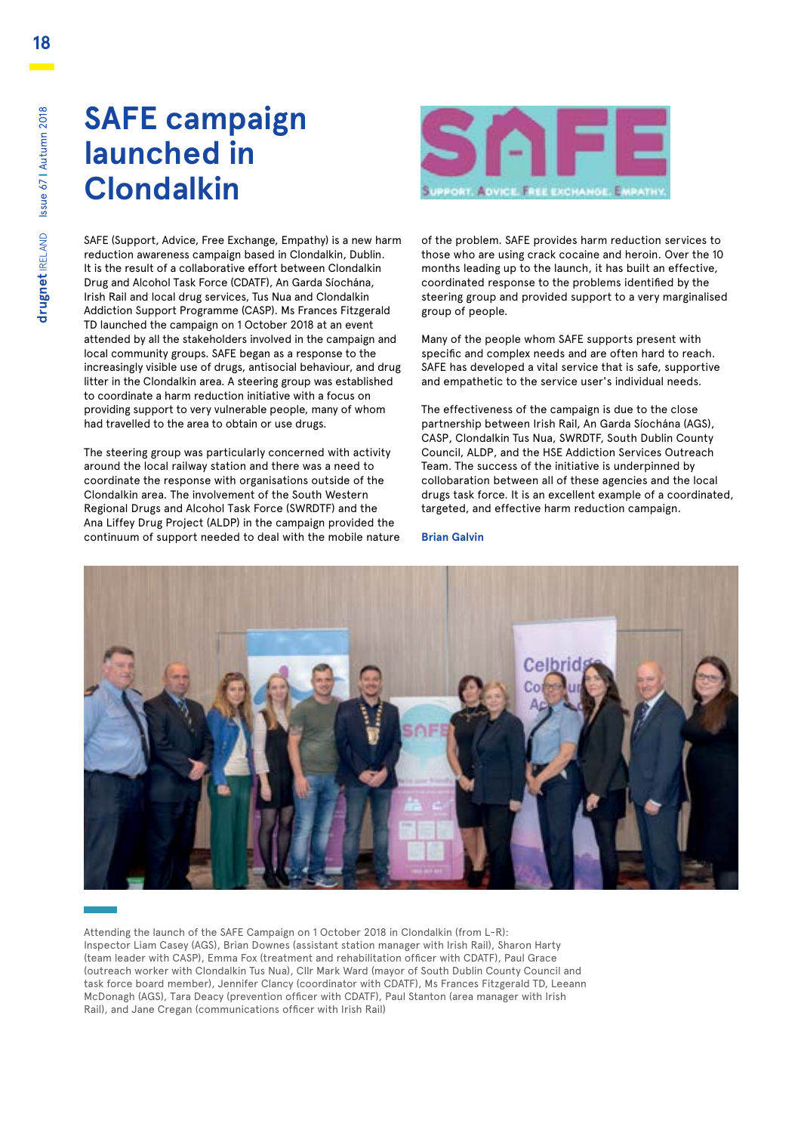![](_page_17_Picture_1.jpeg)

SAFE (Support, Advice, Free Exchange, Empathy) is a new harm reduction awareness campaign based in Clondalkin, Dublin. It is the result of a collaborative effort between Clondalkin Drug and Alcohol Task Force (CDATF), An Garda Síochána, Irish Rail and local drug services, Tus Nua and Clondalkin Addiction Support Programme (CASP). Ms Frances Fitzgerald TD launched the campaign on 1 October 2018 at an event attended by all the stakeholders involved in the campaign and local community groups. SAFE began as a response to the increasingly visible use of drugs, antisocial behaviour, and drug litter in the Clondalkin area. A steering group was established to coordinate a harm reduction initiative with a focus on providing support to very vulnerable people, many of whom had travelled to the area to obtain or use drugs.

The steering group was particularly concerned with activity around the local railway station and there was a need to coordinate the response with organisations outside of the Clondalkin area. The involvement of the South Western Regional Drugs and Alcohol Task Force (SWRDTF) and the Ana Liffey Drug Project (ALDP) in the campaign provided the continuum of support needed to deal with the mobile nature of the problem. SAFE provides harm reduction services to those who are using crack cocaine and heroin. Over the 10 months leading up to the launch, it has built an effective, coordinated response to the problems identified by the steering group and provided support to a very marginalised group of people.

Many of the people whom SAFE supports present with specific and complex needs and are often hard to reach. SAFE has developed a vital service that is safe, supportive and empathetic to the service user's individual needs.

The effectiveness of the campaign is due to the close partnership between Irish Rail, An Garda Síochána (AGS), CASP, Clondalkin Tus Nua, SWRDTF, South Dublin County Council, ALDP, and the HSE Addiction Services Outreach Team. The success of the initiative is underpinned by collobaration between all of these agencies and the local drugs task force. It is an excellent example of a coordinated, targeted, and effective harm reduction campaign.

### **Brian Galvin**

![](_page_17_Picture_8.jpeg)

Attending the launch of the SAFE Campaign on 1 October 2018 in Clondalkin (from L-R): Inspector Liam Casey (AGS), Brian Downes (assistant station manager with Irish Rail), Sharon Harty (team leader with CASP), Emma Fox (treatment and rehabilitation officer with CDATF), Paul Grace (outreach worker with Clondalkin Tus Nua), Cllr Mark Ward (mayor of South Dublin County Council and task force board member), Jennifer Clancy (coordinator with CDATF), Ms Frances Fitzgerald TD, Leeann McDonagh (AGS), Tara Deacy (prevention officer with CDATF), Paul Stanton (area manager with Irish Rail), and Jane Cregan (communications officer with Irish Rail)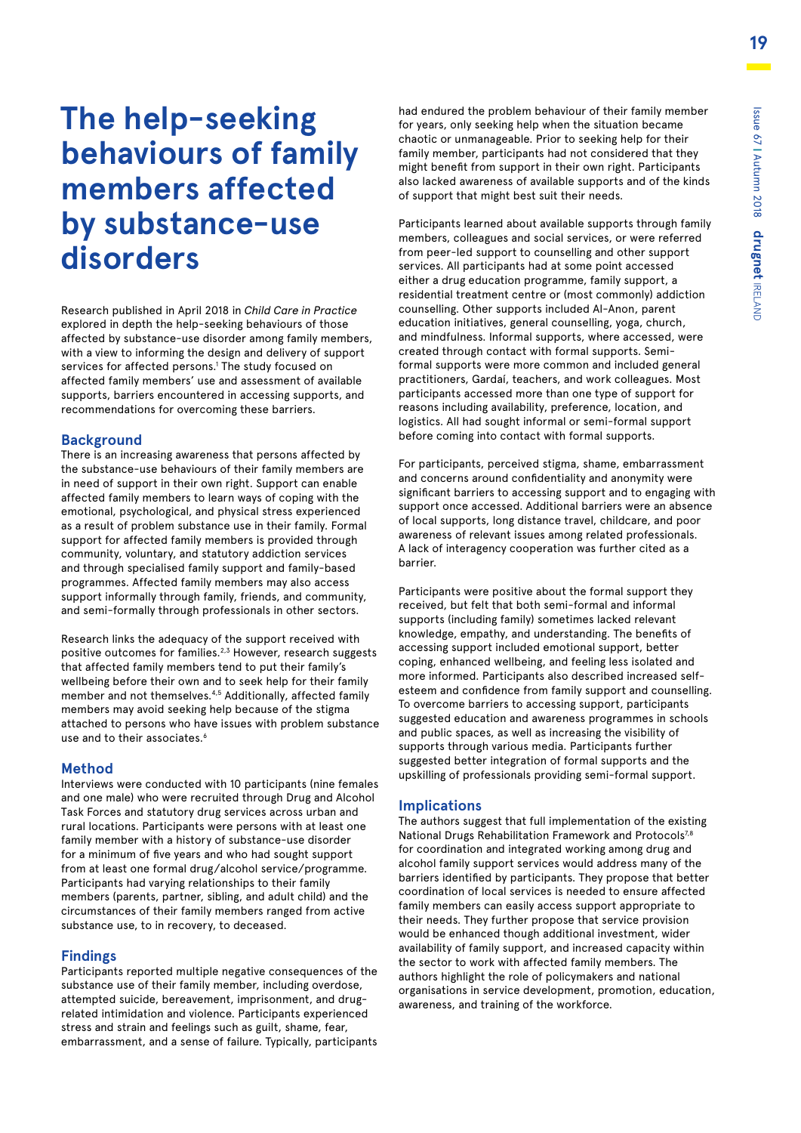# **The help-seeking behaviours of family members affected by substance-use disorders**

Research published in April 2018 in *Child Care in Practice*  explored in depth the help-seeking behaviours of those affected by substance-use disorder among family members, with a view to informing the design and delivery of support services for affected persons.<sup>1</sup> The study focused on affected family members' use and assessment of available supports, barriers encountered in accessing supports, and recommendations for overcoming these barriers.

### **Background**

There is an increasing awareness that persons affected by the substance-use behaviours of their family members are in need of support in their own right. Support can enable affected family members to learn ways of coping with the emotional, psychological, and physical stress experienced as a result of problem substance use in their family. Formal support for affected family members is provided through community, voluntary, and statutory addiction services and through specialised family support and family-based programmes. Affected family members may also access support informally through family, friends, and community, and semi-formally through professionals in other sectors.

Research links the adequacy of the support received with positive outcomes for families.2,3 However, research suggests that affected family members tend to put their family's wellbeing before their own and to seek help for their family member and not themselves.<sup>4,5</sup> Additionally, affected family members may avoid seeking help because of the stigma attached to persons who have issues with problem substance use and to their associates.<sup>6</sup>

### **Method**

Interviews were conducted with 10 participants (nine females and one male) who were recruited through Drug and Alcohol Task Forces and statutory drug services across urban and rural locations. Participants were persons with at least one family member with a history of substance-use disorder for a minimum of five years and who had sought support from at least one formal drug/alcohol service/programme. Participants had varying relationships to their family members (parents, partner, sibling, and adult child) and the circumstances of their family members ranged from active substance use, to in recovery, to deceased.

### **Findings**

Participants reported multiple negative consequences of the substance use of their family member, including overdose, attempted suicide, bereavement, imprisonment, and drugrelated intimidation and violence. Participants experienced stress and strain and feelings such as guilt, shame, fear, embarrassment, and a sense of failure. Typically, participants had endured the problem behaviour of their family member for years, only seeking help when the situation became chaotic or unmanageable. Prior to seeking help for their family member, participants had not considered that they might benefit from support in their own right. Participants also lacked awareness of available supports and of the kinds of support that might best suit their needs.

Participants learned about available supports through family members, colleagues and social services, or were referred from peer-led support to counselling and other support services. All participants had at some point accessed either a drug education programme, family support, a residential treatment centre or (most commonly) addiction counselling. Other supports included Al-Anon, parent education initiatives, general counselling, yoga, church, and mindfulness. Informal supports, where accessed, were created through contact with formal supports. Semiformal supports were more common and included general practitioners, Gardaí, teachers, and work colleagues. Most participants accessed more than one type of support for reasons including availability, preference, location, and logistics. All had sought informal or semi-formal support before coming into contact with formal supports.

For participants, perceived stigma, shame, embarrassment and concerns around confidentiality and anonymity were significant barriers to accessing support and to engaging with support once accessed. Additional barriers were an absence of local supports, long distance travel, childcare, and poor awareness of relevant issues among related professionals. A lack of interagency cooperation was further cited as a barrier.

Participants were positive about the formal support they received, but felt that both semi-formal and informal supports (including family) sometimes lacked relevant knowledge, empathy, and understanding. The benefits of accessing support included emotional support, better coping, enhanced wellbeing, and feeling less isolated and more informed. Participants also described increased selfesteem and confidence from family support and counselling. To overcome barriers to accessing support, participants suggested education and awareness programmes in schools and public spaces, as well as increasing the visibility of supports through various media. Participants further suggested better integration of formal supports and the upskilling of professionals providing semi-formal support.

### **Implications**

The authors suggest that full implementation of the existing National Drugs Rehabilitation Framework and Protocols<sup>7,8</sup> for coordination and integrated working among drug and alcohol family support services would address many of the barriers identified by participants. They propose that better coordination of local services is needed to ensure affected family members can easily access support appropriate to their needs. They further propose that service provision would be enhanced though additional investment, wider availability of family support, and increased capacity within the sector to work with affected family members. The authors highlight the role of policymakers and national organisations in service development, promotion, education, awareness, and training of the workforce.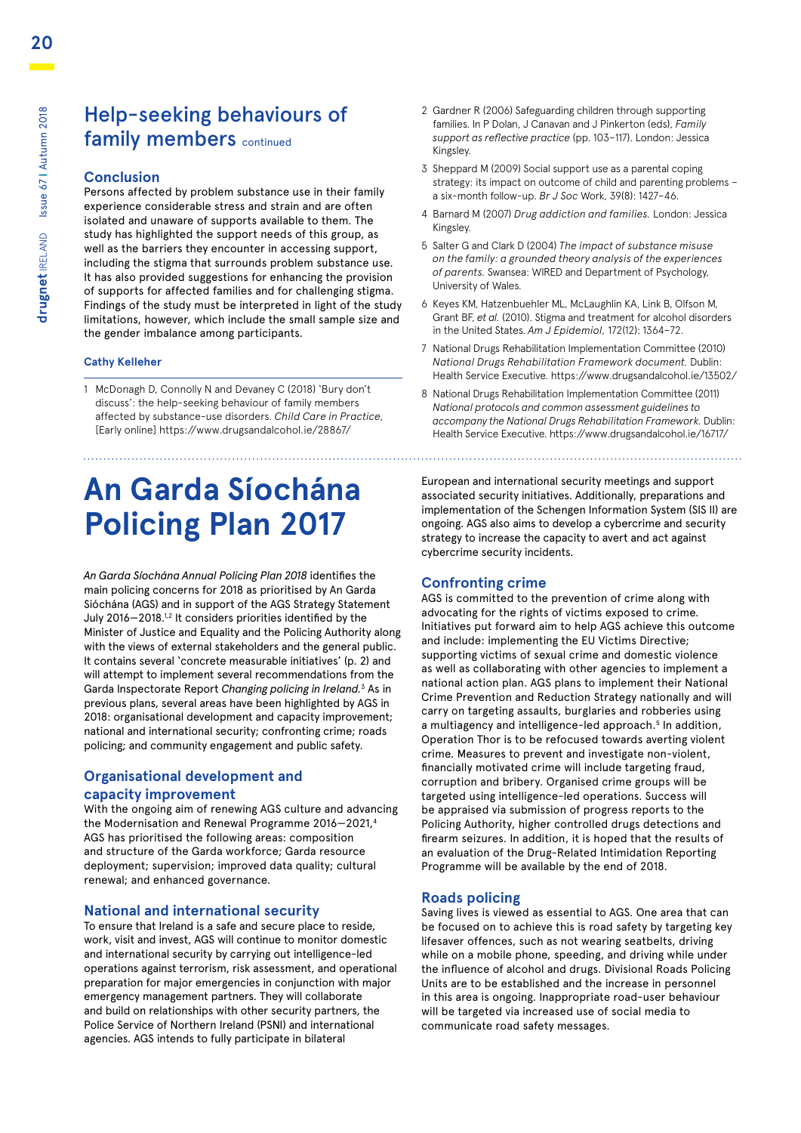### Help-seeking behaviours of family members continued

### **Conclusion**

Persons affected by problem substance use in their family experience considerable stress and strain and are often isolated and unaware of supports available to them. The study has highlighted the support needs of this group, as well as the barriers they encounter in accessing support, including the stigma that surrounds problem substance use. It has also provided suggestions for enhancing the provision of supports for affected families and for challenging stigma. Findings of the study must be interpreted in light of the study limitations, however, which include the small sample size and the gender imbalance among participants.

### **Cathy Kelleher**

1 McDonagh D, Connolly N and Devaney C (2018) 'Bury don't discuss': the help-seeking behaviour of family members affected by substance-use disorders. *Child Care in Practice,*  [Early online] https://www.drugsandalcohol.ie/28867/

# **An Garda Síochána Policing Plan 2017**

*An Garda Síochána Annual Policing Plan 2018* identifies the main policing concerns for 2018 as prioritised by An Garda Sióchána (AGS) and in support of the AGS Strategy Statement July 2016-2018.<sup>1,2</sup> It considers priorities identified by the Minister of Justice and Equality and the Policing Authority along with the views of external stakeholders and the general public. It contains several 'concrete measurable initiatives' (p. 2) and will attempt to implement several recommendations from the Garda Inspectorate Report *Changing policing in Ireland*.<sup>3</sup> As in previous plans, several areas have been highlighted by AGS in 2018: organisational development and capacity improvement; national and international security; confronting crime; roads policing; and community engagement and public safety.

### **Organisational development and capacity improvement**

With the ongoing aim of renewing AGS culture and advancing the Modernisation and Renewal Programme 2016-2021,<sup>4</sup> AGS has prioritised the following areas: composition and structure of the Garda workforce; Garda resource deployment; supervision; improved data quality; cultural renewal; and enhanced governance.

### **National and international security**

To ensure that Ireland is a safe and secure place to reside, work, visit and invest, AGS will continue to monitor domestic and international security by carrying out intelligence-led operations against terrorism, risk assessment, and operational preparation for major emergencies in conjunction with major emergency management partners. They will collaborate and build on relationships with other security partners, the Police Service of Northern Ireland (PSNI) and international agencies. AGS intends to fully participate in bilateral

- 2 Gardner R (2006) Safeguarding children through supporting families. In P Dolan, J Canavan and J Pinkerton (eds), *Family support as reflective practice* (pp. 103–117). London: Jessica Kingsley.
- 3 Sheppard M (2009) Social support use as a parental coping strategy: its impact on outcome of child and parenting problems – a six-month follow-up. *Br J Soc* Work, 39(8): 1427–46.
- 4 Barnard M (2007) *Drug addiction and families.* London: Jessica Kingsley.
- 5 Salter G and Clark D (2004) *The impact of substance misuse on the family: a grounded theory analysis of the experiences of parents.* Swansea: WIRED and Department of Psychology, University of Wales.
- 6 Keyes KM, Hatzenbuehler ML, McLaughlin KA, Link B, Olfson M, Grant BF, *et al.* (2010). Stigma and treatment for alcohol disorders in the United States. *Am J Epidemiol,* 172(12): 1364–72.
- 7 National Drugs Rehabilitation Implementation Committee (2010) *National Drugs Rehabilitation Framework document.* Dublin: Health Service Executive. https://www.drugsandalcohol.ie/13502/
- 8 National Drugs Rehabilitation Implementation Committee (2011) *National protocols and common assessment guidelines to accompany the National Drugs Rehabilitation Framework.* Dublin: Health Service Executive. https://www.drugsandalcohol.ie/16717/

European and international security meetings and support associated security initiatives. Additionally, preparations and implementation of the Schengen Information System (SIS II) are ongoing. AGS also aims to develop a cybercrime and security strategy to increase the capacity to avert and act against cybercrime security incidents.

### **Confronting crime**

AGS is committed to the prevention of crime along with advocating for the rights of victims exposed to crime. Initiatives put forward aim to help AGS achieve this outcome and include: implementing the EU Victims Directive; supporting victims of sexual crime and domestic violence as well as collaborating with other agencies to implement a national action plan. AGS plans to implement their National Crime Prevention and Reduction Strategy nationally and will carry on targeting assaults, burglaries and robberies using a multiagency and intelligence-led approach.<sup>5</sup> In addition, Operation Thor is to be refocused towards averting violent crime. Measures to prevent and investigate non-violent, financially motivated crime will include targeting fraud, corruption and bribery. Organised crime groups will be targeted using intelligence-led operations. Success will be appraised via submission of progress reports to the Policing Authority, higher controlled drugs detections and firearm seizures. In addition, it is hoped that the results of an evaluation of the Drug-Related Intimidation Reporting Programme will be available by the end of 2018.

### **Roads policing**

Saving lives is viewed as essential to AGS. One area that can be focused on to achieve this is road safety by targeting key lifesaver offences, such as not wearing seatbelts, driving while on a mobile phone, speeding, and driving while under the influence of alcohol and drugs. Divisional Roads Policing Units are to be established and the increase in personnel in this area is ongoing. Inappropriate road-user behaviour will be targeted via increased use of social media to communicate road safety messages.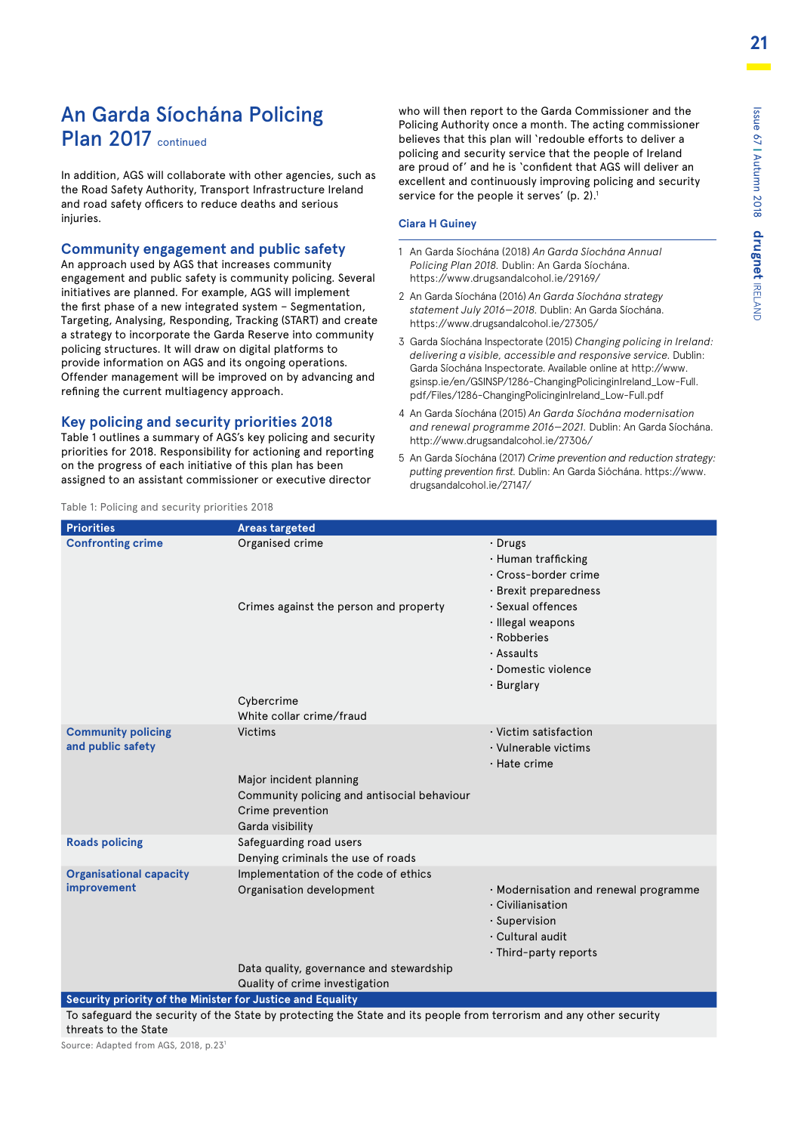### An Garda Síochána Policing Plan 2017 continued

In addition, AGS will collaborate with other agencies, such as the Road Safety Authority, Transport Infrastructure Ireland and road safety officers to reduce deaths and serious injuries.

### **Community engagement and public safety**

An approach used by AGS that increases community engagement and public safety is community policing. Several initiatives are planned. For example, AGS will implement the first phase of a new integrated system – Segmentation, Targeting, Analysing, Responding, Tracking (START) and create a strategy to incorporate the Garda Reserve into community policing structures. It will draw on digital platforms to provide information on AGS and its ongoing operations. Offender management will be improved on by advancing and refining the current multiagency approach.

### **Key policing and security priorities 2018**

Table 1 outlines a summary of AGS's key policing and security priorities for 2018. Responsibility for actioning and reporting on the progress of each initiative of this plan has been assigned to an assistant commissioner or executive director

who will then report to the Garda Commissioner and the Policing Authority once a month. The acting commissioner believes that this plan will 'redouble efforts to deliver a policing and security service that the people of Ireland are proud of' and he is 'confident that AGS will deliver an excellent and continuously improving policing and security service for the people it serves' (p. 2).<sup>1</sup>

#### **Ciara H Guiney**

- 1 An Garda Síochána (2018) *An Garda Síochána Annual Policing Plan 2018.* Dublin: An Garda Síochána. https://www.drugsandalcohol.ie/29169/
- 2 An Garda Síochána (2016) *An Garda Síochána strategy statement July 2016—2018.* Dublin: An Garda Síochána. https://www.drugsandalcohol.ie/27305/
- 3 Garda Síochána Inspectorate (2015) *Changing policing in Ireland: delivering a visible, accessible and responsive service.* Dublin: Garda Síochána Inspectorate. Available online at http://www. [gsinsp.ie/en/GSINSP/1286-ChangingPolicinginIreland\\_Low-Full.](http://www.gsinsp.ie/en/GSINSP/1286-ChangingPolicinginIreland_Low-Full.pdf/Files/1286-ChangingPolicinginIreland_Low-Full.pdf) pdf/Files/1286-ChangingPolicinginIreland\_Low-Full.pdf
- 4 An Garda Síochána (2015) *An Garda Síochána modernisation and renewal programme 2016—2021.* Dublin: An Garda Síochána. http://www.drugsandalcohol.ie/27306/
- 5 An Garda Síochána (2017) *[Crime prevention and reduction strategy:](https://www.drugsandalcohol.ie/27147/)  putting prevention first.* Dublin: An Garda Sióchána. https://www. drugsandalcohol.ie/27147/

| <b>Priorities</b>                                          | <b>Areas targeted</b>                                                                                                     |                                                                                                                                            |
|------------------------------------------------------------|---------------------------------------------------------------------------------------------------------------------------|--------------------------------------------------------------------------------------------------------------------------------------------|
| <b>Confronting crime</b>                                   | Organised crime                                                                                                           | $\cdot$ Drugs<br>· Human trafficking<br>$\cdot$ Cross-border crime<br>· Brexit preparedness                                                |
|                                                            | Crimes against the person and property<br>Cybercrime<br>White collar crime/fraud                                          | · Sexual offences<br>· Illegal weapons<br>· Robberies<br>· Assaults<br>· Domestic violence<br>· Burglary                                   |
| <b>Community policing</b><br>and public safety             | Victims<br>Major incident planning<br>Community policing and antisocial behaviour<br>Crime prevention<br>Garda visibility | $\cdot$ Victim satisfaction<br>$\cdot$ Vulnerable victims<br>$\cdot$ Hate crime                                                            |
| <b>Roads policing</b>                                      | Safeguarding road users<br>Denying criminals the use of roads                                                             |                                                                                                                                            |
| <b>Organisational capacity</b><br>improvement              | Implementation of the code of ethics<br>Organisation development                                                          | $\cdot$ Modernisation and renewal programme<br>$\cdot$ Civilianisation<br>$\cdot$ Supervision<br>· Cultural audit<br>· Third-party reports |
|                                                            | Data quality, governance and stewardship                                                                                  |                                                                                                                                            |
|                                                            | Quality of crime investigation                                                                                            |                                                                                                                                            |
| Security priority of the Minister for Justice and Equality |                                                                                                                           |                                                                                                                                            |

To safeguard the security of the State by protecting the State and its people from terrorism and any other security threats to the State

Source: Adapted from AGS, 2018, p.231

### Table 1: Policing and security priorities 2018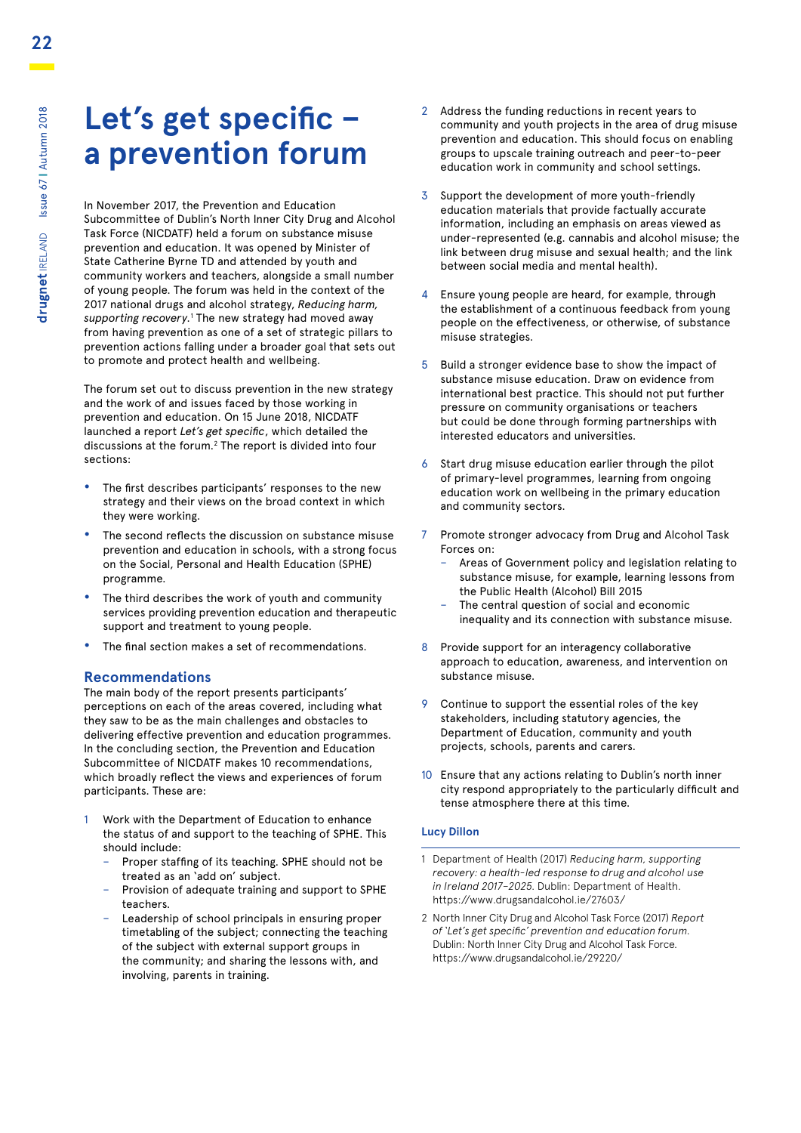## **Let's get specific – a prevention forum**

In November 2017, the Prevention and Education Subcommittee of Dublin's North Inner City Drug and Alcohol Task Force (NICDATF) held a forum on substance misuse prevention and education. It was opened by Minister of State Catherine Byrne TD and attended by youth and community workers and teachers, alongside a small number of young people. The forum was held in the context of the 2017 national drugs and alcohol strategy, *Reducing harm, supporting recovery.*<sup>1</sup> The new strategy had moved away from having prevention as one of a set of strategic pillars to prevention actions falling under a broader goal that sets out to promote and protect health and wellbeing.

The forum set out to discuss prevention in the new strategy and the work of and issues faced by those working in prevention and education. On 15 June 2018, NICDATF launched a report *Let's get specific*, which detailed the discussions at the forum.2 The report is divided into four sections:

- **•** The first describes participants' responses to the new strategy and their views on the broad context in which they were working.
- **•** The second reflects the discussion on substance misuse prevention and education in schools, with a strong focus on the Social, Personal and Health Education (SPHE) programme.
- **•** The third describes the work of youth and community services providing prevention education and therapeutic support and treatment to young people.
- **•** The final section makes a set of recommendations.

### **Recommendations**

The main body of the report presents participants' perceptions on each of the areas covered, including what they saw to be as the main challenges and obstacles to delivering effective prevention and education programmes. In the concluding section, the Prevention and Education Subcommittee of NICDATF makes 10 recommendations, which broadly reflect the views and experiences of forum participants. These are:

- Work with the Department of Education to enhance the status of and support to the teaching of SPHE. This should include:
	- Proper staffing of its teaching. SPHE should not be treated as an 'add on' subject.
	- Provision of adequate training and support to SPHE teachers.
	- Leadership of school principals in ensuring proper timetabling of the subject; connecting the teaching of the subject with external support groups in the community; and sharing the lessons with, and involving, parents in training.
- 2 Address the funding reductions in recent years to community and youth projects in the area of drug misuse prevention and education. This should focus on enabling groups to upscale training outreach and peer-to-peer education work in community and school settings.
- 3 Support the development of more youth-friendly education materials that provide factually accurate information, including an emphasis on areas viewed as under-represented (e.g. cannabis and alcohol misuse; the link between drug misuse and sexual health; and the link between social media and mental health).
- 4 Ensure young people are heard, for example, through the establishment of a continuous feedback from young people on the effectiveness, or otherwise, of substance misuse strategies.
- 5 Build a stronger evidence base to show the impact of substance misuse education. Draw on evidence from international best practice. This should not put further pressure on community organisations or teachers but could be done through forming partnerships with interested educators and universities.
- 6 Start drug misuse education earlier through the pilot of primary-level programmes, learning from ongoing education work on wellbeing in the primary education and community sectors.
- 7 Promote stronger advocacy from Drug and Alcohol Task Forces on:
	- Areas of Government policy and legislation relating to substance misuse, for example, learning lessons from the Public Health (Alcohol) Bill 2015
	- The central question of social and economic inequality and its connection with substance misuse.
- 8 Provide support for an interagency collaborative approach to education, awareness, and intervention on substance misuse.
- 9 Continue to support the essential roles of the key stakeholders, including statutory agencies, the Department of Education, community and youth projects, schools, parents and carers.
- 10 Ensure that any actions relating to Dublin's north inner city respond appropriately to the particularly difficult and tense atmosphere there at this time.

### **Lucy Dillon**

- 1 Department of Health (2017) *Reducing harm, supporting recovery: a health-led response to drug and alcohol use in Ireland 2017–2025.* Dublin: Department of Health. https://www.drugsandalcohol.ie/27603/
- 2 North Inner City Drug and Alcohol Task Force (2017) *Report of 'Let's get specific' prevention and education forum.* Dublin: North Inner City Drug and Alcohol Task Force. https://www.drugsandalcohol.ie/29220/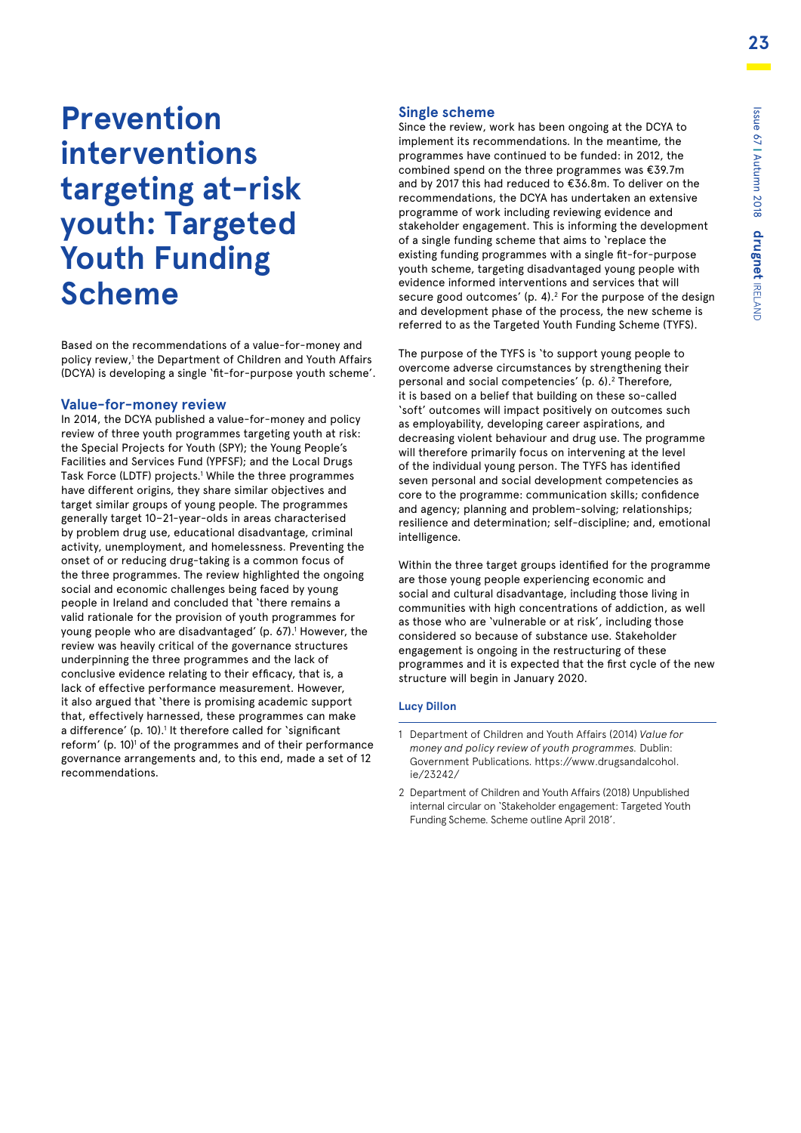# **Prevention interventions targeting at-risk youth: Targeted Youth Funding Scheme**

Based on the recommendations of a value-for-money and policy review,<sup>1</sup> the Department of Children and Youth Affairs (DCYA) is developing a single 'fit-for-purpose youth scheme'.

### **Value-for-money review**

In 2014, the DCYA published a value-for-money and policy review of three youth programmes targeting youth at risk: the Special Projects for Youth (SPY); the Young People's Facilities and Services Fund (YPFSF); and the Local Drugs Task Force (LDTF) projects.<sup>1</sup> While the three programmes have different origins, they share similar objectives and target similar groups of young people. The programmes generally target 10–21-year-olds in areas characterised by problem drug use, educational disadvantage, criminal activity, unemployment, and homelessness. Preventing the onset of or reducing drug-taking is a common focus of the three programmes. The review highlighted the ongoing social and economic challenges being faced by young people in Ireland and concluded that 'there remains a valid rationale for the provision of youth programmes for young people who are disadvantaged' (p. 67).<sup>1</sup> However, the review was heavily critical of the governance structures underpinning the three programmes and the lack of conclusive evidence relating to their efficacy, that is, a lack of effective performance measurement. However, it also argued that 'there is promising academic support that, effectively harnessed, these programmes can make a difference' (p. 10).<sup>1</sup> It therefore called for `significant reform' (p. 10)<sup>1</sup> of the programmes and of their performance governance arrangements and, to this end, made a set of 12 recommendations.

### **Single scheme**

Since the review, work has been ongoing at the DCYA to implement its recommendations. In the meantime, the programmes have continued to be funded: in 2012, the combined spend on the three programmes was €39.7m and by 2017 this had reduced to €36.8m. To deliver on the recommendations, the DCYA has undertaken an extensive programme of work including reviewing evidence and stakeholder engagement. This is informing the development of a single funding scheme that aims to 'replace the existing funding programmes with a single fit-for-purpose youth scheme, targeting disadvantaged young people with evidence informed interventions and services that will secure good outcomes'  $(p, 4)$ .<sup>2</sup> For the purpose of the design and development phase of the process, the new scheme is referred to as the Targeted Youth Funding Scheme (TYFS).

The purpose of the TYFS is 'to support young people to overcome adverse circumstances by strengthening their personal and social competencies' (p. 6).<sup>2</sup> Therefore, it is based on a belief that building on these so-called 'soft' outcomes will impact positively on outcomes such as employability, developing career aspirations, and decreasing violent behaviour and drug use. The programme will therefore primarily focus on intervening at the level of the individual young person. The TYFS has identified seven personal and social development competencies as core to the programme: communication skills; confidence and agency; planning and problem-solving; relationships; resilience and determination; self-discipline; and, emotional intelligence.

Within the three target groups identified for the programme are those young people experiencing economic and social and cultural disadvantage, including those living in communities with high concentrations of addiction, as well as those who are 'vulnerable or at risk', including those considered so because of substance use. Stakeholder engagement is ongoing in the restructuring of these programmes and it is expected that the first cycle of the new structure will begin in January 2020.

### **Lucy Dillon**

2 Department of Children and Youth Affairs (2018) Unpublished internal circular on 'Stakeholder engagement: Targeted Youth Funding Scheme. Scheme outline April 2018'.

<sup>1</sup> Department of Children and Youth Affairs (2014) *Value for money and policy review of youth programmes.* Dublin: [Government Publications. https://www.drugsandalcohol.](https://www.drugsandalcohol.ie/23242/) ie/23242/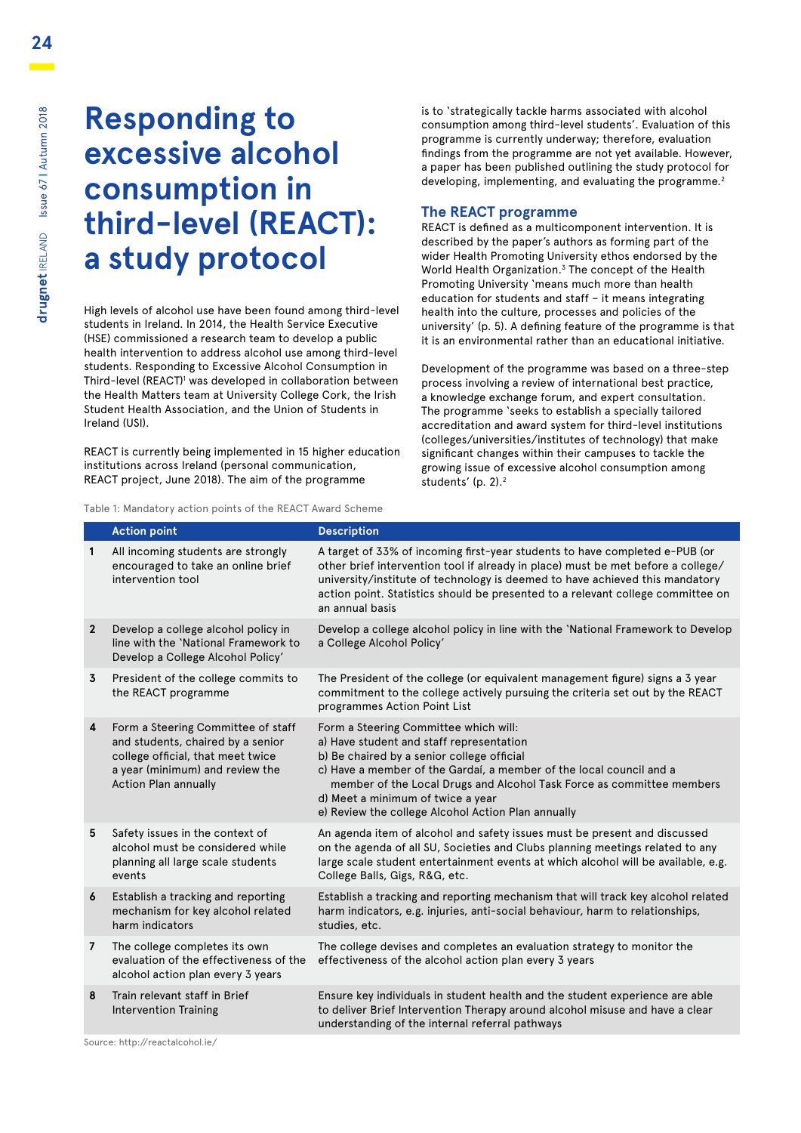# **Responding to excessive alcohol consumption in third-level (REACT): a study protocol**

High levels of alcohol use have been found among third-level students in Ireland. In 2014, the Health Service Executive (HSE) commissioned a research team to develop a public health intervention to address alcohol use among third-level students. Responding to Excessive Alcohol Consumption in Third-level (REACT)1 was developed in collaboration between the Health Matters team at University College Cork, the Irish Student Health Association, and the Union of Students in Ireland (USI).

REACT is currently being implemented in 15 higher education institutions across Ireland (personal communication, REACT project, June 2018). The aim of the programme

is to 'strategically tackle harms associated with alcohol consumption among third-level students'. Evaluation of this programme is currently underway; therefore, evaluation findings from the programme are not yet available. However, a paper has been published outlining the study protocol for developing, implementing, and evaluating the programme.<sup>2</sup>

### **The REACT programme**

REACT is defined as a multicomponent intervention. It is described by the paper's authors as forming part of the wider Health Promoting University ethos endorsed by the World Health Organization.3 The concept of the Health Promoting University 'means much more than health education for students and staff – it means integrating health into the culture, processes and policies of the university' (p. 5). A defining feature of the programme is that it is an environmental rather than an educational initiative.

Development of the programme was based on a three-step process involving a review of international best practice, a knowledge exchange forum, and expert consultation. The programme 'seeks to establish a specially tailored accreditation and award system for third-level institutions (colleges/universities/institutes of technology) that make significant changes within their campuses to tackle the growing issue of excessive alcohol consumption among students' (p. 2).2

Table 1: Mandatory action points of the REACT Award Scheme

|                | <b>Action point</b>                                                                                                                                                            | <b>Description</b>                                                                                                                                                                                                                                                                                                                                                         |
|----------------|--------------------------------------------------------------------------------------------------------------------------------------------------------------------------------|----------------------------------------------------------------------------------------------------------------------------------------------------------------------------------------------------------------------------------------------------------------------------------------------------------------------------------------------------------------------------|
| 1              | All incoming students are strongly<br>encouraged to take an online brief<br>intervention tool                                                                                  | A target of 33% of incoming first-year students to have completed e-PUB (or<br>other brief intervention tool if already in place) must be met before a college/<br>university/institute of technology is deemed to have achieved this mandatory<br>action point. Statistics should be presented to a relevant college committee on<br>an annual basis                      |
| $\mathbf{2}$   | Develop a college alcohol policy in<br>line with the 'National Framework to<br>Develop a College Alcohol Policy'                                                               | Develop a college alcohol policy in line with the 'National Framework to Develop<br>a College Alcohol Policy'                                                                                                                                                                                                                                                              |
| 3              | President of the college commits to<br>the REACT programme                                                                                                                     | The President of the college (or equivalent management figure) signs a 3 year<br>commitment to the college actively pursuing the criteria set out by the REACT<br>programmes Action Point List                                                                                                                                                                             |
| 4              | Form a Steering Committee of staff<br>and students, chaired by a senior<br>college official, that meet twice<br>a year (minimum) and review the<br><b>Action Plan annually</b> | Form a Steering Committee which will:<br>a) Have student and staff representation<br>b) Be chaired by a senior college official<br>c) Have a member of the Gardaí, a member of the local council and a<br>member of the Local Drugs and Alcohol Task Force as committee members<br>d) Meet a minimum of twice a year<br>e) Review the college Alcohol Action Plan annually |
| 5              | Safety issues in the context of<br>alcohol must be considered while<br>planning all large scale students<br>events                                                             | An agenda item of alcohol and safety issues must be present and discussed<br>on the agenda of all SU, Societies and Clubs planning meetings related to any<br>large scale student entertainment events at which alcohol will be available, e.g.<br>College Balls, Gigs, R&G, etc.                                                                                          |
| 6              | Establish a tracking and reporting<br>mechanism for key alcohol related<br>harm indicators                                                                                     | Establish a tracking and reporting mechanism that will track key alcohol related<br>harm indicators, e.g. injuries, anti-social behaviour, harm to relationships,<br>studies, etc.                                                                                                                                                                                         |
| $\overline{7}$ | The college completes its own<br>evaluation of the effectiveness of the<br>alcohol action plan every 3 years                                                                   | The college devises and completes an evaluation strategy to monitor the<br>effectiveness of the alcohol action plan every 3 years                                                                                                                                                                                                                                          |
| 8              | Train relevant staff in Brief<br><b>Intervention Training</b>                                                                                                                  | Ensure key individuals in student health and the student experience are able<br>to deliver Brief Intervention Therapy around alcohol misuse and have a clear<br>understanding of the internal referral pathways                                                                                                                                                            |

Source: http://reactalcohol.ie/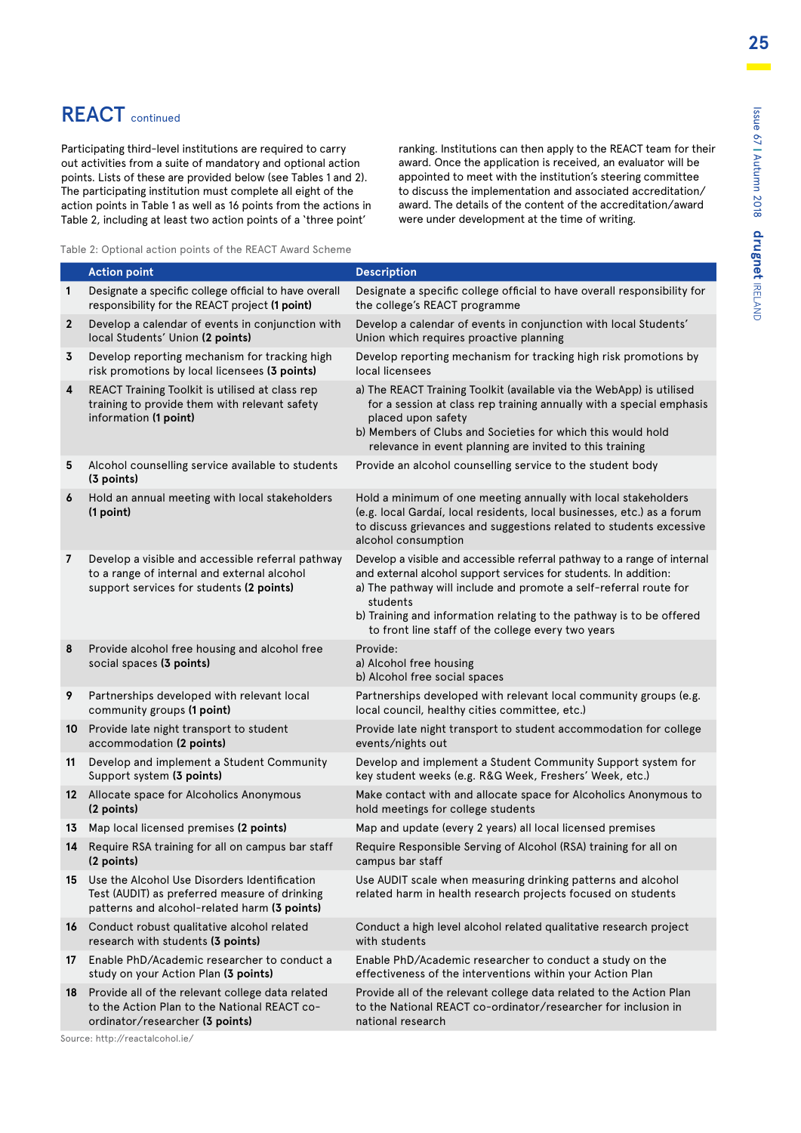### REACT continued

Participating third-level institutions are required to carry out activities from a suite of mandatory and optional action points. Lists of these are provided below (see Tables 1 and 2). The participating institution must complete all eight of the action points in Table 1 as well as 16 points from the actions in Table 2, including at least two action points of a 'three point'

ranking. Institutions can then apply to the REACT team for their award. Once the application is received, an evaluator will be appointed to meet with the institution's steering committee to discuss the implementation and associated accreditation/ award. The details of the content of the accreditation/award were under development at the time of writing.

Table 2: Optional action points of the REACT Award Scheme

|                 | <b>Action point</b>                                                                                                                              | <b>Description</b>                                                                                                                                                                                                                                                                                                                                          |
|-----------------|--------------------------------------------------------------------------------------------------------------------------------------------------|-------------------------------------------------------------------------------------------------------------------------------------------------------------------------------------------------------------------------------------------------------------------------------------------------------------------------------------------------------------|
| 1               | Designate a specific college official to have overall<br>responsibility for the REACT project (1 point)                                          | Designate a specific college official to have overall responsibility for<br>the college's REACT programme                                                                                                                                                                                                                                                   |
| $\mathbf{2}$    | Develop a calendar of events in conjunction with<br>local Students' Union (2 points)                                                             | Develop a calendar of events in conjunction with local Students'<br>Union which requires proactive planning                                                                                                                                                                                                                                                 |
| 3               | Develop reporting mechanism for tracking high<br>risk promotions by local licensees (3 points)                                                   | Develop reporting mechanism for tracking high risk promotions by<br>local licensees                                                                                                                                                                                                                                                                         |
| 4               | REACT Training Toolkit is utilised at class rep<br>training to provide them with relevant safety<br>information (1 point)                        | a) The REACT Training Toolkit (available via the WebApp) is utilised<br>for a session at class rep training annually with a special emphasis<br>placed upon safety<br>b) Members of Clubs and Societies for which this would hold<br>relevance in event planning are invited to this training                                                               |
| 5               | Alcohol counselling service available to students<br>(3 points)                                                                                  | Provide an alcohol counselling service to the student body                                                                                                                                                                                                                                                                                                  |
| 6               | Hold an annual meeting with local stakeholders<br>(1 point)                                                                                      | Hold a minimum of one meeting annually with local stakeholders<br>(e.g. local Gardaí, local residents, local businesses, etc.) as a forum<br>to discuss grievances and suggestions related to students excessive<br>alcohol consumption                                                                                                                     |
| $\overline{7}$  | Develop a visible and accessible referral pathway<br>to a range of internal and external alcohol<br>support services for students (2 points)     | Develop a visible and accessible referral pathway to a range of internal<br>and external alcohol support services for students. In addition:<br>a) The pathway will include and promote a self-referral route for<br>students<br>b) Training and information relating to the pathway is to be offered<br>to front line staff of the college every two years |
| 8               | Provide alcohol free housing and alcohol free<br>social spaces (3 points)                                                                        | Provide:<br>a) Alcohol free housing<br>b) Alcohol free social spaces                                                                                                                                                                                                                                                                                        |
| 9               | Partnerships developed with relevant local<br>community groups (1 point)                                                                         | Partnerships developed with relevant local community groups (e.g.<br>local council, healthy cities committee, etc.)                                                                                                                                                                                                                                         |
| 10 <sup>°</sup> | Provide late night transport to student<br>accommodation (2 points)                                                                              | Provide late night transport to student accommodation for college<br>events/nights out                                                                                                                                                                                                                                                                      |
| 11              | Develop and implement a Student Community<br>Support system (3 points)                                                                           | Develop and implement a Student Community Support system for<br>key student weeks (e.g. R&G Week, Freshers' Week, etc.)                                                                                                                                                                                                                                     |
|                 | 12 Allocate space for Alcoholics Anonymous<br>(2 points)                                                                                         | Make contact with and allocate space for Alcoholics Anonymous to<br>hold meetings for college students                                                                                                                                                                                                                                                      |
| 13              | Map local licensed premises (2 points)                                                                                                           | Map and update (every 2 years) all local licensed premises                                                                                                                                                                                                                                                                                                  |
| 14              | Require RSA training for all on campus bar staff<br>(2 points)                                                                                   | Require Responsible Serving of Alcohol (RSA) training for all on<br>campus bar staff                                                                                                                                                                                                                                                                        |
|                 | 15 Use the Alcohol Use Disorders Identification<br>Test (AUDIT) as preferred measure of drinking<br>patterns and alcohol-related harm (3 points) | Use AUDIT scale when measuring drinking patterns and alcohol<br>related harm in health research projects focused on students                                                                                                                                                                                                                                |
| 16              | Conduct robust qualitative alcohol related<br>research with students (3 points)                                                                  | Conduct a high level alcohol related qualitative research project<br>with students                                                                                                                                                                                                                                                                          |
| 17              | Enable PhD/Academic researcher to conduct a<br>study on your Action Plan (3 points)                                                              | Enable PhD/Academic researcher to conduct a study on the<br>effectiveness of the interventions within your Action Plan                                                                                                                                                                                                                                      |
| 18              | Provide all of the relevant college data related<br>to the Action Plan to the National REACT co-<br>ordinator/researcher (3 points)              | Provide all of the relevant college data related to the Action Plan<br>to the National REACT co-ordinator/researcher for inclusion in<br>national research                                                                                                                                                                                                  |

Source: http://reactalcohol.ie/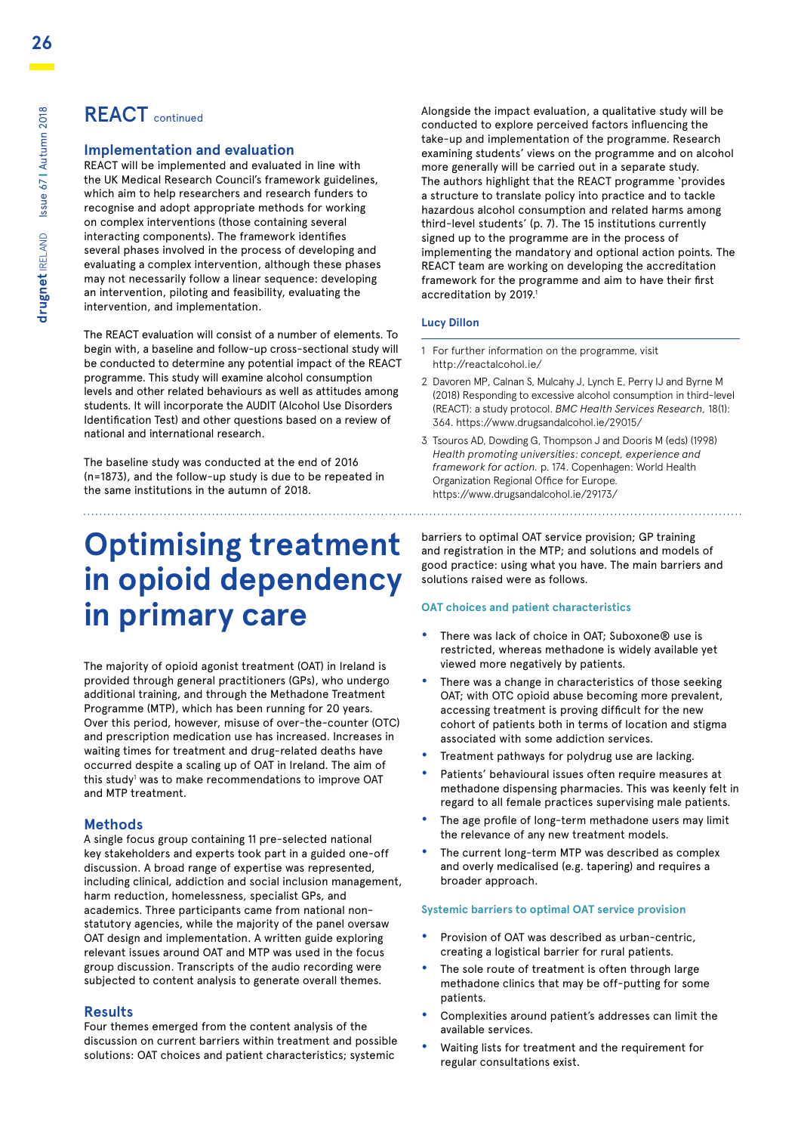### REACT continued

### **Implementation and evaluation**

REACT will be implemented and evaluated in line with the UK Medical Research Council's framework guidelines, which aim to help researchers and research funders to recognise and adopt appropriate methods for working on complex interventions (those containing several interacting components). The framework identifies several phases involved in the process of developing and evaluating a complex intervention, although these phases may not necessarily follow a linear sequence: developing an intervention, piloting and feasibility, evaluating the intervention, and implementation.

The REACT evaluation will consist of a number of elements. To begin with, a baseline and follow-up cross-sectional study will be conducted to determine any potential impact of the REACT programme. This study will examine alcohol consumption levels and other related behaviours as well as attitudes among students. It will incorporate the AUDIT (Alcohol Use Disorders Identification Test) and other questions based on a review of national and international research.

The baseline study was conducted at the end of 2016 (n=1873), and the follow-up study is due to be repeated in the same institutions in the autumn of 2018.

# **Optimising treatment in opioid dependency in primary care**

The majority of opioid agonist treatment (OAT) in Ireland is provided through general practitioners (GPs), who undergo additional training, and through the Methadone Treatment Programme (MTP), which has been running for 20 years. Over this period, however, misuse of over-the-counter (OTC) and prescription medication use has increased. Increases in waiting times for treatment and drug-related deaths have occurred despite a scaling up of OAT in Ireland. The aim of this study<sup>1</sup> was to make recommendations to improve OAT and MTP treatment.

### **Methods**

A single focus group containing 11 pre-selected national key stakeholders and experts took part in a guided one-off discussion. A broad range of expertise was represented, including clinical, addiction and social inclusion management, harm reduction, homelessness, specialist GPs, and academics. Three participants came from national nonstatutory agencies, while the majority of the panel oversaw OAT design and implementation. A written guide exploring relevant issues around OAT and MTP was used in the focus group discussion. Transcripts of the audio recording were subjected to content analysis to generate overall themes.

### **Results**

Four themes emerged from the content analysis of the discussion on current barriers within treatment and possible solutions: OAT choices and patient characteristics; systemic

Alongside the impact evaluation, a qualitative study will be conducted to explore perceived factors influencing the take-up and implementation of the programme. Research examining students' views on the programme and on alcohol more generally will be carried out in a separate study. The authors highlight that the REACT programme 'provides a structure to translate policy into practice and to tackle hazardous alcohol consumption and related harms among third-level students' (p. 7). The 15 institutions currently signed up to the programme are in the process of implementing the mandatory and optional action points. The REACT team are working on developing the accreditation framework for the programme and aim to have their first accreditation by 2019.<sup>1</sup>

### **Lucy Dillon**

- 1 For further information on the programme, visit http://reactalcohol.ie/
- 2 Davoren MP, Calnan S, Mulcahy J, Lynch E, Perry IJ and Byrne M (2018) Responding to excessive alcohol consumption in third-level (REACT): a study protocol. *BMC Health Services Research,* 18(1): 364. https://www.drugsandalcohol.ie/29015/
- 3 Tsouros AD, Dowding G, Thompson J and Dooris M (eds) (1998) *Health promoting universities: concept, experience and framework for action.* p. 174. Copenhagen: World Health Organization Regional Office for Europe. https://www.drugsandalcohol.ie/29173/

barriers to optimal OAT service provision; GP training and registration in the MTP; and solutions and models of good practice: using what you have. The main barriers and solutions raised were as follows.

### **OAT choices and patient characteristics**

- **•** There was lack of choice in OAT; Suboxone® use is restricted, whereas methadone is widely available yet viewed more negatively by patients.
- **•** There was a change in characteristics of those seeking OAT; with OTC opioid abuse becoming more prevalent, accessing treatment is proving difficult for the new cohort of patients both in terms of location and stigma associated with some addiction services.
- **•** Treatment pathways for polydrug use are lacking.
- **•** Patients' behavioural issues often require measures at methadone dispensing pharmacies. This was keenly felt in regard to all female practices supervising male patients.
- **•** The age profile of long-term methadone users may limit the relevance of any new treatment models.
- **•** The current long-term MTP was described as complex and overly medicalised (e.g. tapering) and requires a broader approach.

### **Systemic barriers to optimal OAT service provision**

- **•** Provision of OAT was described as urban-centric, creating a logistical barrier for rural patients.
- **•** The sole route of treatment is often through large methadone clinics that may be off-putting for some patients.
- **•** Complexities around patient's addresses can limit the available services.
- **•** Waiting lists for treatment and the requirement for regular consultations exist.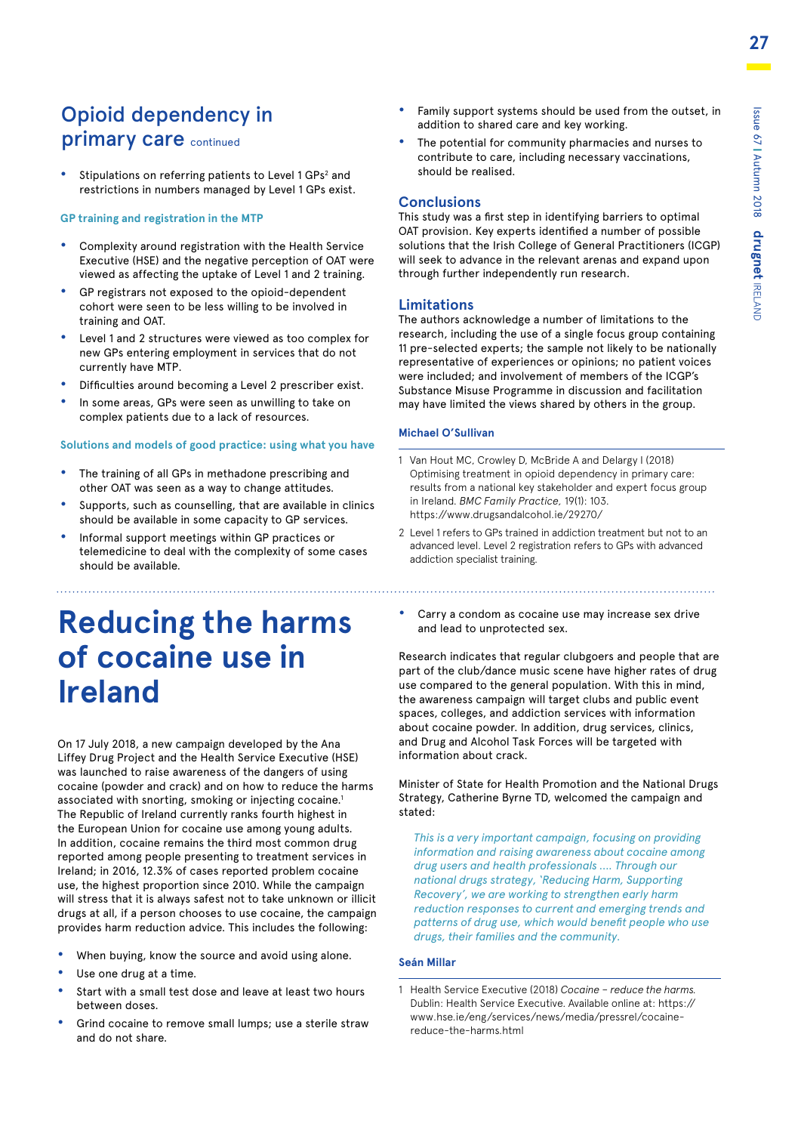### Opioid dependency in primary care continued

• Stipulations on referring patients to Level 1 GPs<sup>2</sup> and restrictions in numbers managed by Level 1 GPs exist.

#### **GP training and registration in the MTP**

- **•** Complexity around registration with the Health Service Executive (HSE) and the negative perception of OAT were viewed as affecting the uptake of Level 1 and 2 training.
- **•** GP registrars not exposed to the opioid-dependent cohort were seen to be less willing to be involved in training and OAT.
- **•** Level 1 and 2 structures were viewed as too complex for new GPs entering employment in services that do not currently have MTP.
- **•** Difficulties around becoming a Level 2 prescriber exist.
- **•** In some areas, GPs were seen as unwilling to take on complex patients due to a lack of resources.

#### **Solutions and models of good practice: using what you have**

- **•** The training of all GPs in methadone prescribing and other OAT was seen as a way to change attitudes.
- **•** Supports, such as counselling, that are available in clinics should be available in some capacity to GP services.
- **•** Informal support meetings within GP practices or telemedicine to deal with the complexity of some cases should be available.

### **Reducing the harms of cocaine use in Ireland**

On 17 July 2018, a new campaign developed by the Ana Liffey Drug Project and the Health Service Executive (HSE) was launched to raise awareness of the dangers of using cocaine (powder and crack) and on how to reduce the harms associated with snorting, smoking or injecting cocaine.<sup>1</sup> The Republic of Ireland currently ranks fourth highest in the European Union for cocaine use among young adults. In addition, cocaine remains the third most common drug reported among people presenting to treatment services in Ireland; in 2016, 12.3% of cases reported problem cocaine use, the highest proportion since 2010. While the campaign will stress that it is always safest not to take unknown or illicit drugs at all, if a person chooses to use cocaine, the campaign provides harm reduction advice. This includes the following:

- **•** When buying, know the source and avoid using alone.
- **•** Use one drug at a time.
- **•** Start with a small test dose and leave at least two hours between doses.
- **•** Grind cocaine to remove small lumps; use a sterile straw and do not share.
- **•** Family support systems should be used from the outset, in addition to shared care and key working.
- **•** The potential for community pharmacies and nurses to contribute to care, including necessary vaccinations, should be realised.

### **Conclusions**

This study was a first step in identifying barriers to optimal OAT provision. Key experts identified a number of possible solutions that the Irish College of General Practitioners (ICGP) will seek to advance in the relevant arenas and expand upon through further independently run research.

### **Limitations**

The authors acknowledge a number of limitations to the research, including the use of a single focus group containing 11 pre-selected experts; the sample not likely to be nationally representative of experiences or opinions; no patient voices were included; and involvement of members of the ICGP's Substance Misuse Programme in discussion and facilitation may have limited the views shared by others in the group.

### **Michael O'Sullivan**

- 1 Van Hout MC, Crowley D, McBride A and Delargy I (2018) Optimising treatment in opioid dependency in primary care: results from a national key stakeholder and expert focus group in Ireland. *BMC Family Practice,* 19(1): 103. https://www.drugsandalcohol.ie/29270/
- 2 Level 1 refers to GPs trained in addiction treatment but not to an advanced level. Level 2 registration refers to GPs with advanced addiction specialist training.

**•** Carry a condom as cocaine use may increase sex drive and lead to unprotected sex.

Research indicates that regular clubgoers and people that are part of the club/dance music scene have higher rates of drug use compared to the general population. With this in mind, the awareness campaign will target clubs and public event spaces, colleges, and addiction services with information about cocaine powder. In addition, drug services, clinics, and Drug and Alcohol Task Forces will be targeted with information about crack.

Minister of State for Health Promotion and the National Drugs Strategy, Catherine Byrne TD, welcomed the campaign and stated:

*This is a very important campaign, focusing on providing information and raising awareness about cocaine among drug users and health professionals .... Through our national drugs strategy, 'Reducing Harm, Supporting Recovery', we are working to strengthen early harm reduction responses to current and emerging trends and patterns of drug use, which would benefit people who use drugs, their families and the community.*

### **Seán Millar**

1 Health Service Executive (2018) *Cocaine – reduce the harms.* [Dublin: Health Service Executive. Available online at: https://](https://www.hse.ie/eng/services/news/media/pressrel/cocaine-reduce-the-harms.html) www.hse.ie/eng/services/news/media/pressrel/cocainereduce-the-harms.html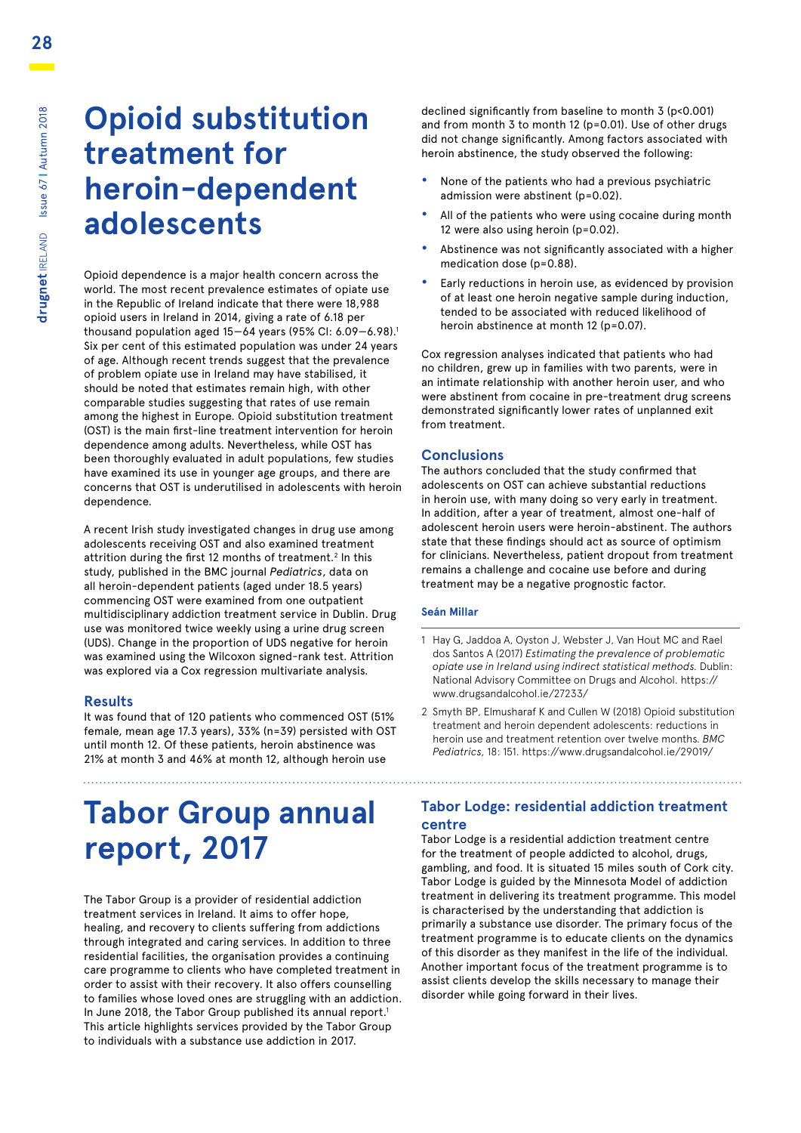### **Opioid substitution treatment for heroin-dependent adolescents**

Opioid dependence is a major health concern across the world. The most recent prevalence estimates of opiate use in the Republic of Ireland indicate that there were 18,988 opioid users in Ireland in 2014, giving a rate of 6.18 per thousand population aged  $15-64$  years (95% CI:  $6.09-6.98$ ).<sup>1</sup> Six per cent of this estimated population was under 24 years of age. Although recent trends suggest that the prevalence of problem opiate use in Ireland may have stabilised, it should be noted that estimates remain high, with other comparable studies suggesting that rates of use remain among the highest in Europe. Opioid substitution treatment (OST) is the main first-line treatment intervention for heroin dependence among adults. Nevertheless, while OST has been thoroughly evaluated in adult populations, few studies have examined its use in younger age groups, and there are concerns that OST is underutilised in adolescents with heroin dependence.

A recent Irish study investigated changes in drug use among adolescents receiving OST and also examined treatment attrition during the first 12 months of treatment.<sup>2</sup> In this study, published in the BMC journal *Pediatrics*, data on all heroin-dependent patients (aged under 18.5 years) commencing OST were examined from one outpatient multidisciplinary addiction treatment service in Dublin. Drug use was monitored twice weekly using a urine drug screen (UDS). Change in the proportion of UDS negative for heroin was examined using the Wilcoxon signed-rank test. Attrition was explored via a Cox regression multivariate analysis.

### **Results**

It was found that of 120 patients who commenced OST (51% female, mean age 17.3 years), 33% (n=39) persisted with OST until month 12. Of these patients, heroin abstinence was 21% at month 3 and 46% at month 12, although heroin use

# **Tabor Group annual report, 2017**

The Tabor Group is a provider of residential addiction treatment services in Ireland. It aims to offer hope, healing, and recovery to clients suffering from addictions through integrated and caring services. In addition to three residential facilities, the organisation provides a continuing care programme to clients who have completed treatment in order to assist with their recovery. It also offers counselling to families whose loved ones are struggling with an addiction. In June 2018, the Tabor Group published its annual report.<sup>1</sup> This article highlights services provided by the Tabor Group to individuals with a substance use addiction in 2017.

declined significantly from baseline to month 3 (p<0.001) and from month 3 to month 12 (p=0.01). Use of other drugs did not change significantly. Among factors associated with heroin abstinence, the study observed the following:

- **•** None of the patients who had a previous psychiatric admission were abstinent (p=0.02).
- **•** All of the patients who were using cocaine during month 12 were also using heroin (p=0.02).
- **•** Abstinence was not significantly associated with a higher medication dose (p=0.88).
- **•** Early reductions in heroin use, as evidenced by provision of at least one heroin negative sample during induction, tended to be associated with reduced likelihood of heroin abstinence at month 12 (p=0.07).

Cox regression analyses indicated that patients who had no children, grew up in families with two parents, were in an intimate relationship with another heroin user, and who were abstinent from cocaine in pre-treatment drug screens demonstrated significantly lower rates of unplanned exit from treatment.

### **Conclusions**

The authors concluded that the study confirmed that adolescents on OST can achieve substantial reductions in heroin use, with many doing so very early in treatment. In addition, after a year of treatment, almost one-half of adolescent heroin users were heroin-abstinent. The authors state that these findings should act as source of optimism for clinicians. Nevertheless, patient dropout from treatment remains a challenge and cocaine use before and during treatment may be a negative prognostic factor.

### **Seán Millar**

- 1 Hay G, Jaddoa A, Oyston J, Webster J, Van Hout MC and Rael dos Santos A (2017) *Estimating the prevalence of problematic opiate use in Ireland using indirect statistical methods.* Dublin: [National Advisory Committee on Drugs and Alcohol. https://](https://www.drugsandalcohol.ie/27233/) www.drugsandalcohol.ie/27233/
- 2 Smyth BP, Elmusharaf K and Cullen W (2018) Opioid substitution treatment and heroin dependent adolescents: reductions in heroin use and treatment retention over twelve months. *BMC Pediatrics,* 18: 151. https://www.drugsandalcohol.ie/29019/

### **Tabor Lodge: residential addiction treatment centre**

Tabor Lodge is a residential addiction treatment centre for the treatment of people addicted to alcohol, drugs, gambling, and food. It is situated 15 miles south of Cork city. Tabor Lodge is guided by the Minnesota Model of addiction treatment in delivering its treatment programme. This model is characterised by the understanding that addiction is primarily a substance use disorder. The primary focus of the treatment programme is to educate clients on the dynamics of this disorder as they manifest in the life of the individual. Another important focus of the treatment programme is to assist clients develop the skills necessary to manage their disorder while going forward in their lives.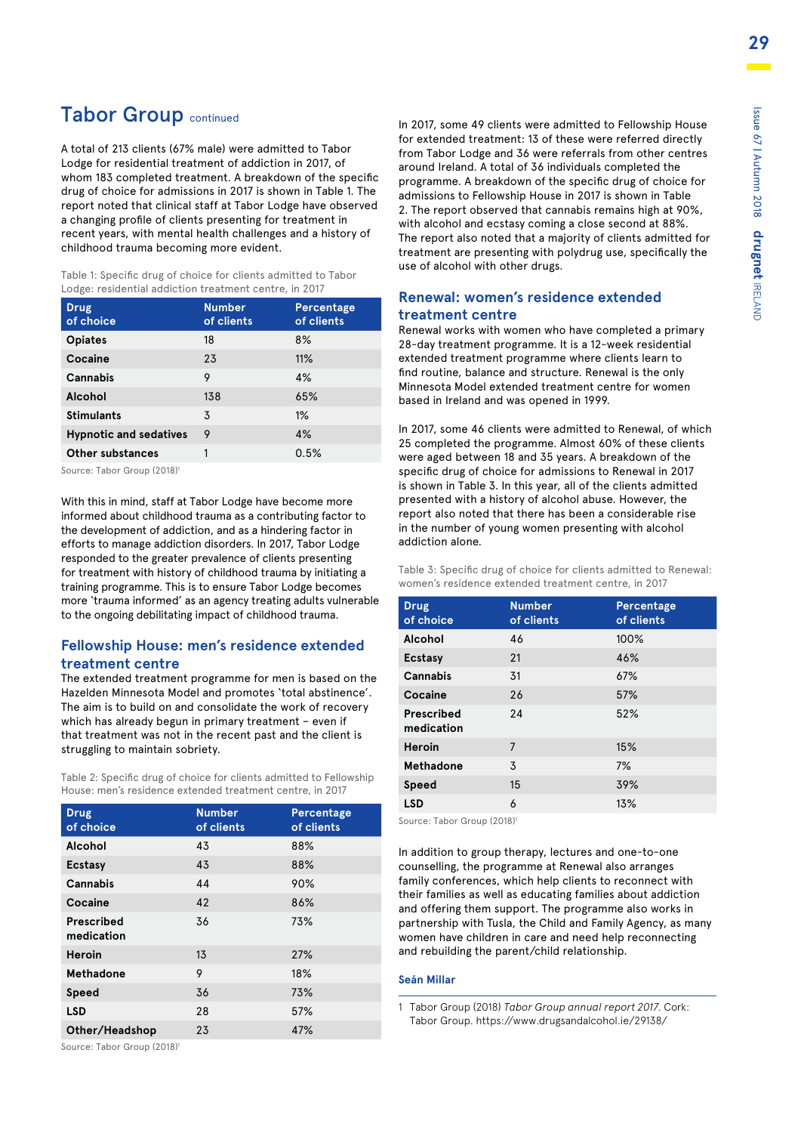### Tabor Group continued

A total of 213 clients (67% male) were admitted to Tabor Lodge for residential treatment of addiction in 2017, of whom 183 completed treatment. A breakdown of the specific drug of choice for admissions in 2017 is shown in Table 1. The report noted that clinical staff at Tabor Lodge have observed a changing profile of clients presenting for treatment in recent years, with mental health challenges and a history of childhood trauma becoming more evident.

Table 1: Specific drug of choice for clients admitted to Tabor Lodge: residential addiction treatment centre, in 2017

| <b>Drug</b><br>of choice      | <b>Number</b><br>of clients | Percentage<br>of clients |
|-------------------------------|-----------------------------|--------------------------|
| <b>Opiates</b>                | 18                          | 8%                       |
| Cocaine                       | 23                          | 11%                      |
| Cannabis                      | 9                           | 4%                       |
| Alcohol                       | 138                         | 65%                      |
| <b>Stimulants</b>             | 3                           | 1%                       |
| <b>Hypnotic and sedatives</b> | 9                           | 4%                       |
| Other substances              | 1                           | 0.5%                     |

Source: Tabor Group (2018)1

With this in mind, staff at Tabor Lodge have become more informed about childhood trauma as a contributing factor to the development of addiction, and as a hindering factor in efforts to manage addiction disorders. In 2017, Tabor Lodge responded to the greater prevalence of clients presenting for treatment with history of childhood trauma by initiating a training programme. This is to ensure Tabor Lodge becomes more 'trauma informed' as an agency treating adults vulnerable to the ongoing debilitating impact of childhood trauma.

### **Fellowship House: men's residence extended treatment centre**

The extended treatment programme for men is based on the Hazelden Minnesota Model and promotes 'total abstinence'. The aim is to build on and consolidate the work of recovery which has already begun in primary treatment – even if that treatment was not in the recent past and the client is struggling to maintain sobriety.

Table 2: Specific drug of choice for clients admitted to Fellowship House: men's residence extended treatment centre, in 2017

| <b>Drug</b><br>of choice | <b>Number</b><br>of clients | Percentage<br>of clients |
|--------------------------|-----------------------------|--------------------------|
| Alcohol                  | 43                          | 88%                      |
| <b>Ecstasy</b>           | 43                          | 88%                      |
| Cannabis                 | 44                          | 90%                      |
| Cocaine                  | 42                          | 86%                      |
| Prescribed<br>medication | 36                          | 73%                      |
| <b>Heroin</b>            | 13                          | 27%                      |
| Methadone                | 9                           | 18%                      |
| Speed                    | 36                          | 73%                      |
| <b>LSD</b>               | 28                          | 57%                      |
| Other/Headshop           | 23                          | 47%                      |

Source: Tabor Group (2018)<sup>1</sup>

In 2017, some 49 clients were admitted to Fellowship House for extended treatment: 13 of these were referred directly from Tabor Lodge and 36 were referrals from other centres around Ireland. A total of 36 individuals completed the programme. A breakdown of the specific drug of choice for admissions to Fellowship House in 2017 is shown in Table 2. The report observed that cannabis remains high at 90%, with alcohol and ecstasy coming a close second at 88%. The report also noted that a majority of clients admitted for treatment are presenting with polydrug use, specifically the use of alcohol with other drugs.

### **Renewal: women's residence extended treatment centre**

Renewal works with women who have completed a primary 28-day treatment programme. It is a 12-week residential extended treatment programme where clients learn to find routine, balance and structure. Renewal is the only Minnesota Model extended treatment centre for women based in Ireland and was opened in 1999.

In 2017, some 46 clients were admitted to Renewal, of which 25 completed the programme. Almost 60% of these clients were aged between 18 and 35 years. A breakdown of the specific drug of choice for admissions to Renewal in 2017 is shown in Table 3. In this year, all of the clients admitted presented with a history of alcohol abuse. However, the report also noted that there has been a considerable rise in the number of young women presenting with alcohol addiction alone.

Table 3: Specific drug of choice for clients admitted to Renewal: women's residence extended treatment centre, in 2017

| <b>Drug</b><br>of choice | <b>Number</b><br>of clients | Percentage<br>of clients |
|--------------------------|-----------------------------|--------------------------|
| Alcohol                  | 46                          | 100%                     |
| Ecstasy                  | 21                          | 46%                      |
| Cannabis                 | 31                          | 67%                      |
| Cocaine                  | 26                          | 57%                      |
| Prescribed<br>medication | 24                          | 52%                      |
| <b>Heroin</b>            | 7                           | 15%                      |
| Methadone                | 3                           | 7%                       |
| Speed                    | 15                          | 39%                      |
| <b>LSD</b>               | 6                           | 13%                      |
|                          |                             |                          |

Source: Tabor Group (2018)1

In addition to group therapy, lectures and one-to-one counselling, the programme at Renewal also arranges family conferences, which help clients to reconnect with their families as well as educating families about addiction and offering them support. The programme also works in partnership with Tusla, the Child and Family Agency, as many women have children in care and need help reconnecting and rebuilding the parent/child relationship.

### **Seán Millar**

1 Tabor Group (2018) *Tabor Group annual report 2017.* Cork: Tabor Group. https://www.drugsandalcohol.ie/29138/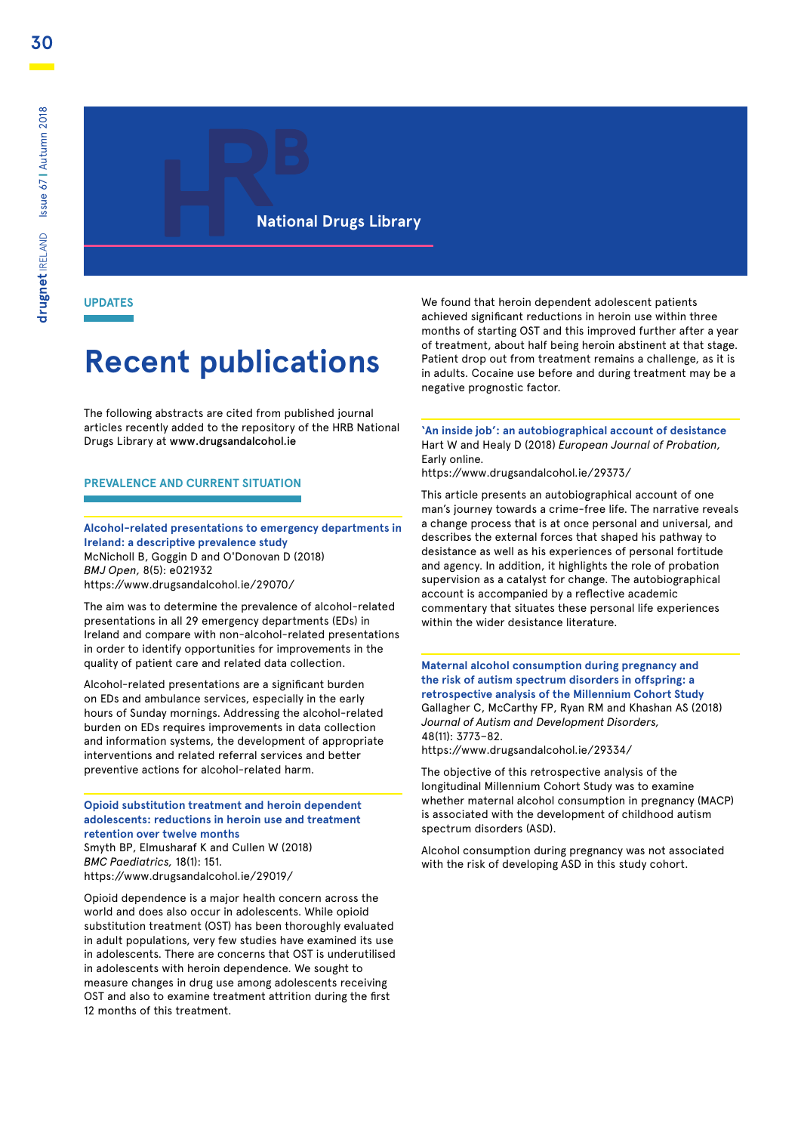**National Drugs Library**

**UPDATES**

# **Recent publications**

The following abstracts are cited from published journal articles recently added to the repository of the HRB National Drugs Library at [www.drugsandalcohol.ie](http://www.drugsandalcohol.ie)

### **PREVALENCE AND CURRENT SITUATION**

**Alcohol-related presentations to emergency departments in Ireland: a descriptive prevalence study** McNicholl B, Goggin D and O'Donovan D (2018) *BMJ Open,* 8(5): e021932 https://www.drugsandalcohol.ie/29070/

The aim was to determine the prevalence of alcohol-related presentations in all 29 emergency departments (EDs) in Ireland and compare with non-alcohol-related presentations in order to identify opportunities for improvements in the quality of patient care and related data collection.

Alcohol-related presentations are a significant burden on EDs and ambulance services, especially in the early hours of Sunday mornings. Addressing the alcohol-related burden on EDs requires improvements in data collection and information systems, the development of appropriate interventions and related referral services and better preventive actions for alcohol-related harm.

**Opioid substitution treatment and heroin dependent adolescents: reductions in heroin use and treatment retention over twelve months** Smyth BP, Elmusharaf K and Cullen W (2018) *BMC Paediatrics,* 18(1): 151. https://www.drugsandalcohol.ie/29019/

Opioid dependence is a major health concern across the world and does also occur in adolescents. While opioid substitution treatment (OST) has been thoroughly evaluated in adult populations, very few studies have examined its use in adolescents. There are concerns that OST is underutilised in adolescents with heroin dependence. We sought to measure changes in drug use among adolescents receiving OST and also to examine treatment attrition during the first 12 months of this treatment.

We found that heroin dependent adolescent patients achieved significant reductions in heroin use within three months of starting OST and this improved further after a year of treatment, about half being heroin abstinent at that stage. Patient drop out from treatment remains a challenge, as it is in adults. Cocaine use before and during treatment may be a negative prognostic factor.

**'An inside job': an autobiographical account of desistance** Hart W and Healy D (2018) *European Journal of Probation,* Early online.

https://www.drugsandalcohol.ie/29373/

This article presents an autobiographical account of one man's journey towards a crime-free life. The narrative reveals a change process that is at once personal and universal, and describes the external forces that shaped his pathway to desistance as well as his experiences of personal fortitude and agency. In addition, it highlights the role of probation supervision as a catalyst for change. The autobiographical account is accompanied by a reflective academic commentary that situates these personal life experiences within the wider desistance literature.

**Maternal alcohol consumption during pregnancy and the risk of autism spectrum disorders in offspring: a retrospective analysis of the Millennium Cohort Study**  Gallagher C, McCarthy FP, Ryan RM and Khashan AS (2018) *Journal of Autism and Development Disorders,* 48(11): 3773–82.

https://www.drugsandalcohol.ie/29334/

The objective of this retrospective analysis of the longitudinal Millennium Cohort Study was to examine whether maternal alcohol consumption in pregnancy (MACP) is associated with the development of childhood autism spectrum disorders (ASD).

Alcohol consumption during pregnancy was not associated with the risk of developing ASD in this study cohort.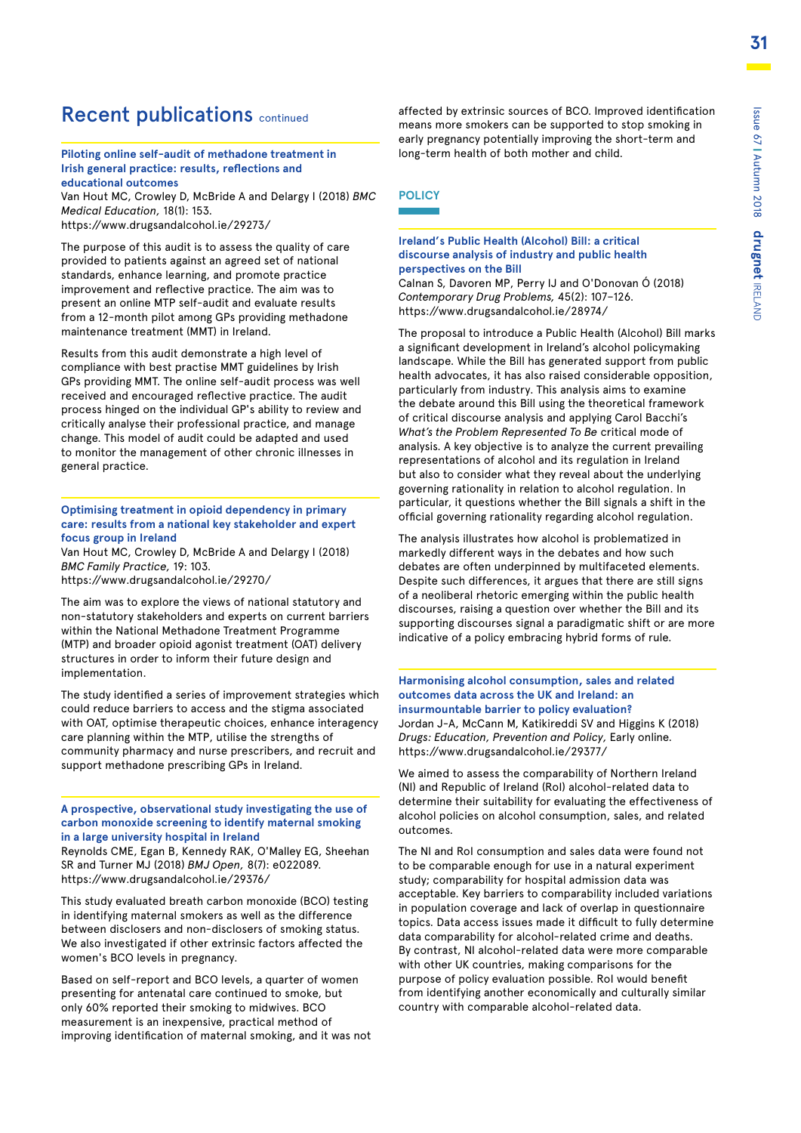### Recent publications continued

### **Piloting online self-audit of methadone treatment in Irish general practice: results, reflections and educational outcomes**

Van Hout MC, Crowley D, McBride A and Delargy I (2018) *BMC Medical Education,* 18(1): 153. https://www.drugsandalcohol.ie/29273/

The purpose of this audit is to assess the quality of care provided to patients against an agreed set of national standards, enhance learning, and promote practice improvement and reflective practice. The aim was to present an online MTP self-audit and evaluate results from a 12-month pilot among GPs providing methadone maintenance treatment (MMT) in Ireland.

Results from this audit demonstrate a high level of compliance with best practise MMT guidelines by Irish GPs providing MMT. The online self-audit process was well received and encouraged reflective practice. The audit process hinged on the individual GP's ability to review and critically analyse their professional practice, and manage change. This model of audit could be adapted and used to monitor the management of other chronic illnesses in general practice.

#### **Optimising treatment in opioid dependency in primary care: results from a national key stakeholder and expert focus group in Ireland**

Van Hout MC, Crowley D, McBride A and Delargy I (2018) *BMC Family Practice,* 19: 103.

https://www.drugsandalcohol.ie/29270/

The aim was to explore the views of national statutory and non-statutory stakeholders and experts on current barriers within the National Methadone Treatment Programme (MTP) and broader opioid agonist treatment (OAT) delivery structures in order to inform their future design and implementation.

The study identified a series of improvement strategies which could reduce barriers to access and the stigma associated with OAT, optimise therapeutic choices, enhance interagency care planning within the MTP, utilise the strengths of community pharmacy and nurse prescribers, and recruit and support methadone prescribing GPs in Ireland.

### **A prospective, observational study investigating the use of carbon monoxide screening to identify maternal smoking in a large university hospital in Ireland**

Reynolds CME, Egan B, Kennedy RAK, O'Malley EG, Sheehan SR and Turner MJ (2018) *BMJ Open,* 8(7): e022089. https://www.drugsandalcohol.ie/29376/

This study evaluated breath carbon monoxide (BCO) testing in identifying maternal smokers as well as the difference between disclosers and non-disclosers of smoking status. We also investigated if other extrinsic factors affected the women's BCO levels in pregnancy.

Based on self-report and BCO levels, a quarter of women presenting for antenatal care continued to smoke, but only 60% reported their smoking to midwives. BCO measurement is an inexpensive, practical method of improving identification of maternal smoking, and it was not affected by extrinsic sources of BCO. Improved identification means more smokers can be supported to stop smoking in early pregnancy potentially improving the short-term and long-term health of both mother and child.

### **POLICY**

#### **Ireland's Public Health (Alcohol) Bill: a critical discourse analysis of industry and public health perspectives on the Bill**

Calnan S, Davoren MP, Perry IJ and O'Donovan Ó (2018) *Contemporary Drug Problems,* 45(2): 107–126. https://www.drugsandalcohol.ie/28974/

The proposal to introduce a Public Health (Alcohol) Bill marks a significant development in Ireland's alcohol policymaking landscape. While the Bill has generated support from public health advocates, it has also raised considerable opposition, particularly from industry. This analysis aims to examine the debate around this Bill using the theoretical framework of critical discourse analysis and applying Carol Bacchi's *What's the Problem Represented To Be* critical mode of analysis. A key objective is to analyze the current prevailing representations of alcohol and its regulation in Ireland but also to consider what they reveal about the underlying governing rationality in relation to alcohol regulation. In particular, it questions whether the Bill signals a shift in the official governing rationality regarding alcohol regulation.

The analysis illustrates how alcohol is problematized in markedly different ways in the debates and how such debates are often underpinned by multifaceted elements. Despite such differences, it argues that there are still signs of a neoliberal rhetoric emerging within the public health discourses, raising a question over whether the Bill and its supporting discourses signal a paradigmatic shift or are more indicative of a policy embracing hybrid forms of rule.

#### **Harmonising alcohol consumption, sales and related outcomes data across the UK and Ireland: an insurmountable barrier to policy evaluation?**  Jordan J-A, McCann M, Katikireddi SV and Higgins K (2018) *Drugs: Education, Prevention and Policy,* Early online. https://www.drugsandalcohol.ie/29377/

We aimed to assess the comparability of Northern Ireland (NI) and Republic of Ireland (RoI) alcohol-related data to determine their suitability for evaluating the effectiveness of alcohol policies on alcohol consumption, sales, and related outcomes.

The NI and RoI consumption and sales data were found not to be comparable enough for use in a natural experiment study; comparability for hospital admission data was acceptable. Key barriers to comparability included variations in population coverage and lack of overlap in questionnaire topics. Data access issues made it difficult to fully determine data comparability for alcohol-related crime and deaths. By contrast, NI alcohol-related data were more comparable with other UK countries, making comparisons for the purpose of policy evaluation possible. RoI would benefit from identifying another economically and culturally similar country with comparable alcohol-related data.